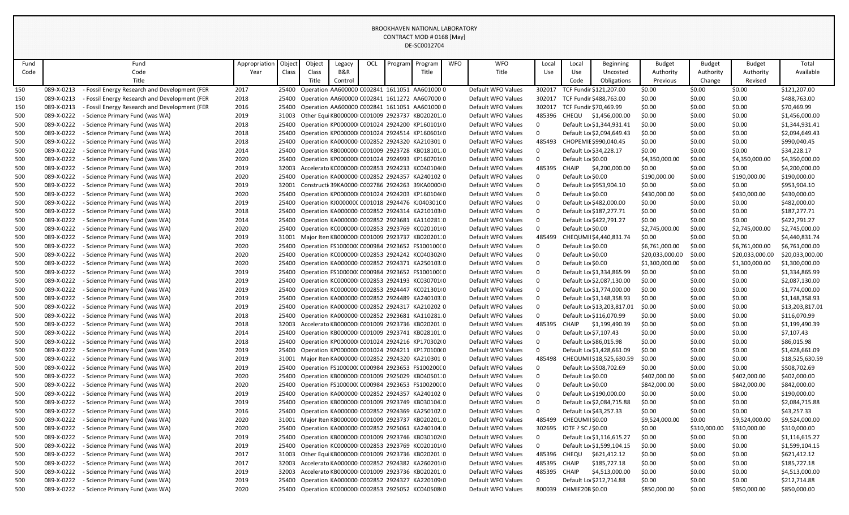| Fund       |                          | Fund                                                               | Appropriation | Object         | Object | Legacy  | OCL | Program | Program                                                                                        | <b>WFO</b> | <b>WFO</b>                               | Local                 | Local                                  | Beginning                  | <b>Budget</b>                | <b>Budget</b>    | <b>Budget</b>          | Total                        |
|------------|--------------------------|--------------------------------------------------------------------|---------------|----------------|--------|---------|-----|---------|------------------------------------------------------------------------------------------------|------------|------------------------------------------|-----------------------|----------------------------------------|----------------------------|------------------------------|------------------|------------------------|------------------------------|
| Code       |                          | Code                                                               | Year          | Class          | Class  | B&R     |     |         | Title                                                                                          |            | Title                                    | Use                   | Use                                    | Uncosted                   | Authority                    | Authority        | Authority              | Available                    |
|            |                          | Title                                                              |               |                | Title  | Control |     |         |                                                                                                |            |                                          |                       | Code                                   | Obligations                | Previous                     | Change           | Revised                |                              |
| 150        | 089-X-0213               | - Fossil Energy Research and Development (FER                      | 2017          | 25400          |        |         |     |         | Operation AA600000 C002841 1611051 AA601000 0                                                  |            | Default WFO Values                       | 302017                |                                        | TCF Fundir \$121,207.00    | \$0.00                       | \$0.00           | \$0.00                 | \$121,207.00                 |
| 150        | 089-X-0213               | - Fossil Energy Research and Development (FER                      | 2018          | 25400          |        |         |     |         | Operation AA600000 C002841 1611272 AA607000 0                                                  |            | Default WFO Values                       | 302017                |                                        | TCF Fundir \$488,763.00    | \$0.00                       | \$0.00           | \$0.00                 | \$488,763.00                 |
| 150        | 089-X-0213               | - Fossil Energy Research and Development (FER                      | 2016          | 25400          |        |         |     |         | Operation AA600000 C002841 1611051 AA601000 0                                                  |            | Default WFO Values                       | 302017                |                                        | TCF Fundir \$70,469.99     | \$0.00                       | \$0.00           | \$0.00                 | \$70,469.99                  |
| 500        | 089-X-0222               | - Science Primary Fund (was WA)                                    | 2019          | 31003          |        |         |     |         | Other Equi KB000000I C001009 2923737 KB020201.0                                                |            | Default WFO Values                       | 485396                |                                        | CHEQU \$1,456,000.00       | \$0.00                       | \$0.00           | \$0.00                 | \$1,456,000.00               |
| 500        | 089-X-0222               | - Science Primary Fund (was WA)                                    | 2018          | 25400          |        |         |     |         | Operation KP000000(C001024 2924200 KP160101(0                                                  |            | Default WFO Values                       | $\mathbf 0$           |                                        | Default Lo \$1,344,931.41  | \$0.00                       | \$0.00           | \$0.00                 | \$1,344,931.41               |
| 500        | 089-X-0222               | - Science Primary Fund (was WA)                                    | 2018          | 25400          |        |         |     |         | Operation KP000000(C001024 2924514 KP160601(0                                                  |            | Default WFO Values                       | $\mathbf 0$           |                                        | Default Lo \$2,094,649.43  | \$0.00                       | \$0.00           | \$0.00                 | \$2,094,649.43               |
| 500        | 089-X-0222               | - Science Primary Fund (was WA)                                    | 2018          | 25400          |        |         |     |         | Operation KA000000 C002852 2924320 KA210301 0                                                  |            | Default WFO Values                       | 485493                |                                        | CHOPEMIE \$990,040.45      | \$0.00                       | \$0.00           | \$0.00                 | \$990,040.45                 |
| 500        | 089-X-0222               | - Science Primary Fund (was WA)                                    | 2014          | 25400          |        |         |     |         | Operation KB000000(C001009 2923728 KB018101.0                                                  |            | Default WFO Values                       | $\mathbf 0$           |                                        | Default Lo \$34,228.17     | \$0.00                       | \$0.00           | \$0.00                 | \$34,228.17                  |
| 500        | 089-X-0222               | - Science Primary Fund (was WA)                                    | 2020          | 25400          |        |         |     |         | Operation KP000000(C001024 2924993 KP160701(0                                                  |            | Default WFO Values                       | $\mathsf 0$           | Default Lo \$0.00                      |                            | \$4,350,000.00               | \$0.00           | \$4,350,000.00         | \$4,350,000.00               |
| 500        | 089-X-0222               | - Science Primary Fund (was WA)                                    | 2019          | 32003          |        |         |     |         | Accelerato KC000000 C002853 2924233 KC040104 0                                                 |            | Default WFO Values                       | 485395                | CHAIP                                  | \$4,200,000.00             | \$0.00                       | \$0.00           | \$0.00                 | \$4,200,000.00               |
| 500        | 089-X-0222               | - Science Primary Fund (was WA)                                    | 2020          | 25400          |        |         |     |         | Operation KA000000 C002852 2924357 KA240102 0                                                  |            | Default WFO Values                       | $\mathbf 0$           | Default Lo \$0.00                      |                            | \$190,000.00                 | \$0.00           | \$190,000.00           | \$190,000.00                 |
| 500        | 089-X-0222               | - Science Primary Fund (was WA)                                    | 2019          | 32001          |        |         |     |         | Constructi 39KA0000 C002786 2924263 39KA0000 0                                                 |            | Default WFO Values                       | $\mathbf 0$           |                                        | Default Lo \$953,904.10    | \$0.00                       | \$0.00           | \$0.00                 | \$953,904.10                 |
| 500        | 089-X-0222               | - Science Primary Fund (was WA)                                    | 2020          | 25400          |        |         |     |         | Operation KP000000(C001024 2924203 KP160104(0                                                  |            | Default WFO Values                       | $\mathbf 0$           | Default Lo \$0.00                      |                            | \$430,000.00                 | \$0.00           | \$430,000.00           | \$430,000.00                 |
| 500        | 089-X-0222               | - Science Primary Fund (was WA)                                    | 2019          | 25400          |        |         |     |         | Operation KJ000000C C001018 2924476 KJ040301C 0                                                |            | Default WFO Values                       | $\mathbf 0$           |                                        | Default Lo \$482,000.00    | \$0.00                       | \$0.00           | \$0.00                 | \$482,000.00                 |
| 500        | 089-X-0222               | - Science Primary Fund (was WA)                                    | 2018          | 25400          |        |         |     |         | Operation KA000000 C002852 2924314 KA210103 0                                                  |            | Default WFO Values                       | $\mathbf 0$           |                                        | Default Lo \$187,277.71    | \$0.00                       | \$0.00           | \$0.00                 | \$187,277.71                 |
| 500        | 089-X-0222               | - Science Primary Fund (was WA)                                    | 2014          | 25400          |        |         |     |         | Operation KA000000 C002852 2923681 KA110281 0                                                  |            | Default WFO Values                       | $\mathbf 0$           |                                        | Default Lo \$422,791.27    | \$0.00                       | \$0.00           | \$0.00                 | \$422,791.27                 |
| 500        | 089-X-0222               | - Science Primary Fund (was WA)                                    | 2020          | 25400          |        |         |     |         | Operation KC000000 C002853 2923769 KC020101 0                                                  |            | Default WFO Values                       | $\mathbf 0$           | Default Lo \$0.00                      |                            | \$2,745,000.00               | \$0.00           | \$2,745,000.00         | \$2,745,000.00               |
| 500        | 089-X-0222               | - Science Primary Fund (was WA)                                    | 2019          | 31001          |        |         |     |         | Major Iten KB000000 C001009 2923737 KB020201.0                                                 |            | Default WFO Values                       | 485499                |                                        | CHEQUMII \$4,440,831.74    | \$0.00                       | \$0.00           | \$0.00                 | \$4,440,831.74               |
| 500        | 089-X-0222               | - Science Primary Fund (was WA)                                    | 2020          | 25400          |        |         |     |         | Operation FS100000(C000984 2923652 FS100100(0                                                  |            | Default WFO Values                       | $\mathbf 0$           | Default Lo \$0.00                      |                            | \$6,761,000.00               | \$0.00           | \$6,761,000.00         | \$6,761,000.00               |
| 500        | 089-X-0222               | - Science Primary Fund (was WA)                                    | 2020          | 25400          |        |         |     |         | Operation KC000000I C002853 2924242 KC040302I 0                                                |            | Default WFO Values                       | $\mathbf 0$           | Default Lo \$0.00                      |                            | \$20,033,000.00              | \$0.00           | \$20,033,000.00        | \$20,033,000.00              |
| 500        | 089-X-0222               | - Science Primary Fund (was WA)                                    | 2020          | 25400          |        |         |     |         | Operation KA000000 C002852 2924371 KA250103.0                                                  |            | Default WFO Values                       | $\mathbf 0$           | Default Lo \$0.00                      |                            | \$1,300,000.00               | \$0.00           | \$1,300,000.00         | \$1,300,000.00               |
| 500        | 089-X-0222               | - Science Primary Fund (was WA)                                    | 2019          | 25400          |        |         |     |         | Operation FS100000(C000984 2923652 FS100100(0                                                  |            | Default WFO Values                       | $\mathbf 0$           |                                        | Default Lo \$1,334,865.99  | \$0.00                       | \$0.00           | \$0.00                 | \$1,334,865.99               |
| 500        | 089-X-0222               | - Science Primary Fund (was WA)                                    | 2019          | 25400          |        |         |     |         | Operation KC000000 C002853 2924193 KC030701 0                                                  |            | Default WFO Values                       | $\mathbf 0$           |                                        | Default Lo \$2,087,130.00  | \$0.00                       | \$0.00           | \$0.00                 | \$2,087,130.00               |
| 500        | 089-X-0222               | - Science Primary Fund (was WA)                                    | 2019          | 25400          |        |         |     |         | Operation KC000000I C002853 2924447 KC021301I 0                                                |            | Default WFO Values                       | $\mathbf 0$           |                                        | Default Lo \$1,774,000.00  | \$0.00                       | \$0.00           | \$0.00                 | \$1,774,000.00               |
| 500        | 089-X-0222               | - Science Primary Fund (was WA)                                    | 2019          | 25400          |        |         |     |         | Operation KA000000 C002852 2924489 KA240103.0                                                  |            | Default WFO Values                       | $\mathbf 0$           |                                        | Default Lo \$1,148,358.93  | \$0.00                       | \$0.00           | \$0.00                 | \$1,148,358.93               |
| 500        | 089-X-0222               | - Science Primary Fund (was WA)                                    | 2019          | 25400          |        |         |     |         | Operation KA000000 C002852 2924317 KA210202 0                                                  |            | Default WFO Values                       | $\mathbf 0$           |                                        | Default Lo \$13,203,817.01 | \$0.00                       | \$0.00           | \$0.00                 | \$13,203,817.01              |
| 500        | 089-X-0222               | - Science Primary Fund (was WA)                                    | 2018          | 25400          |        |         |     |         | Operation KA000000 C002852 2923681 KA110281 0                                                  |            | Default WFO Values                       | $\mathbf 0$           |                                        | Default Lo \$116,070.99    | \$0.00                       | \$0.00           | \$0.00                 | \$116,070.99                 |
| 500        | 089-X-0222               | - Science Primary Fund (was WA)                                    | 2018          | 32003          |        |         |     |         | Accelerato KB0000000 C001009 2923736 KB020201 0                                                |            | Default WFO Values                       | 485395                | CHAIP                                  | \$1,199,490.39             | \$0.00                       | \$0.00           | \$0.00                 | \$1,199,490.39               |
| 500        | 089-X-0222               | - Science Primary Fund (was WA)                                    | 2014          | 25400          |        |         |     |         | Operation KB000000I C001009 2923741 KB028101:0                                                 |            | Default WFO Values                       | $\mathbf 0$           |                                        | Default Lo \$7,107.43      | \$0.00                       | \$0.00           | \$0.00                 | \$7,107.43                   |
| 500        | 089-X-0222               | - Science Primary Fund (was WA)                                    | 2018          | 25400          |        |         |     |         | Operation KP000000(C001024 2924216 KP170302(0                                                  |            | Default WFO Values                       | $\mathbf 0$           |                                        | Default Lo \$86,015.98     | \$0.00                       | \$0.00           | \$0.00                 | \$86,015.98                  |
| 500        | 089-X-0222               | - Science Primary Fund (was WA)                                    | 2019          | 25400          |        |         |     |         | Operation KP000000(C001024 2924211 KP170100(0                                                  |            | Default WFO Values                       | $\mathbf 0$           |                                        | Default Lo \$1,428,661.09  | \$0.00                       | \$0.00           | \$0.00                 | \$1,428,661.09               |
| 500        | 089-X-0222               | - Science Primary Fund (was WA)                                    | 2019          | 31001<br>25400 |        |         |     |         | Major Iten KA000000 C002852 2924320 KA210301 0                                                 |            | Default WFO Values                       | 485498<br>$\mathbf 0$ |                                        | CHEQUMII \$18,525,630.59   | \$0.00                       | \$0.00           | \$0.00                 | \$18,525,630.59              |
| 500<br>500 | 089-X-0222<br>089-X-0222 | - Science Primary Fund (was WA)                                    | 2019<br>2020  | 25400          |        |         |     |         | Operation FS100000(C000984 2923653 FS100200(0                                                  |            | Default WFO Values<br>Default WFO Values | $\mathbf 0$           |                                        | Default Lo \$508,702.69    | \$0.00                       | \$0.00<br>\$0.00 | \$0.00<br>\$402,000.00 | \$508,702.69                 |
| 500        | 089-X-0222               | - Science Primary Fund (was WA)<br>- Science Primary Fund (was WA) | 2020          | 25400          |        |         |     |         | Operation KB000000 C001009 2925029 KB040501.0<br>Operation FS100000(C000984 2923653 FS100200(0 |            | Default WFO Values                       | $\mathbf 0$           | Default Lo \$0.00<br>Default Lo \$0.00 |                            | \$402,000.00<br>\$842,000.00 | \$0.00           | \$842,000.00           | \$402,000.00<br>\$842,000.00 |
| 500        | 089-X-0222               | - Science Primary Fund (was WA)                                    | 2019          | 25400          |        |         |     |         | Operation KA000000 C002852 2924357 KA240102 0                                                  |            | Default WFO Values                       | $\mathbf 0$           |                                        | Default Lo \$190,000.00    | \$0.00                       | \$0.00           | \$0.00                 | \$190,000.00                 |
| 500        | 089-X-0222               | - Science Primary Fund (was WA)                                    | 2019          | 25400          |        |         |     |         | Operation KB000000I C001009 2923749 KB030104.0                                                 |            | Default WFO Values                       | $\mathbf 0$           |                                        | Default Lo \$2,084,715.88  | \$0.00                       | \$0.00           | \$0.00                 | \$2,084,715.88               |
| 500        | 089-X-0222               | - Science Primary Fund (was WA)                                    | 2016          | 25400          |        |         |     |         | Operation KA000000 C002852 2924369 KA250102.0                                                  |            | Default WFO Values                       | $\mathbf 0$           |                                        | Default Lo \$43,257.33     | \$0.00                       | \$0.00           | \$0.00                 | \$43,257.33                  |
| 500        | 089-X-0222               | - Science Primary Fund (was WA)                                    | 2020          | 31001          |        |         |     |         | Major Iten KB000000I C001009 2923737 KB020201.0                                                |            | Default WFO Values                       | 485499                | CHEQUMII \$0.00                        |                            | \$9,524,000.00               | \$0.00           | \$9,524,000.00         | \$9,524,000.00               |
| 500        | 089-X-0222               | - Science Primary Fund (was WA)                                    | 2020          | 25400          |        |         |     |         | Operation KA000000 C002852 2925061 KA240104 0                                                  |            | Default WFO Values                       | 302695                | IOTF ? SC / \$0.00                     |                            | \$0.00                       | \$310,000.00     | \$310,000.00           | \$310,000.00                 |
| 500        | 089-X-0222               | - Science Primary Fund (was WA)                                    | 2019          | 25400          |        |         |     |         | Operation KB000000I C001009 2923746 KB030102I 0                                                |            | Default WFO Values                       | $\mathbf 0$           |                                        | Default Lo \$1,116,615.27  | \$0.00                       | \$0.00           | \$0.00                 | \$1,116,615.27               |
| 500        | 089-X-0222               | - Science Primary Fund (was WA)                                    | 2019          | 25400          |        |         |     |         | Operation KC000000 C002853 2923769 KC020101 0                                                  |            | Default WFO Values                       | $\mathbf 0$           |                                        | Default Lo \$1,599,104.15  | \$0.00                       | \$0.00           | \$0.00                 | \$1,599,104.15               |
| 500        | 089-X-0222               | - Science Primary Fund (was WA)                                    | 2017          | 31003          |        |         |     |         | Other Equi KB000000I C001009 2923736 KB020201:0                                                |            | Default WFO Values                       | 485396                | CHEQU                                  | \$621,412.12               | \$0.00                       | \$0.00           | \$0.00                 | \$621,412.12                 |
| 500        | 089-X-0222               | - Science Primary Fund (was WA)                                    | 2017          | 32003          |        |         |     |         | Accelerato KA000000 C002852 2924382 KA260201 0                                                 |            | Default WFO Values                       | 485395                | CHAIP                                  | \$185,727.18               | \$0.00                       | \$0.00           | \$0.00                 | \$185,727.18                 |
| 500        | 089-X-0222               | - Science Primary Fund (was WA)                                    | 2019          | 32003          |        |         |     |         | Accelerato KB0000000 C001009 2923736 KB020201 0                                                |            | Default WFO Values                       | 485395                | <b>CHAIP</b>                           | \$4,513,000.00             | \$0.00                       | \$0.00           | \$0.00                 | \$4,513,000.00               |
| 500        | 089-X-0222               | - Science Primary Fund (was WA)                                    | 2019          | 25400          |        |         |     |         | Operation KA000000 C002852 2924327 KA220109 0                                                  |            | Default WFO Values                       | $\mathbf 0$           |                                        | Default Lo \$212,714.88    | \$0.00                       | \$0.00           | \$0.00                 | \$212,714.88                 |
| 500        | 089-X-0222               | - Science Primary Fund (was WA)                                    | 2020          | 25400          |        |         |     |         | Operation KC000000 C002853 2925052 KC040508 0                                                  |            | Default WFO Values                       |                       | 800039 CHMIE20B \$0.00                 |                            | \$850,000.00                 | \$0.00           | \$850,000.00           | \$850,000.00                 |
|            |                          |                                                                    |               |                |        |         |     |         |                                                                                                |            |                                          |                       |                                        |                            |                              |                  |                        |                              |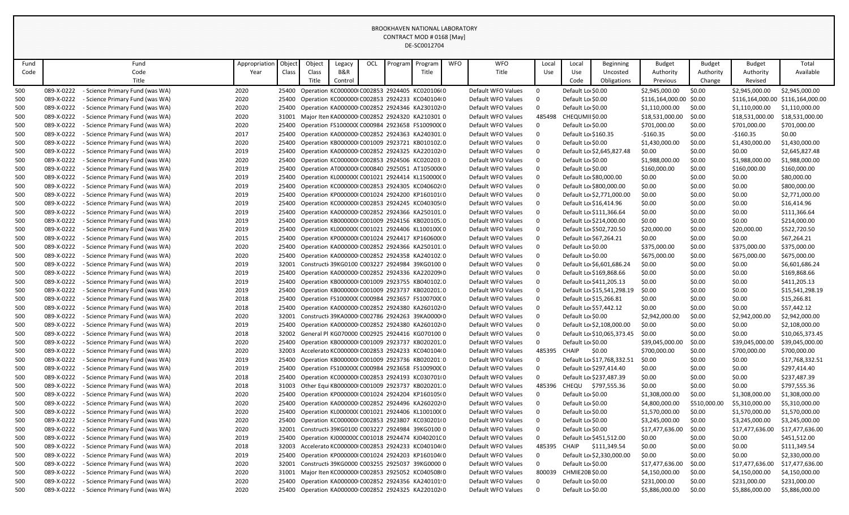| Fund |            | Fund                            | Appropriation | Object | Object | Legacy  | OCL | Program | Program                                              | <b>WFO</b> | <b>WFO</b>         | Local       | Local        | Beginning                  | <b>Budget</b>           | <b>Budget</b> | <b>Budget</b>   | Total                             |
|------|------------|---------------------------------|---------------|--------|--------|---------|-----|---------|------------------------------------------------------|------------|--------------------|-------------|--------------|----------------------------|-------------------------|---------------|-----------------|-----------------------------------|
| Code |            | Code                            | Year          | Class  | Class  | B&R     |     |         | Title                                                |            | Title              | Use         | Use          | Uncosted                   | Authority               | Authority     | Authority       | Available                         |
|      |            | Title                           |               |        | Title  | Control |     |         |                                                      |            |                    |             | Code         | Obligations                | Previous                | Change        | Revised         |                                   |
| 500  | 089-X-0222 | - Science Primary Fund (was WA) | 2020          |        |        |         |     |         | 25400 Operation KC000000 C002853 2924405 KC020106 0  |            | Default WFO Values | $\mathbf 0$ |              | Default Lo \$0.00          | \$2.945.000.00          | \$0.00        | \$2,945,000.00  | \$2,945,000.00                    |
| 500  | 089-X-0222 | - Science Primary Fund (was WA) | 2020          | 25400  |        |         |     |         | Operation KC000000I C002853 2924233 KC040104I 0      |            | Default WFO Values | $\Omega$    |              | Default Lo \$0.00          | \$116,164,000.00 \$0.00 |               |                 | \$116,164,000.00 \$116,164,000.00 |
| 500  | 089-X-0222 | - Science Primary Fund (was WA) | 2020          | 25400  |        |         |     |         | Operation KA000000 C002852 2924346 KA230102 0        |            | Default WFO Values | $\mathbf 0$ |              | Default Lo \$0.00          | \$1,110,000.00          | \$0.00        | \$1,110,000.00  | \$1,110,000.00                    |
| 500  | 089-X-0222 | - Science Primary Fund (was WA) | 2020          | 31001  |        |         |     |         | Major Iten KA000000 C002852 2924320 KA210301 0       |            | Default WFO Values | 485498      |              | CHEQUMII \$0.00            | \$18,531,000.00         | \$0.00        | \$18,531,000.00 | \$18,531,000.00                   |
| 500  | 089-X-0222 | - Science Primary Fund (was WA) | 2020          | 25400  |        |         |     |         | Operation FS100000(C000984 2923658 FS100900(0        |            | Default WFO Values | $\mathbf 0$ |              | Default Lo \$0.00          | \$701,000.00            | \$0.00        | \$701,000.00    | \$701,000.00                      |
| 500  | 089-X-0222 | - Science Primary Fund (was WA) | 2017          | 25400  |        |         |     |         | Operation KA000000 C002852 2924363 KA240301 0        |            | Default WFO Values | $\mathbf 0$ |              | Default Lo \$160.35        | $-$160.35$              | \$0.00        | $-$160.35$      | \$0.00                            |
| 500  | 089-X-0222 | - Science Primary Fund (was WA) | 2020          | 25400  |        |         |     |         | Operation KB000000I C001009 2923721 KB010102.0       |            | Default WFO Values | 0           |              | Default Lo \$0.00          | \$1,430,000.00          | \$0.00        | \$1,430,000.00  | \$1,430,000.00                    |
| 500  | 089-X-0222 | - Science Primary Fund (was WA) | 2019          | 25400  |        |         |     |         | Operation KA000000 C002852 2924325 KA220102 0        |            | Default WFO Values | 0           |              | Default Lo \$2,645,827.48  | \$0.00                  | \$0.00        | \$0.00          | \$2,645,827.48                    |
| 500  | 089-X-0222 | - Science Primary Fund (was WA) | 2020          | 25400  |        |         |     |         | Operation KC000000 C002853 2924506 KC020203 0        |            | Default WFO Values | $\mathbf 0$ |              | Default Lo \$0.00          | \$1,988,000.00          | \$0.00        | \$1,988,000.00  | \$1,988,000.00                    |
| 500  | 089-X-0222 | - Science Primary Fund (was WA) | 2019          | 25400  |        |         |     |         | Operation AT000000 C000840 2925051 AT105000 0        |            | Default WFO Values | $\mathbf 0$ |              | Default Lo \$0.00          | \$160,000.00            | \$0.00        | \$160.000.00    | \$160,000.00                      |
| 500  | 089-X-0222 | - Science Primary Fund (was WA) | 2019          | 25400  |        |         |     |         | Operation KL000000(C001021 2924414 KL150000(0        |            | Default WFO Values | $\mathbf 0$ |              | Default Lo \$80,000.00     | \$0.00                  | \$0.00        | \$0.00          | \$80,000.00                       |
| 500  | 089-X-0222 | - Science Primary Fund (was WA) | 2019          | 25400  |        |         |     |         | Operation KC000000 C002853 2924305 KC040602 0        |            | Default WFO Values | $\mathbf 0$ |              | Default Lo \$800,000.00    | \$0.00                  | \$0.00        | \$0.00          | \$800,000.00                      |
| 500  | 089-X-0222 | - Science Primary Fund (was WA) | 2019          | 25400  |        |         |     |         | Operation KP000000(C001024 2924200 KP160101(0        |            | Default WFO Values | $\mathbf 0$ |              | Default Lo \$2,771,000.00  | \$0.00                  | \$0.00        | \$0.00          | \$2,771,000.00                    |
| 500  | 089-X-0222 | - Science Primary Fund (was WA) | 2019          | 25400  |        |         |     |         | Operation KC000000 C002853 2924245 KC040305 0        |            | Default WFO Values | $\mathbf 0$ |              | Default Lo \$16,414.96     | \$0.00                  | \$0.00        | \$0.00          | \$16,414.96                       |
| 500  | 089-X-0222 | - Science Primary Fund (was WA) | 2019          | 25400  |        |         |     |         | Operation KA000000 C002852 2924366 KA250101.0        |            | Default WFO Values | $\mathbf 0$ |              | Default Lo \$111,366.64    | \$0.00                  | \$0.00        | \$0.00          | \$111,366.64                      |
| 500  | 089-X-0222 | - Science Primary Fund (was WA) | 2019          | 25400  |        |         |     |         | Operation KB000000I C001009 2924156 KB020105.0       |            | Default WFO Values | $\mathbf 0$ |              | Default Lo \$214,000.00    | \$0.00                  | \$0.00        | \$0.00          | \$214,000.00                      |
| 500  | 089-X-0222 | - Science Primary Fund (was WA) | 2019          | 25400  |        |         |     |         | Operation KL000000(C001021 2924406 KL100100(0        |            | Default WFO Values | $\mathbf 0$ |              | Default Lo \$502,720.50    | \$20,000.00             | \$0.00        | \$20,000.00     | \$522,720.50                      |
| 500  | 089-X-0222 | - Science Primary Fund (was WA) | 2015          | 25400  |        |         |     |         | Operation KP000000(C001024 2924417 KP160600(0        |            | Default WFO Values | 0           |              | Default Lo \$67,264.21     | \$0.00                  | \$0.00        | \$0.00          | \$67,264.21                       |
| 500  | 089-X-0222 | - Science Primary Fund (was WA) | 2020          | 25400  |        |         |     |         | Operation KA000000 C002852 2924366 KA250101.0        |            | Default WFO Values | $\mathbf 0$ |              | Default Lo \$0.00          | \$375,000.00            | \$0.00        | \$375,000.00    | \$375,000.00                      |
| 500  | 089-X-0222 | - Science Primary Fund (was WA) | 2020          | 25400  |        |         |     |         | Operation KA000000 C002852 2924358 KA240102.0        |            | Default WFO Values | $\mathbf 0$ |              | Default Lo \$0.00          | \$675,000.00            | \$0.00        | \$675,000.00    | \$675,000.00                      |
| 500  | 089-X-0222 | - Science Primary Fund (was WA) | 2019          | 32001  |        |         |     |         | Constructi 39KG0100 C003227 2924984 39KG0100 0       |            | Default WFO Values | $\mathbf 0$ |              | Default Lo \$6,601,686.24  | \$0.00                  | \$0.00        | \$0.00          | \$6,601,686.24                    |
| 500  | 089-X-0222 | - Science Primary Fund (was WA) | 2019          | 25400  |        |         |     |         | Operation KA000000 C002852 2924336 KA220209 0        |            | Default WFO Values | 0           |              | Default Lo \$169,868.66    | \$0.00                  | \$0.00        | \$0.00          | \$169,868.66                      |
| 500  | 089-X-0222 | - Science Primary Fund (was WA) | 2019          | 25400  |        |         |     |         | Operation KB000000 C001009 2923755 KB040102.0        |            | Default WFO Values | 0           |              | Default Lo \$411,205.13    | \$0.00                  | \$0.00        | \$0.00          | \$411,205.13                      |
| 500  | 089-X-0222 | - Science Primary Fund (was WA) | 2019          | 25400  |        |         |     |         | Operation KB000000(C001009 2923737 KB020201.0        |            | Default WFO Values | $\mathbf 0$ |              | Default Lo \$15,541,298.19 | \$0.00                  | \$0.00        | \$0.00          | \$15,541,298.19                   |
| 500  | 089-X-0222 | - Science Primary Fund (was WA) | 2018          | 25400  |        |         |     |         | Operation FS100000(C000984 2923657 FS100700(0        |            | Default WFO Values | $\mathbf 0$ |              | Default Lo \$15,266.81     | \$0.00                  | \$0.00        | \$0.00          | \$15,266.81                       |
| 500  | 089-X-0222 | - Science Primary Fund (was WA) | 2018          | 25400  |        |         |     |         | Operation KA000000 C002852 2924380 KA260102 0        |            | Default WFO Values | 0           |              | Default Lo \$57,442.12     | \$0.00                  | \$0.00        | \$0.00          | \$57,442.12                       |
| 500  | 089-X-0222 | - Science Primary Fund (was WA) | 2020          | 32001  |        |         |     |         | Constructi 39KA0000 C002786 2924263 39KA0000 0       |            | Default WFO Values | 0           |              | Default Lo \$0.00          | \$2,942,000.00          | \$0.00        | \$2,942,000.00  | \$2,942,000.00                    |
| 500  | 089-X-0222 | - Science Primary Fund (was WA) | 2019          | 25400  |        |         |     |         | Operation KA000000 C002852 2924380 KA260102 0        |            | Default WFO Values | $\mathbf 0$ |              | Default Lo \$2,108,000.00  | \$0.00                  | \$0.00        | \$0.00          | \$2,108,000.00                    |
| 500  | 089-X-0222 | - Science Primary Fund (was WA) | 2018          |        |        |         |     |         | 32002 General Pl KG070000 C002925 2924416 KG070100 0 |            | Default WFO Values | $\mathbf 0$ |              | Default Lo \$10,065,373.45 | \$0.00                  | \$0.00        | \$0.00          | \$10,065,373.45                   |
| 500  | 089-X-0222 | - Science Primary Fund (was WA) | 2020          | 25400  |        |         |     |         | Operation KB000000I C001009 2923737 KB020201.0       |            | Default WFO Values | $\mathbf 0$ |              | Default Lo \$0.00          | \$39,045,000.00         | \$0.00        | \$39,045,000.00 | \$39,045,000.00                   |
| 500  | 089-X-0222 | - Science Primary Fund (was WA) | 2020          | 32003  |        |         |     |         | Accelerato KC000000I C002853 2924233 KC040104I 0     |            | Default WFO Values | 485395      | CHAIP        | \$0.00                     | \$700,000.00            | \$0.00        | \$700,000.00    | \$700,000.00                      |
| 500  | 089-X-0222 | - Science Primary Fund (was WA) | 2019          | 25400  |        |         |     |         | Operation KB000000I C001009 2923736 KB020201:0       |            | Default WFO Values | $\Omega$    |              | Default Lo \$17,768,332.51 | \$0.00                  | \$0.00        | \$0.00          | \$17,768,332.51                   |
| 500  | 089-X-0222 | - Science Primary Fund (was WA) | 2019          | 25400  |        |         |     |         | Operation FS100000(C000984 2923658 FS100900(0        |            | Default WFO Values | $\mathbf 0$ |              | Default Lo \$297,414.40    | \$0.00                  | \$0.00        | \$0.00          | \$297,414.40                      |
| 500  | 089-X-0222 | - Science Primary Fund (was WA) | 2018          | 25400  |        |         |     |         | Operation KC000000 C002853 2924193 KC030701 0        |            | Default WFO Values | $\mathbf 0$ |              | Default Lo \$237,487.39    | \$0.00                  | \$0.00        | \$0.00          | \$237,487.39                      |
| 500  | 089-X-0222 | - Science Primary Fund (was WA) | 2018          | 31003  |        |         |     |         | Other Equi KB000000I C001009 2923737 KB020201.0      |            | Default WFO Values | 485396      |              | CHEQU \$797,555.36         | \$0.00                  | \$0.00        | \$0.00          | \$797,555.36                      |
| 500  | 089-X-0222 | - Science Primary Fund (was WA) | 2020          | 25400  |        |         |     |         | Operation KP000000(C001024 2924204 KP160105(0        |            | Default WFO Values | $\mathbf 0$ |              | Default Lo \$0.00          | \$1,308,000.00          | \$0.00        | \$1,308,000.00  | \$1,308,000.00                    |
| 500  | 089-X-0222 | - Science Primary Fund (was WA) | 2020          | 25400  |        |         |     |         | Operation KA000000 C002852 2924496 KA260202 0        |            | Default WFO Values | $\mathbf 0$ |              | Default Lo \$0.00          | \$4,800,000.00          | \$510,000.00  | \$5,310,000.00  | \$5,310,000.00                    |
| 500  | 089-X-0222 | - Science Primary Fund (was WA) | 2020          | 25400  |        |         |     |         | Operation KL000000(C001021 2924406 KL100100(0        |            | Default WFO Values | 0           |              | Default Lo \$0.00          | \$1,570,000.00          | \$0.00        | \$1,570,000.00  | \$1,570,000.00                    |
| 500  | 089-X-0222 | - Science Primary Fund (was WA) | 2020          | 25400  |        |         |     |         | Operation KC000000I C002853 2923807 KC030201I 0      |            | Default WFO Values | $\mathbf 0$ |              | Default Lo \$0.00          | \$3,245,000.00          | \$0.00        | \$3,245,000.00  | \$3,245,000.00                    |
| 500  | 089-X-0222 | - Science Primary Fund (was WA) | 2020          | 32001  |        |         |     |         | Constructi 39KG0100 C003227 2924984 39KG0100 0       |            | Default WFO Values | $\mathbf 0$ |              | Default Lo \$0.00          | \$17,477,636.00         | \$0.00        | \$17,477,636.00 | \$17,477,636.00                   |
| 500  | 089-X-0222 | - Science Primary Fund (was WA) | 2019          | 25400  |        |         |     |         | Operation KJ000000C C001018 2924474 KJ040201C 0      |            | Default WFO Values | $\Omega$    |              | Default Lo \$451,512.00    | \$0.00                  | \$0.00        | \$0.00          | \$451,512.00                      |
| 500  | 089-X-0222 | - Science Primary Fund (was WA) | 2018          | 32003  |        |         |     |         | Accelerato KC000000I C002853 2924233 KC040104I 0     |            | Default WFO Values | 485395      | <b>CHAIP</b> | \$111,349.54               | \$0.00                  | \$0.00        | \$0.00          | \$111,349.54                      |
| 500  | 089-X-0222 | - Science Primary Fund (was WA) | 2019          | 25400  |        |         |     |         | Operation KP000000(C001024 2924203 KP160104(0        |            | Default WFO Values | $\Omega$    |              | Default Lo \$2,330,000.00  | \$0.00                  | \$0.00        | \$0.00          | \$2,330,000.00                    |
| 500  | 089-X-0222 | - Science Primary Fund (was WA) | 2020          | 32001  |        |         |     |         | Constructi 39KG0000 C003255 2925037 39KG0000 0       |            | Default WFO Values | $\Omega$    |              | Default Lo \$0.00          | \$17,477,636.00         | \$0.00        | \$17,477,636.00 | \$17,477,636.00                   |
| 500  | 089-X-0222 | - Science Primary Fund (was WA) | 2020          | 31001  |        |         |     |         | Major Iten KC000000I C002853 2925052 KC040508I 0     |            | Default WFO Values | 800039      |              | CHMIE20B \$0.00            | \$4,150,000.00          | \$0.00        | \$4,150,000.00  | \$4,150,000.00                    |
| 500  | 089-X-0222 | - Science Primary Fund (was WA) | 2020          | 25400  |        |         |     |         | Operation KA000000 C002852 2924356 KA240101 0        |            | Default WFO Values | $\mathbf 0$ |              | Default Lo \$0.00          | \$231,000.00            | \$0.00        | \$231,000.00    | \$231,000.00                      |
| 500  | 089-X-0222 | - Science Primary Fund (was WA) | 2020          | 25400  |        |         |     |         | Operation KA000000 C002852 2924325 KA220102 0        |            | Default WFO Values | $\mathbf 0$ |              | Default Lo \$0.00          | \$5,886,000.00          | \$0.00        | \$5,886,000.00  | \$5,886,000.00                    |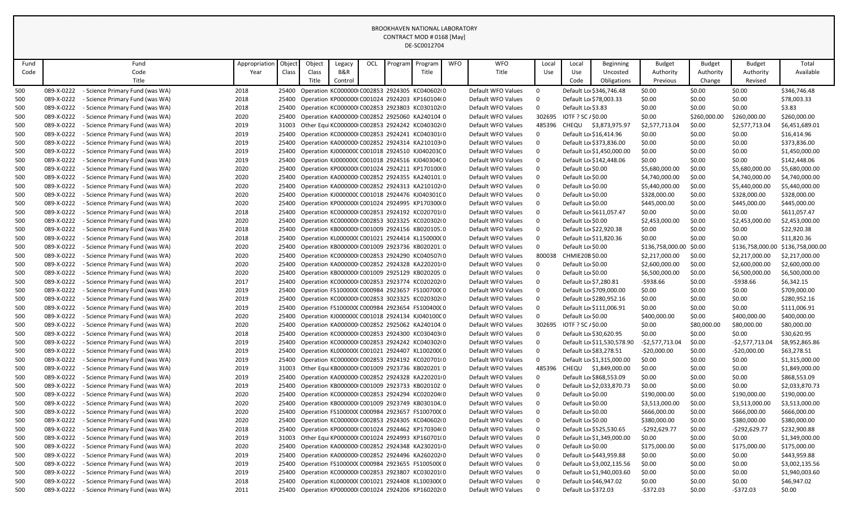| Fund |            | Fund                            | Appropriation | Object | Object | Legacy  | OCL | Program | Program                                                | <b>WFO</b> | <b>WFO</b>         | Local       | Local | Beginning                  | <b>Budget</b>    | <b>Budget</b> | <b>Budget</b>    | Total                             |
|------|------------|---------------------------------|---------------|--------|--------|---------|-----|---------|--------------------------------------------------------|------------|--------------------|-------------|-------|----------------------------|------------------|---------------|------------------|-----------------------------------|
| Code |            | Code                            | Year          | Class  | Class  | B&R     |     |         | Title                                                  |            | Title              | Use         | Use   | Uncosted                   | Authority        | Authority     | Authority        | Available                         |
|      |            | Title                           |               |        | Title  | Control |     |         |                                                        |            |                    |             | Code  | Obligations                | Previous         | Change        | Revised          |                                   |
| 500  | 089-X-0222 | - Science Primary Fund (was WA) | 2018          | 25400  |        |         |     |         | Operation KC000000 C002853 2924305 KC040602 0          |            | Default WFO Values | $\Omega$    |       | Default Lo \$346,746.48    | \$0.00           | \$0.00        | \$0.00           | \$346,746.48                      |
| 500  | 089-X-0222 | - Science Primary Fund (was WA) | 2018          | 25400  |        |         |     |         | Operation KP000000I C001024 2924203 KP160104I 0        |            | Default WFO Values | $\Omega$    |       | Default Lo \$78,003.33     | \$0.00           | \$0.00        | \$0.00           | \$78,003.33                       |
| 500  | 089-X-0222 | - Science Primary Fund (was WA) | 2018          | 25400  |        |         |     |         | Operation KC000000 C002853 2923803 KC030102 0          |            | Default WFO Values | 0           |       | Default Lo \$3.83          | \$0.00           | \$0.00        | \$0.00           | \$3.83                            |
| 500  | 089-X-0222 | - Science Primary Fund (was WA) | 2020          | 25400  |        |         |     |         | Operation KA000000 C002852 2925060 KA240104 0          |            | Default WFO Values | 302695      |       | IOTF ? SC / \$0.00         | \$0.00           | \$260,000.00  | \$260,000.00     | \$260,000.00                      |
| 500  | 089-X-0222 | - Science Primary Fund (was WA) | 2019          |        |        |         |     |         | 31003 Other Equi KC000000I C002853 2924242 KC040302I 0 |            | Default WFO Values | 485396      |       | CHEQU \$3,873,975.97       | \$2,577,713.04   | \$0.00        | \$2,577,713.04   | \$6,451,689.01                    |
| 500  | 089-X-0222 | - Science Primary Fund (was WA) | 2019          | 25400  |        |         |     |         | Operation KC000000I C002853 2924241 KC040301I 0        |            | Default WFO Values | $\Omega$    |       | Default Lo \$16,414.96     | \$0.00           | \$0.00        | \$0.00           | \$16,414.96                       |
| 500  | 089-X-0222 | - Science Primary Fund (was WA) | 2019          | 25400  |        |         |     |         | Operation KA000000 C002852 2924314 KA210103 0          |            | Default WFO Values | $\mathbf 0$ |       | Default Lo \$373,836.00    | \$0.00           | \$0.00        | \$0.00           | \$373,836.00                      |
| 500  | 089-X-0222 | - Science Primary Fund (was WA) | 2019          | 25400  |        |         |     |         | Operation KJ000000C C001018 2924510 KJ040203C 0        |            | Default WFO Values | $\mathbf 0$ |       | Default Lo \$1,450,000.00  | \$0.00           | \$0.00        | \$0.00           | \$1,450,000.00                    |
| 500  | 089-X-0222 | - Science Primary Fund (was WA) | 2019          | 25400  |        |         |     |         | Operation KJ000000C C001018 2924516 KJ040304C 0        |            | Default WFO Values | $\mathbf 0$ |       | Default Lo \$142,448.06    | \$0.00           | \$0.00        | \$0.00           | \$142,448.06                      |
| 500  | 089-X-0222 | - Science Primary Fund (was WA) | 2020          | 25400  |        |         |     |         | Operation KP000000(C001024 2924211 KP170100(0          |            | Default WFO Values | $\mathbf 0$ |       | Default Lo \$0.00          | \$5,680,000.00   | \$0.00        | \$5,680,000.00   | \$5,680,000.00                    |
| 500  | 089-X-0222 | - Science Primary Fund (was WA) | 2020          | 25400  |        |         |     |         | Operation KA000000 C002852 2924355 KA240101 0          |            | Default WFO Values | $\mathbf 0$ |       | Default Lo \$0.00          | \$4,740,000.00   | \$0.00        | \$4,740,000.00   | \$4,740,000.00                    |
| 500  | 089-X-0222 | - Science Primary Fund (was WA) | 2020          | 25400  |        |         |     |         | Operation KA000000 C002852 2924313 KA210102 0          |            | Default WFO Values | $\mathbf 0$ |       | Default Lo \$0.00          | \$5,440,000.00   | \$0.00        | \$5,440,000.00   | \$5,440,000.00                    |
| 500  | 089-X-0222 | - Science Primary Fund (was WA) | 2020          | 25400  |        |         |     |         | Operation KJ000000C C001018 2924476 KJ040301C 0        |            | Default WFO Values | $\mathbf 0$ |       | Default Lo \$0.00          | \$328,000.00     | \$0.00        | \$328,000.00     | \$328,000.00                      |
| 500  | 089-X-0222 | - Science Primary Fund (was WA) | 2020          | 25400  |        |         |     |         | Operation KP000000I C001024 2924995 KP170300I 0        |            | Default WFO Values | $\mathbf 0$ |       | Default Lo \$0.00          | \$445,000.00     | \$0.00        | \$445,000.00     | \$445,000.00                      |
| 500  | 089-X-0222 | - Science Primary Fund (was WA) | 2018          | 25400  |        |         |     |         | Operation KC000000I C002853 2924192 KC020701I 0        |            | Default WFO Values | $\mathbf 0$ |       | Default Lo \$611,057.47    | \$0.00           | \$0.00        | \$0.00           | \$611,057.47                      |
| 500  | 089-X-0222 | - Science Primary Fund (was WA) | 2020          | 25400  |        |         |     |         | Operation KC000000 C002853 3023325 KC020302 0          |            | Default WFO Values | $\mathbf 0$ |       | Default Lo \$0.00          | \$2,453,000.00   | \$0.00        | \$2,453,000.00   | \$2,453,000.00                    |
| 500  | 089-X-0222 | - Science Primary Fund (was WA) | 2018          | 25400  |        |         |     |         | Operation KB000000 C001009 2924156 KB020105.0          |            | Default WFO Values | $\mathbf 0$ |       | Default Lo \$22,920.38     | \$0.00           | \$0.00        | \$0.00           | \$22,920.38                       |
| 500  | 089-X-0222 | - Science Primary Fund (was WA) | 2018          | 25400  |        |         |     |         | Operation KL000000(C001021 2924414 KL150000(0          |            | Default WFO Values | $\mathbf 0$ |       | Default Lo \$11,820.36     | \$0.00           | \$0.00        | \$0.00           | \$11,820.36                       |
| 500  | 089-X-0222 | - Science Primary Fund (was WA) | 2020          | 25400  |        |         |     |         | Operation KB000000I C001009 2923736 KB020201:0         |            | Default WFO Values | $\Omega$    |       | Default Lo \$0.00          | \$136,758,000.00 | \$0.00        |                  | \$136,758,000.00 \$136,758,000.00 |
| 500  | 089-X-0222 | - Science Primary Fund (was WA) | 2020          | 25400  |        |         |     |         | Operation KC000000 C002853 2924290 KC040507 0          |            | Default WFO Values | 800038      |       | CHMIE20B \$0.00            | \$2,217,000.00   | \$0.00        | \$2,217,000.00   | \$2,217,000.00                    |
| 500  | 089-X-0222 | - Science Primary Fund (was WA) | 2020          | 25400  |        |         |     |         | Operation KA000000 C002852 2924328 KA220201 0          |            | Default WFO Values | $\mathbf 0$ |       | Default Lo \$0.00          | \$2,600,000.00   | \$0.00        | \$2,600,000.00   | \$2,600,000.00                    |
| 500  | 089-X-0222 | - Science Primary Fund (was WA) | 2020          | 25400  |        |         |     |         | Operation KB000000 C001009 2925129 KB020205:0          |            | Default WFO Values | $\pmb{0}$   |       | Default Lo \$0.00          | \$6,500,000.00   | \$0.00        | \$6,500,000.00   | \$6,500,000.00                    |
| 500  | 089-X-0222 | - Science Primary Fund (was WA) | 2017          | 25400  |        |         |     |         | Operation KC000000I C002853 2923774 KC020202I 0        |            | Default WFO Values | $\mathbf 0$ |       | Default Lo \$7,280.81      | -\$938.66        | \$0.00        | $-5938.66$       | \$6,342.15                        |
| 500  | 089-X-0222 | - Science Primary Fund (was WA) | 2019          | 25400  |        |         |     |         | Operation FS100000(C000984 2923657 FS100700(0          |            | Default WFO Values | $\mathbf 0$ |       | Default Lo \$709,000.00    | \$0.00           | \$0.00        | \$0.00           | \$709,000.00                      |
| 500  | 089-X-0222 | - Science Primary Fund (was WA) | 2019          | 25400  |        |         |     |         | Operation KC000000I C002853 3023325 KC020302I 0        |            | Default WFO Values | $\mathbf 0$ |       | Default Lo \$280,952.16    | \$0.00           | \$0.00        | \$0.00           | \$280,952.16                      |
| 500  | 089-X-0222 | - Science Primary Fund (was WA) | 2019          | 25400  |        |         |     |         | Operation FS100000(C000984 2923654 FS100400(0          |            | Default WFO Values | $\mathbf 0$ |       | Default Lo \$111,006.91    | \$0.00           | \$0.00        | \$0.00           | \$111,006.91                      |
| 500  | 089-X-0222 | - Science Primary Fund (was WA) | 2020          | 25400  |        |         |     |         | Operation KJ000000C C001018 2924134 KJ040100C 0        |            | Default WFO Values | $\Omega$    |       | Default Lo \$0.00          | \$400,000.00     | \$0.00        | \$400,000,00     | \$400,000.00                      |
| 500  | 089-X-0222 | - Science Primary Fund (was WA) | 2020          | 25400  |        |         |     |         | Operation KA000000 C002852 2925062 KA240104 0          |            | Default WFO Values | 302695      |       | IOTF ? SC / \$0.00         | \$0.00           | \$80,000.00   | \$80,000.00      | \$80,000.00                       |
| 500  | 089-X-0222 | - Science Primary Fund (was WA) | 2018          | 25400  |        |         |     |         | Operation KC000000 C002853 2924300 KC030403 0          |            | Default WFO Values | $\Omega$    |       | Default Lo \$30,620.95     | \$0.00           | \$0.00        | \$0.00           | \$30,620.95                       |
| 500  | 089-X-0222 | - Science Primary Fund (was WA) | 2019          | 25400  |        |         |     |         | Operation KC000000 C002853 2924242 KC040302 0          |            | Default WFO Values | $\mathbf 0$ |       | Default Lo \$11,530,578.90 | -\$2,577,713.04  | \$0.00        | $-$2,577,713.04$ | \$8,952,865.86                    |
| 500  | 089-X-0222 | - Science Primary Fund (was WA) | 2019          | 25400  |        |         |     |         | Operation KL000000(C001021 2924407 KL100200(0          |            | Default WFO Values | $\Omega$    |       | Default Lo \$83,278.51     | $-$20,000.00$    | \$0.00        | $-$20,000.00$    | \$63,278.51                       |
| 500  | 089-X-0222 | - Science Primary Fund (was WA) | 2019          | 25400  |        |         |     |         | Operation KC000000I C002853 2924192 KC020701I 0        |            | Default WFO Values | $\Omega$    |       | Default Lo \$1,315,000.00  | \$0.00           | \$0.00        | \$0.00           | \$1,315,000.00                    |
| 500  | 089-X-0222 | - Science Primary Fund (was WA) | 2019          |        |        |         |     |         | 31003 Other Equi KB000000 C001009 2923736 KB020201:0   |            | Default WFO Values | 485396      |       | CHEQU \$1,849,000.00       | \$0.00           | \$0.00        | \$0.00           | \$1,849,000.00                    |
| 500  | 089-X-0222 | - Science Primary Fund (was WA) | 2019          | 25400  |        |         |     |         | Operation KA000000 C002852 2924328 KA220201 0          |            | Default WFO Values | $\mathbf 0$ |       | Default Lo \$868,553.09    | \$0.00           | \$0.00        | \$0.00           | \$868,553.09                      |
| 500  | 089-X-0222 | - Science Primary Fund (was WA) | 2019          | 25400  |        |         |     |         | Operation KB000000 C001009 2923733 KB020102:0          |            | Default WFO Values | $\Omega$    |       | Default Lo \$2,033,870.73  | \$0.00           | \$0.00        | \$0.00           | \$2,033,870.73                    |
| 500  | 089-X-0222 | - Science Primary Fund (was WA) | 2020          | 25400  |        |         |     |         | Operation KC000000I C002853 2924294 KC020204I 0        |            | Default WFO Values | $\mathbf 0$ |       | Default Lo \$0.00          | \$190,000.00     | \$0.00        | \$190,000.00     | \$190,000.00                      |
| 500  | 089-X-0222 | - Science Primary Fund (was WA) | 2020          | 25400  |        |         |     |         | Operation KB000000I C001009 2923749 KB030104.0         |            | Default WFO Values | $\Omega$    |       | Default Lo \$0.00          | \$3,513,000.00   | \$0.00        | \$3,513,000.00   | \$3,513,000.00                    |
| 500  | 089-X-0222 | - Science Primary Fund (was WA) | 2020          | 25400  |        |         |     |         | Operation FS100000(C000984 2923657 FS100700(0          |            | Default WFO Values | $\mathbf 0$ |       | Default Lo \$0.00          | \$666,000.00     | \$0.00        | \$666,000.00     | \$666,000.00                      |
| 500  | 089-X-0222 | - Science Primary Fund (was WA) | 2020          | 25400  |        |         |     |         | Operation KC000000 C002853 2924305 KC040602 0          |            | Default WFO Values | $\mathbf 0$ |       | Default Lo \$0.00          | \$380,000.00     | \$0.00        | \$380,000.00     | \$380,000.00                      |
| 500  | 089-X-0222 | - Science Primary Fund (was WA) | 2018          | 25400  |        |         |     |         | Operation KP000000(C001024 2924462 KP170304(0          |            | Default WFO Values | $\mathbf 0$ |       | Default Lo \$525,530.65    | $-$292,629.77$   | \$0.00        | $-$292,629.77$   | \$232,900.88                      |
| 500  | 089-X-0222 | - Science Primary Fund (was WA) | 2019          |        |        |         |     |         | 31003 Other Equi KP000000(C001024 2924993 KP160701(0   |            | Default WFO Values | $\Omega$    |       | Default Lo \$1,349,000.00  | \$0.00           | \$0.00        | \$0.00           | \$1,349,000.00                    |
| 500  | 089-X-0222 | - Science Primary Fund (was WA) | 2020          | 25400  |        |         |     |         | Operation KA000000 C002852 2924348 KA230201 0          |            | Default WFO Values | $\mathbf 0$ |       | Default Lo \$0.00          | \$175,000.00     | \$0.00        | \$175,000.00     | \$175,000.00                      |
| 500  | 089-X-0222 | - Science Primary Fund (was WA) | 2019          | 25400  |        |         |     |         | Operation KA000000 C002852 2924496 KA260202 0          |            | Default WFO Values | $\mathbf 0$ |       | Default Lo \$443,959.88    | \$0.00           | \$0.00        | \$0.00           | \$443,959.88                      |
| 500  | 089-X-0222 | - Science Primary Fund (was WA) | 2019          | 25400  |        |         |     |         | Operation FS100000(C000984 2923655 FS100500(0          |            | Default WFO Values | $\mathbf 0$ |       | Default Lo \$3,002,135.56  | \$0.00           | \$0.00        | \$0.00           | \$3,002,135.56                    |
| 500  | 089-X-0222 | - Science Primary Fund (was WA) | 2019          | 25400  |        |         |     |         | Operation KC000000I C002853 2923807 KC030201I 0        |            | Default WFO Values | $\mathbf 0$ |       | Default Lo \$1,940,003.60  | \$0.00           | \$0.00        | \$0.00           | \$1,940,003.60                    |
| 500  | 089-X-0222 | - Science Primary Fund (was WA) | 2018          | 25400  |        |         |     |         | Operation KL000000(C001021 2924408 KL100300(0          |            | Default WFO Values | $\mathbf 0$ |       | Default Lo \$46,947.02     | \$0.00           | \$0.00        | \$0.00           | \$46,947.02                       |
| 500  | 089-X-0222 | - Science Primary Fund (was WA) | 2011          | 25400  |        |         |     |         | Operation KP000000I C001024 2924206 KP160202I 0        |            | Default WFO Values | $\mathbf 0$ |       | Default Lo \$372.03        | $-5372.03$       | \$0.00        | $-5372.03$       | \$0.00                            |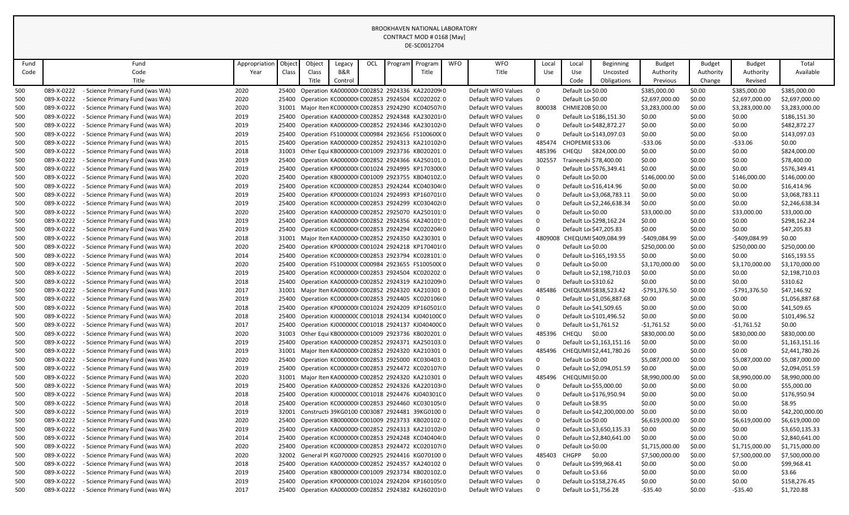| Fund |            | Fund                            | Appropriation | Objec | Object | Legacy  | OCL | Program | Program                                             | <b>WFO</b> | <b>WFO</b>         | Local       | Local                   | Beginning                   | <b>Budget</b>  | <b>Budget</b> | <b>Budget</b>  | Total           |
|------|------------|---------------------------------|---------------|-------|--------|---------|-----|---------|-----------------------------------------------------|------------|--------------------|-------------|-------------------------|-----------------------------|----------------|---------------|----------------|-----------------|
| Code |            | Code                            | Year          | Class | Class  | B&R     |     |         | Title                                               |            | Title              | Use         | Use                     | Uncosted                    | Authority      | Authority     | Authority      | Available       |
|      |            | Title                           |               |       | Title  | Control |     |         |                                                     |            |                    |             | Code                    | Obligations                 | Previous       | Change        | Revised        |                 |
| 500  | 089-X-0222 | - Science Primary Fund (was WA) | 2020          | 25400 |        |         |     |         | Operation KA000000 C002852 2924336 KA220209 0       |            | Default WFO Values | $\mathbf 0$ | Default Lo \$0.00       |                             | \$385,000.00   | \$0.00        | \$385,000.00   | \$385,000.00    |
| 500  | 089-X-0222 | - Science Primary Fund (was WA) | 2020          | 25400 |        |         |     |         | Operation KC000000 C002853 2924504 KC020202 0       |            | Default WFO Values | $\mathbf 0$ | Default Lo \$0.00       |                             | \$2,697,000.00 | \$0.00        | \$2,697,000.00 | \$2,697,000.00  |
| 500  | 089-X-0222 | - Science Primary Fund (was WA) | 2020          | 31001 |        |         |     |         | Major Iten KC000000I C002853 2924290 KC040507I 0    |            | Default WFO Values | 800038      | CHMIE20B \$0.00         |                             | \$3,283,000.00 | \$0.00        | \$3,283,000.00 | \$3,283,000.00  |
| 500  | 089-X-0222 | - Science Primary Fund (was WA) | 2019          | 25400 |        |         |     |         | Operation KA000000 C002852 2924348 KA230201 0       |            | Default WFO Values | $\mathbf 0$ |                         | Default Lo \$186,151.30     | \$0.00         | \$0.00        | \$0.00         | \$186,151.30    |
| 500  | 089-X-0222 | - Science Primary Fund (was WA) | 2019          | 25400 |        |         |     |         | Operation KA000000 C002852 2924346 KA230102 0       |            | Default WFO Values | $\pmb{0}$   |                         | Default Lo \$482,872.27     | \$0.00         | \$0.00        | \$0.00         | \$482,872.27    |
| 500  | 089-X-0222 | - Science Primary Fund (was WA) | 2019          | 25400 |        |         |     |         | Operation FS100000(C000984 2923656 FS100600(0       |            | Default WFO Values | $\mathbf 0$ |                         | Default Lo \$143,097.03     | \$0.00         | \$0.00        | \$0.00         | \$143,097.03    |
| 500  | 089-X-0222 | - Science Primary Fund (was WA) | 2015          | 25400 |        |         |     |         | Operation KA000000 C002852 2924313 KA210102 0       |            | Default WFO Values |             | 485474 CHOPEMIE \$33.06 |                             | $-533.06$      | \$0.00        | $-533.06$      | \$0.00          |
| 500  | 089-X-0222 | - Science Primary Fund (was WA) | 2018          | 31003 |        |         |     |         | Other Equi KB000000I C001009 2923736 KB020201:0     |            | Default WFO Values | 485396      |                         | CHEQU \$824,000.00          | \$0.00         | \$0.00        | \$0.00         | \$824,000.00    |
| 500  | 089-X-0222 | - Science Primary Fund (was WA) | 2019          | 25400 |        |         |     |         | Operation KA000000 C002852 2924366 KA250101 0       |            | Default WFO Values | 302557      |                         | Traineeshi \$78,400.00      | \$0.00         | \$0.00        | \$0.00         | \$78,400.00     |
| 500  | 089-X-0222 | - Science Primary Fund (was WA) | 2019          | 25400 |        |         |     |         | Operation KP000000(C001024 2924995 KP170300(0       |            | Default WFO Values | $\mathbf 0$ |                         | Default Lo \$576,349.41     | \$0.00         | \$0.00        | \$0.00         | \$576,349.41    |
| 500  | 089-X-0222 | - Science Primary Fund (was WA) | 2020          | 25400 |        |         |     |         | Operation KB000000I C001009 2923755 KB040102.0      |            | Default WFO Values | $\mathbf 0$ | Default Lo \$0.00       |                             | \$146,000.00   | \$0.00        | \$146,000.00   | \$146,000.00    |
| 500  | 089-X-0222 | - Science Primary Fund (was WA) | 2019          | 25400 |        |         |     |         | Operation KC000000 C002853 2924244 KC040304 0       |            | Default WFO Values | $\mathbf 0$ |                         | Default Lo \$16,414.96      | \$0.00         | \$0.00        | \$0.00         | \$16,414.96     |
| 500  | 089-X-0222 | - Science Primary Fund (was WA) | 2019          | 25400 |        |         |     |         | Operation KP000000(C001024 2924993 KP160701(0       |            | Default WFO Values | $\mathbf 0$ |                         | Default Lo \$3,068,783.11   | \$0.00         | \$0.00        | \$0.00         | \$3,068,783.11  |
| 500  | 089-X-0222 | - Science Primary Fund (was WA) | 2019          | 25400 |        |         |     |         | Operation KC000000 C002853 2924299 KC030402 0       |            | Default WFO Values | $\mathbf 0$ |                         | Default Lo \$2,246,638.34   | \$0.00         | \$0.00        | \$0.00         | \$2,246,638.34  |
| 500  | 089-X-0222 | - Science Primary Fund (was WA) | 2020          | 25400 |        |         |     |         | Operation KA000000 C002852 2925070 KA250101 0       |            | Default WFO Values | $\mathbf 0$ | Default Lo \$0.00       |                             | \$33,000.00    | \$0.00        | \$33,000.00    | \$33,000.00     |
| 500  | 089-X-0222 | - Science Primary Fund (was WA) | 2019          | 25400 |        |         |     |         | Operation KA000000 C002852 2924356 KA240101 0       |            | Default WFO Values | $\mathbf 0$ |                         | Default Lo \$298,162.24     | \$0.00         | \$0.00        | \$0.00         | \$298,162.24    |
| 500  | 089-X-0222 | - Science Primary Fund (was WA) | 2019          |       |        |         |     |         | 25400 Operation KC000000 C002853 2924294 KC020204 0 |            | Default WFO Values | $\mathbf 0$ |                         | Default Lo \$47,205.83      | \$0.00         | \$0.00        | \$0.00         | \$47,205.83     |
| 500  | 089-X-0222 | - Science Primary Fund (was WA) | 2018          | 31001 |        |         |     |         | Major Iten KA000000 C002852 2924350 KA230301 0      |            | Default WFO Values |             |                         | 4809008 CHEQUMI\$409,084.99 | -\$409,084.99  | \$0.00        | $-$409,084.99$ | \$0.00          |
| 500  | 089-X-0222 | - Science Primary Fund (was WA) | 2020          | 25400 |        |         |     |         | Operation KP000000(C001024 2924218 KP170401(0       |            | Default WFO Values | $\mathbf 0$ | Default Lo \$0.00       |                             | \$250,000.00   | \$0.00        | \$250,000.00   | \$250,000.00    |
| 500  | 089-X-0222 | - Science Primary Fund (was WA) | 2014          | 25400 |        |         |     |         | Operation KC000000 C002853 2923794 KC028101 0       |            | Default WFO Values | $\mathbf 0$ |                         | Default Lo \$165,193.55     | \$0.00         | \$0.00        | \$0.00         | \$165,193.55    |
| 500  | 089-X-0222 | - Science Primary Fund (was WA) | 2020          | 25400 |        |         |     |         | Operation FS100000(C000984 2923655 FS100500(0       |            | Default WFO Values | $\Omega$    | Default Lo \$0.00       |                             | \$3,170,000.00 | \$0.00        | \$3,170,000.00 | \$3,170,000.00  |
| 500  | 089-X-0222 | - Science Primary Fund (was WA) | 2019          | 25400 |        |         |     |         | Operation KC000000 C002853 2924504 KC020202:0       |            | Default WFO Values | $\mathbf 0$ |                         | Default Lo \$2,198,710.03   | \$0.00         | \$0.00        | \$0.00         | \$2,198,710.03  |
| 500  | 089-X-0222 | - Science Primary Fund (was WA) | 2018          | 25400 |        |         |     |         | Operation KA000000 C002852 2924319 KA210209 0       |            | Default WFO Values | $\mathsf 0$ | Default Lo \$310.62     |                             | \$0.00         | \$0.00        | \$0.00         | \$310.62        |
| 500  | 089-X-0222 | - Science Primary Fund (was WA) | 2017          | 31001 |        |         |     |         | Major Iten KA000000 C002852 2924320 KA210301 0      |            | Default WFO Values | 485486      |                         | CHEQUMII \$838,523.42       | -\$791,376.50  | \$0.00        | -\$791,376.50  | \$47,146.92     |
| 500  | 089-X-0222 | - Science Primary Fund (was WA) | 2019          | 25400 |        |         |     |         | Operation KC000000 C002853 2924405 KC020106 0       |            | Default WFO Values | $\mathbf 0$ |                         | Default Lo \$1,056,887.68   | \$0.00         | \$0.00        | \$0.00         | \$1,056,887.68  |
| 500  | 089-X-0222 | - Science Primary Fund (was WA) | 2018          | 25400 |        |         |     |         | Operation KP000000(C001024 2924209 KP160501(0       |            | Default WFO Values | $\mathbf 0$ |                         | Default Lo \$41,509.65      | \$0.00         | \$0.00        | \$0.00         | \$41,509.65     |
| 500  | 089-X-0222 | - Science Primary Fund (was WA) | 2018          | 25400 |        |         |     |         | Operation KJ000000C C001018 2924134 KJ040100C 0     |            | Default WFO Values | $\mathbf 0$ |                         | Default Lo \$101,496.52     | \$0.00         | \$0.00        | \$0.00         | \$101,496.52    |
| 500  | 089-X-0222 | - Science Primary Fund (was WA) | 2017          | 25400 |        |         |     |         | Operation KJ000000C C001018 2924137 KJ040400C 0     |            | Default WFO Values | $\mathbf 0$ | Default Lo \$1,761.52   |                             | -\$1,761.52    | \$0.00        | $-$1,761.52$   | \$0.00          |
| 500  | 089-X-0222 | - Science Primary Fund (was WA) | 2020          | 31003 |        |         |     |         | Other Equi KB000000I C001009 2923736 KB020201:0     |            | Default WFO Values | 485396      | CHEQU \$0.00            |                             | \$830,000.00   | \$0.00        | \$830,000.00   | \$830,000.00    |
| 500  | 089-X-0222 | - Science Primary Fund (was WA) | 2019          | 25400 |        |         |     |         | Operation KA000000 C002852 2924371 KA250103.0       |            | Default WFO Values | $\mathbf 0$ |                         | Default Lo \$1,163,151.16   | \$0.00         | \$0.00        | \$0.00         | \$1,163,151.16  |
| 500  | 089-X-0222 | - Science Primary Fund (was WA) | 2019          | 31001 |        |         |     |         | Major Iten KA000000 C002852 2924320 KA210301 0      |            | Default WFO Values | 485496      |                         | CHEQUMII \$2,441,780.26     | \$0.00         | \$0.00        | \$0.00         | \$2,441,780.26  |
| 500  | 089-X-0222 | - Science Primary Fund (was WA) | 2020          | 25400 |        |         |     |         | Operation KC000000 C002853 2925000 KC030403:0       |            | Default WFO Values | $\mathbf 0$ | Default Lo \$0.00       |                             | \$5,087,000.00 | \$0.00        | \$5,087,000.00 | \$5,087,000.00  |
| 500  | 089-X-0222 | - Science Primary Fund (was WA) | 2019          | 25400 |        |         |     |         | Operation KC000000 C002853 2924472 KC020107 0       |            | Default WFO Values | $\mathbf 0$ |                         | Default Lo \$2,094,051.59   | \$0.00         | \$0.00        | \$0.00         | \$2,094,051.59  |
| 500  | 089-X-0222 | - Science Primary Fund (was WA) | 2020          | 31001 |        |         |     |         | Major Iten KA000000 C002852 2924320 KA210301 0      |            | Default WFO Values |             | 485496 CHEQUMII \$0.00  |                             | \$8,990,000.00 | \$0.00        | \$8,990,000.00 | \$8,990,000.00  |
| 500  | 089-X-0222 | - Science Primary Fund (was WA) | 2019          | 25400 |        |         |     |         | Operation KA000000 C002852 2924326 KA220103 0       |            | Default WFO Values | $\mathbf 0$ |                         | Default Lo \$55,000.00      | \$0.00         | \$0.00        | \$0.00         | \$55,000.00     |
| 500  | 089-X-0222 | - Science Primary Fund (was WA) | 2018          | 25400 |        |         |     |         | Operation KJ000000C C001018 2924476 KJ040301C 0     |            | Default WFO Values | $\mathbf 0$ |                         | Default Lo \$176,950.94     | \$0.00         | \$0.00        | \$0.00         | \$176,950.94    |
| 500  | 089-X-0222 | - Science Primary Fund (was WA) | 2018          | 25400 |        |         |     |         | Operation KC000000 C002853 2924460 KC030105 0       |            | Default WFO Values | $\mathbf 0$ | Default Lo \$8.95       |                             | \$0.00         | \$0.00        | \$0.00         | \$8.95          |
| 500  | 089-X-0222 | - Science Primary Fund (was WA) | 2019          | 32001 |        |         |     |         | Constructi 39KG0100 C003087 2924481 39KG0100 0      |            | Default WFO Values | $\mathbf 0$ |                         | Default Lo \$42,200,000.00  | \$0.00         | \$0.00        | \$0.00         | \$42,200,000.00 |
| 500  | 089-X-0222 | - Science Primary Fund (was WA) | 2020          | 25400 |        |         |     |         | Operation KB000000(C001009 2923733 KB020102:0       |            | Default WFO Values | $\mathbf 0$ | Default Lo \$0.00       |                             | \$6,619,000.00 | \$0.00        | \$6,619,000.00 | \$6,619,000.00  |
| 500  | 089-X-0222 | - Science Primary Fund (was WA) | 2019          | 25400 |        |         |     |         | Operation KA000000 C002852 2924313 KA210102 0       |            | Default WFO Values | $\mathbf 0$ |                         | Default Lo \$3,650,135.33   | \$0.00         | \$0.00        | \$0.00         | \$3,650,135.33  |
| 500  | 089-X-0222 | - Science Primary Fund (was WA) | 2014          | 25400 |        |         |     |         | Operation KC000000 C002853 2924248 KC040404 0       |            | Default WFO Values | $\mathbf 0$ |                         | Default Lo \$2,840,641.00   | \$0.00         | \$0.00        | \$0.00         | \$2,840,641.00  |
| 500  | 089-X-0222 | - Science Primary Fund (was WA) | 2020          | 25400 |        |         |     |         | Operation KC000000 C002853 2924472 KC020107 0       |            | Default WFO Values | $\mathbf 0$ | Default Lo \$0.00       |                             | \$1,715,000.00 | \$0.00        | \$1,715,000.00 | \$1,715,000.00  |
| 500  | 089-X-0222 | - Science Primary Fund (was WA) | 2020          | 32002 |        |         |     |         | General PI KG070000 C002925 2924416 KG070100 0      |            | Default WFO Values | 485403      | CHGPP                   | \$0.00                      | \$7,500,000.00 | \$0.00        | \$7,500,000.00 | \$7,500,000.00  |
| 500  | 089-X-0222 | - Science Primary Fund (was WA) | 2018          |       |        |         |     |         | 25400 Operation KA000000 C002852 2924357 KA240102 0 |            | Default WFO Values | $\mathbf 0$ |                         | Default Lo \$99,968.41      | \$0.00         | \$0.00        | \$0.00         | \$99,968.41     |
| 500  | 089-X-0222 | - Science Primary Fund (was WA) | 2019          | 25400 |        |         |     |         | Operation KB000000I C001009 2923734 KB020102.0      |            | Default WFO Values | $\mathbf 0$ | Default Lo \$3.66       |                             | \$0.00         | \$0.00        | \$0.00         | \$3.66          |
| 500  | 089-X-0222 | - Science Primary Fund (was WA) | 2019          | 25400 |        |         |     |         | Operation KP000000(C001024 2924204 KP160105(0       |            | Default WFO Values | $\Omega$    |                         | Default Lo \$158,276.45     | \$0.00         | \$0.00        | \$0.00         | \$158,276.45    |
| 500  | 089-X-0222 | - Science Primary Fund (was WA) | 2017          |       |        |         |     |         | 25400 Operation KA000000 C002852 2924382 KA260201 0 |            | Default WFO Values | $\Omega$    | Default Lo \$1,756.28   |                             | $-535.40$      | \$0.00        | -\$35.40       | \$1,720.88      |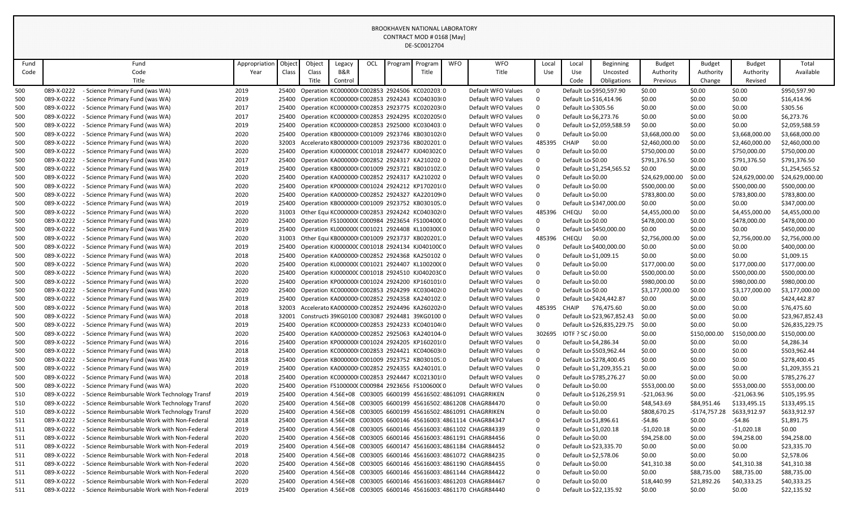| Fund       |                          | Fund                                                                                          | Appropriation | Object         | Object | Legacy  | OCL | Program | Program                                          | <b>WFO</b> | <b>WFO</b>                                                                           | Local                   | Local        | Beginning                                    | <b>Budget</b>                | <b>Budget</b>    | <b>Budget</b>                | Total                        |
|------------|--------------------------|-----------------------------------------------------------------------------------------------|---------------|----------------|--------|---------|-----|---------|--------------------------------------------------|------------|--------------------------------------------------------------------------------------|-------------------------|--------------|----------------------------------------------|------------------------------|------------------|------------------------------|------------------------------|
| Code       |                          | Code                                                                                          | Year          | Class          | Class  | B&R     |     |         | Title                                            |            | Title                                                                                | Use                     | Use          | Uncosted                                     | Authority                    | Authority        | Authority                    | Available                    |
|            |                          | Title                                                                                         |               |                | Title  | Control |     |         |                                                  |            |                                                                                      |                         | Code         | Obligations                                  | Previous                     | Change           | Revised                      |                              |
| 500        | 089-X-0222               | - Science Primary Fund (was WA)                                                               | 2019          | 25400          |        |         |     |         | Operation KC000000 C002853 2924506 KC020203:0    |            | Default WFO Values                                                                   | $\mathbf 0$             |              | Default Lo \$950,597.90                      | \$0.00                       | \$0.00           | \$0.00                       | \$950,597.90                 |
| 500        | 089-X-0222               | - Science Primary Fund (was WA)                                                               | 2019          | 25400          |        |         |     |         | Operation KC000000 C002853 2924243 KC040303 0    |            | Default WFO Values                                                                   | $\mathbf 0$             |              | Default Lo \$16,414.96                       | \$0.00                       | \$0.00           | \$0.00                       | \$16,414.96                  |
| 500        | 089-X-0222               | - Science Primary Fund (was WA)                                                               | 2017          | 25400          |        |         |     |         | Operation KC000000I C002853 2923775 KC020203I 0  |            | Default WFO Values                                                                   | $\mathbf 0$             |              | Default Lo \$305.56                          | \$0.00                       | \$0.00           | \$0.00                       | \$305.56                     |
| 500        | 089-X-0222               | - Science Primary Fund (was WA)                                                               | 2017          | 25400          |        |         |     |         | Operation KC000000I C002853 2924295 KC020205I 0  |            | Default WFO Values                                                                   | $\mathbf 0$             |              | Default Lo \$6,273.76                        | \$0.00                       | \$0.00           | \$0.00                       | \$6,273.76                   |
| 500        | 089-X-0222               | - Science Primary Fund (was WA)                                                               | 2019          | 25400          |        |         |     |         | Operation KC000000 C002853 2925000 KC030403:0    |            | Default WFO Values                                                                   | $\mathbf 0$             |              | Default Lo \$2,059,588.59                    | \$0.00                       | \$0.00           | \$0.00                       | \$2,059,588.59               |
| 500        | 089-X-0222               | - Science Primary Fund (was WA)                                                               | 2020          | 25400          |        |         |     |         | Operation KB000000(C001009 2923746 KB030102(0    |            | Default WFO Values                                                                   | $\mathbf 0$             |              | Default Lo \$0.00                            | \$3,668,000.00               | \$0.00           | \$3,668,000.00               | \$3,668,000.00               |
| 500        | 089-X-0222               | - Science Primary Fund (was WA)                                                               | 2020          | 32003          |        |         |     |         | Accelerato KB0000000 C001009 2923736 KB020201:0  |            | Default WFO Values                                                                   | 485395                  | <b>CHAIP</b> | \$0.00                                       | \$2,460,000.00               | \$0.00           | \$2,460,000.00               | \$2,460,000.00               |
| 500        | 089-X-0222               | - Science Primary Fund (was WA)                                                               | 2020          | 25400          |        |         |     |         | Operation KJ000000C C001018 2924477 KJ040302C 0  |            | Default WFO Values                                                                   | $\mathbf 0$             |              | Default Lo \$0.00                            | \$750,000.00                 | \$0.00           | \$750,000.00                 | \$750,000.00                 |
| 500        | 089-X-0222               | - Science Primary Fund (was WA)                                                               | 2017          | 25400          |        |         |     |         | Operation KA000000 C002852 2924317 KA210202 0    |            | Default WFO Values                                                                   | $\Omega$                |              | Default Lo \$0.00                            | \$791,376.50                 | \$0.00           | \$791,376.50                 | \$791,376.50                 |
| 500        | 089-X-0222               | - Science Primary Fund (was WA)                                                               | 2019          | 25400          |        |         |     |         | Operation KB000000(C001009 2923721 KB010102.0    |            | Default WFO Values                                                                   | $\Omega$                |              | Default Lo \$1,254,565.52                    | \$0.00                       | \$0.00           | \$0.00                       | \$1,254,565.52               |
| 500        | 089-X-0222               | - Science Primary Fund (was WA)                                                               | 2020          | 25400          |        |         |     |         | Operation KA000000 C002852 2924317 KA210202 0    |            | Default WFO Values                                                                   | $\Omega$                |              | Default Lo \$0.00                            | \$24,629,000.00              | \$0.00           | \$24,629,000.00              | \$24,629,000.00              |
| 500        | 089-X-0222               | - Science Primary Fund (was WA)                                                               | 2020          | 25400          |        |         |     |         | Operation KP000000(C001024 2924212 KP170201(0    |            | Default WFO Values                                                                   | $\mathbf 0$             |              | Default Lo \$0.00                            | \$500,000.00                 | \$0.00           | \$500,000.00                 | \$500,000.00                 |
| 500        | 089-X-0222               | - Science Primary Fund (was WA)                                                               | 2020          | 25400          |        |         |     |         | Operation KA000000 C002852 2924327 KA220109 0    |            | Default WFO Values                                                                   | $\Omega$                |              | Default Lo \$0.00                            | \$783,800.00                 | \$0.00           | \$783,800.00                 | \$783,800.00                 |
| 500        | 089-X-0222               | - Science Primary Fund (was WA)                                                               | 2019          | 25400          |        |         |     |         | Operation KB000000I C001009 2923752 KB030105.0   |            | Default WFO Values                                                                   | $\Omega$                |              | Default Lo \$347,000.00                      | \$0.00                       | \$0.00           | \$0.00                       | \$347,000.00                 |
| 500        | 089-X-0222               | - Science Primary Fund (was WA)                                                               | 2020          | 31003          |        |         |     |         | Other Equi KC000000I C002853 2924242 KC040302I 0 |            | Default WFO Values                                                                   | 485396                  |              | CHEQU \$0.00                                 | \$4,455,000.00               | \$0.00           | \$4,455,000.00               | \$4,455,000.00               |
| 500        | 089-X-0222               | - Science Primary Fund (was WA)                                                               | 2020          | 25400          |        |         |     |         | Operation FS100000(C000984 2923654 FS100400(0    |            | Default WFO Values                                                                   | $\mathbf{0}$            |              | Default Lo \$0.00                            | \$478,000.00                 | \$0.00           | \$478,000.00                 | \$478,000.00                 |
| 500        | 089-X-0222               | - Science Primary Fund (was WA)                                                               | 2019          | 25400          |        |         |     |         | Operation KL000000(C001021 2924408 KL100300(0    |            | Default WFO Values                                                                   | $\mathbf{0}$            |              | Default Lo \$450,000.00                      | \$0.00                       | \$0.00           | \$0.00                       | \$450,000.00                 |
| 500        | 089-X-0222               | - Science Primary Fund (was WA)                                                               | 2020          | 31003          |        |         |     |         | Other Equi KB0000001 C001009 2923737 KB020201.0  |            | Default WFO Values                                                                   | 485396                  | CHEQU        | \$0.00                                       | \$2,756,000.00               | \$0.00           | \$2,756,000.00               | \$2,756,000.00               |
| 500        | 089-X-0222               | - Science Primary Fund (was WA)                                                               | 2019          | 25400          |        |         |     |         | Operation KJ000000C C001018 2924134 KJ040100C 0  |            | Default WFO Values                                                                   | $\mathbf{0}$            |              | Default Lo \$400,000.00                      | \$0.00                       | \$0.00           | \$0.00                       | \$400,000.00                 |
| 500        | 089-X-0222               | - Science Primary Fund (was WA)                                                               | 2018          | 25400          |        |         |     |         | Operation KA000000 C002852 2924368 KA250102 0    |            | Default WFO Values                                                                   | $\mathbf 0$             |              | Default Lo \$1,009.15                        | \$0.00                       | \$0.00           | \$0.00                       | \$1,009.15                   |
| 500        | 089-X-0222               | - Science Primary Fund (was WA)                                                               | 2020          | 25400          |        |         |     |         | Operation KL000000(C001021 2924407 KL100200(0    |            | Default WFO Values                                                                   | $\Omega$                |              | Default Lo \$0.00                            | \$177,000.00                 | \$0.00           | \$177,000.00                 | \$177,000.00                 |
| 500        | 089-X-0222               | - Science Primary Fund (was WA)                                                               | 2020          | 25400          |        |         |     |         | Operation KJ000000C C001018 2924510 KJ040203C 0  |            | Default WFO Values                                                                   | $\mathbf 0$             |              | Default Lo \$0.00                            | \$500,000.00                 | \$0.00           | \$500,000.00                 | \$500,000.00                 |
| 500        | 089-X-0222               | - Science Primary Fund (was WA)                                                               | 2020          | 25400          |        |         |     |         | Operation KP000000(C001024 2924200 KP160101(0    |            | Default WFO Values                                                                   | $\mathbf 0$             |              | Default Lo \$0.00                            | \$980,000.00                 | \$0.00           | \$980,000.00                 | \$980,000.00                 |
| 500        | 089-X-0222               | - Science Primary Fund (was WA)                                                               | 2020          | 25400          |        |         |     |         | Operation KC000000 C002853 2924299 KC030402 0    |            | Default WFO Values                                                                   | $\mathbf 0$             |              | Default Lo \$0.00                            | \$3,177,000.00               | \$0.00           | \$3,177,000.00               | \$3,177,000.00               |
| 500        | 089-X-0222               | - Science Primary Fund (was WA)                                                               | 2019          | 25400          |        |         |     |         | Operation KA000000 C002852 2924358 KA240102.0    |            | Default WFO Values                                                                   | $\mathbf 0$             |              | Default Lo \$424,442.87                      | \$0.00                       | \$0.00           | \$0.00                       | \$424,442.87                 |
| 500        | 089-X-0222               | - Science Primary Fund (was WA)                                                               | 2018          | 32003          |        |         |     |         | Accelerato KA000000 C002852 2924496 KA260202 0   |            | Default WFO Values                                                                   | 485395                  | <b>CHAIP</b> | \$76,475.60                                  | \$0.00                       | \$0.00           | \$0.00                       | \$76,475.60                  |
| 500        | 089-X-0222               | - Science Primary Fund (was WA)                                                               | 2018          | 32001          |        |         |     |         | Constructi 39KG0100 C003087 2924481 39KG0100 0   |            | Default WFO Values                                                                   | $\mathbf 0$             |              | Default Lo \$23,967,852.43                   | \$0.00                       | \$0.00           | \$0.00                       | \$23,967,852.43              |
| 500        | 089-X-0222               | - Science Primary Fund (was WA)                                                               | 2019          | 25400          |        |         |     |         | Operation KC000000 C002853 2924233 KC040104 0    |            | Default WFO Values                                                                   | $\mathbf{0}$            |              | Default Lo \$26,835,229.75                   | \$0.00                       | \$0.00           | \$0.00                       | \$26,835,229.75              |
| 500        | 089-X-0222               | - Science Primary Fund (was WA)                                                               | 2020          | 25400          |        |         |     |         | Operation KA000000 C002852 2925063 KA240104 0    |            | Default WFO Values                                                                   | 302695                  |              | IOTF ? SC / \$0.00                           | \$0.00                       | \$150,000.00     | \$150,000.00                 | \$150,000.00                 |
| 500        | 089-X-0222               | - Science Primary Fund (was WA)                                                               | 2016          | 25400          |        |         |     |         | Operation KP000000(C001024 2924205 KP160201(0    |            | Default WFO Values                                                                   | $\mathbf{0}$            |              | Default Lo \$4,286.34                        | \$0.00                       | \$0.00           | \$0.00                       | \$4,286.34                   |
| 500        | 089-X-0222               | - Science Primary Fund (was WA)                                                               | 2018          | 25400          |        |         |     |         | Operation KC000000I C002853 2924421 KC040603I 0  |            | Default WFO Values                                                                   | $\Omega$                |              | Default Lo \$503,962.44                      | \$0.00                       | \$0.00           | \$0.00                       | \$503,962.44                 |
| 500        | 089-X-0222               | - Science Primary Fund (was WA)                                                               | 2018          | 25400          |        |         |     |         | Operation KB000000I C001009 2923752 KB030105.0   |            | Default WFO Values                                                                   | $\mathbf 0$             |              | Default Lo \$278,400.45                      | \$0.00                       | \$0.00           | \$0.00                       | \$278,400.45                 |
| 500        | 089-X-0222               | - Science Primary Fund (was WA)                                                               | 2019          | 25400          |        |         |     |         | Operation KA000000 C002852 2924355 KA240101 0    |            | Default WFO Values                                                                   | $\mathbf 0$             |              | Default Lo \$1,209,355.21                    | \$0.00                       | \$0.00           | \$0.00                       | \$1,209,355.21               |
| 500        | 089-X-0222               | - Science Primary Fund (was WA)                                                               | 2018<br>2020  | 25400          |        |         |     |         | Operation KC000000 C002853 2924447 KC021301 0    |            | Default WFO Values                                                                   | $\mathbf 0$             |              | Default Lo \$785,276.27                      | \$0.00                       | \$0.00           | \$0.00                       | \$785,276.27                 |
| 500<br>510 | 089-X-0222<br>089-X-0222 | - Science Primary Fund (was WA)                                                               | 2019          | 25400<br>25400 |        |         |     |         | Operation FS100000(C000984 2923656 FS100600(0    |            | Default WFO Values<br>Operation 4.56E+08 C003005 6600199 45616502.4861091 CHAGRRIKEN | $\mathbf 0$<br>$\Omega$ |              | Default Lo \$0.00<br>Default Lo \$126,259.91 | \$553,000.00<br>-\$21,063.96 | \$0.00<br>\$0.00 | \$553,000.00<br>-\$21,063.96 | \$553,000.00<br>\$105,195.95 |
|            | 089-X-0222               | - Science Reimbursable Work Technology Transf                                                 | 2020          |                |        |         |     |         |                                                  |            | Operation 4.56E+08 C003005 6600199 45616502.4861208 CHAGR84470                       | $\mathbf 0$             |              | Default Lo \$0.00                            | \$48,543.69                  | \$84,951.46      | \$133,495.15                 | \$133,495.15                 |
| 510<br>510 | 089-X-0222               | - Science Reimbursable Work Technology Transf                                                 | 2020          | 25400<br>25400 |        |         |     |         |                                                  |            | Operation 4.56E+08 C003005 6600199 45616502 4861091 CHAGRRIKEN                       | $\Omega$                |              | Default Lo \$0.00                            | \$808,670.25                 | $-$174,757.28$   | \$633,912.97                 | \$633,912.97                 |
| 511        | 089-X-0222               | - Science Reimbursable Work Technology Transf<br>- Science Reimbursable Work with Non-Federal | 2018          | 25400          |        |         |     |         |                                                  |            | Operation 4.56E+08 C003005 6600146 45616003: 4861114 CHAGR84347                      | $\Omega$                |              | Default Lo \$1,896.61                        | $-54.86$                     | \$0.00           | -\$4.86                      | \$1,891.75                   |
| 511        | 089-X-0222               | - Science Reimbursable Work with Non-Federal                                                  | 2019          | 25400          |        |         |     |         |                                                  |            | Operation 4.56E+08 C003005 6600146 45616003.4861102 CHAGR84339                       | $\Omega$                |              | Default Lo \$1,020.18                        | $-$1,020.18$                 | \$0.00           | -\$1,020.18                  | \$0.00                       |
| 511        | 089-X-0222               | - Science Reimbursable Work with Non-Federal                                                  | 2020          | 25400          |        |         |     |         |                                                  |            | Operation 4.56E+08 C003005 6600146 45616003.4861191 CHAGR84456                       | 0                       |              | Default Lo \$0.00                            | \$94,258.00                  | \$0.00           | \$94,258.00                  | \$94,258.00                  |
| 511        | 089-X-0222               | - Science Reimbursable Work with Non-Federal                                                  | 2019          | 25400          |        |         |     |         |                                                  |            | Operation 4.56E+08 C003005 6600147 45616003 4861184 CHAGR84452                       | $\Omega$                |              | Default Lo \$23,335.70                       | \$0.00                       | \$0.00           | \$0.00                       | \$23,335.70                  |
| 511        | 089-X-0222               | - Science Reimbursable Work with Non-Federal                                                  | 2018          | 25400          |        |         |     |         |                                                  |            | Operation 4.56E+08 C003005 6600146 45616003.4861072 CHAGR84235                       | $\Omega$                |              | Default Lo \$2,578.06                        | \$0.00                       | \$0.00           | \$0.00                       | \$2,578.06                   |
| 511        | 089-X-0222               | - Science Reimbursable Work with Non-Federal                                                  | 2020          | 25400          |        |         |     |         |                                                  |            | Operation 4.56E+08 C003005 6600146 45616003.4861190 CHAGR84455                       | $\Omega$                |              | Default Lo \$0.00                            | \$41,310.38                  | \$0.00           | \$41,310.38                  | \$41,310.38                  |
| 511        | 089-X-0222               | - Science Reimbursable Work with Non-Federal                                                  | 2020          | 25400          |        |         |     |         |                                                  |            | Operation 4.56E+08 C003005 6600146 45616003 4861144 CHAGR84422                       | $\Omega$                |              | Default Lo \$0.00                            | \$0.00                       | \$88,735.00      | \$88,735.00                  | \$88,735.00                  |
| 511        | 089-X-0222               | - Science Reimbursable Work with Non-Federal                                                  | 2020          | 25400          |        |         |     |         |                                                  |            | Operation 4.56E+08 C003005 6600146 45616003 4861203 CHAGR84467                       | $\Omega$                |              | Default Lo \$0.00                            | \$18,440.99                  | \$21,892.26      | \$40,333.25                  | \$40,333.25                  |
| 511        | 089-X-0222               | - Science Reimbursable Work with Non-Federal                                                  | 2019          | 25400          |        |         |     |         |                                                  |            | Operation 4.56E+08 C003005 6600146 45616003.4861170 CHAGR84440                       | $\Omega$                |              | Default Lo \$22,135.92                       | \$0.00                       | \$0.00           | \$0.00                       | \$22,135.92                  |
|            |                          |                                                                                               |               |                |        |         |     |         |                                                  |            |                                                                                      |                         |              |                                              |                              |                  |                              |                              |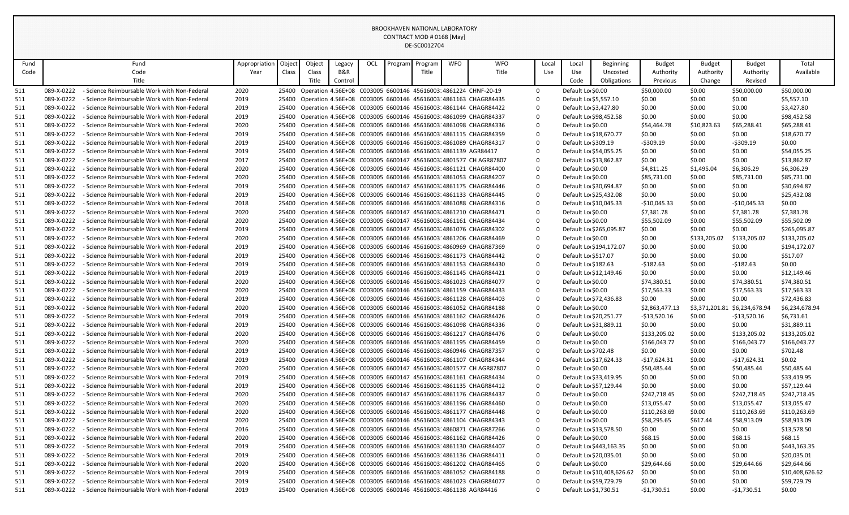| Fund |            | Fund                                         | Appropriatior | Object | Object                                                              | Legacy  | OCL | Program | Program | <b>WFO</b> | <b>WFO</b>                                                            |             | Local | Local                  | <b>Beginning</b>           | <b>Budget</b>  | Budget         | <b>Budget</b>  | Total           |
|------|------------|----------------------------------------------|---------------|--------|---------------------------------------------------------------------|---------|-----|---------|---------|------------|-----------------------------------------------------------------------|-------------|-------|------------------------|----------------------------|----------------|----------------|----------------|-----------------|
| Code |            | Code                                         | Year          | Class  | Class                                                               | B&R     |     |         | Title   |            | Title                                                                 |             | Use   | Use                    | Uncosted                   | Authority      | Authority      | Authority      | Available       |
|      |            | Title                                        |               |        | Title                                                               | Control |     |         |         |            |                                                                       |             |       | Code                   | Obligations                | Previous       | Change         | Revised        |                 |
| 511  | 089-X-0222 | - Science Reimbursable Work with Non-Federal | 2020          | 25400  |                                                                     |         |     |         |         |            | Operation 4.56E+08 C003005 6600146 45616003 4861224 CHNF-20-19        | $\mathbf 0$ |       | Default Lo \$0.00      |                            | \$50,000.00    | \$0.00         | \$50,000.00    | \$50,000.00     |
| 511  | 089-X-0222 | - Science Reimbursable Work with Non-Federal | 2019          | 25400  |                                                                     |         |     |         |         |            | Operation 4.56E+08 C003005 6600146 45616003 4861163 CHAGR84435        | $\Omega$    |       | Default Lo \$5,557.10  |                            | \$0.00         | \$0.00         | \$0.00         | \$5,557.10      |
| 511  | 089-X-0222 | - Science Reimbursable Work with Non-Federal | 2019          | 25400  |                                                                     |         |     |         |         |            | Operation 4.56E+08 C003005 6600146 45616003.4861144 CHAGR84422        | $\Omega$    |       | Default Lo \$3,427.80  |                            | \$0.00         | \$0.00         | \$0.00         | \$3,427.80      |
| 511  | 089-X-0222 | - Science Reimbursable Work with Non-Federal | 2019          | 25400  |                                                                     |         |     |         |         |            | Operation 4.56E+08 C003005 6600146 45616003 4861099 CHAGR84337        | $\Omega$    |       | Default Lo \$98,452.58 |                            | \$0.00         | \$0.00         | \$0.00         | \$98,452.58     |
| 511  | 089-X-0222 | - Science Reimbursable Work with Non-Federal | 2020          | 25400  |                                                                     |         |     |         |         |            | Operation 4.56E+08 C003005 6600146 45616003.4861098 CHAGR84336        | $\Omega$    |       | Default Lo \$0.00      |                            | \$54,464.78    | \$10,823.63    | \$65,288.41    | \$65,288.41     |
| 511  | 089-X-0222 | - Science Reimbursable Work with Non-Federal | 2019          | 25400  |                                                                     |         |     |         |         |            | Operation 4.56E+08 C003005 6600146 45616003 4861115 CHAGR84359        | $\Omega$    |       | Default Lo \$18,670.77 |                            | \$0.00         | \$0.00         | \$0.00         | \$18,670.77     |
| 511  | 089-X-0222 | - Science Reimbursable Work with Non-Federal | 2019          | 25400  |                                                                     |         |     |         |         |            | Operation 4.56E+08 C003005 6600146 45616003 4861089 CHAGR84317        | $\Omega$    |       | Default Lo \$309.19    |                            | -\$309.19      | \$0.00         | $-5309.19$     | \$0.00          |
| 511  | 089-X-0222 | - Science Reimbursable Work with Non-Federal | 2019          | 25400  | Operation 4.56E+08 C003005 6600146 45616003 4861139 AGR84417        |         |     |         |         |            |                                                                       | $\Omega$    |       | Default Lo \$54,055.25 |                            | \$0.00         | \$0.00         | \$0.00         | \$54,055.25     |
| 511  | 089-X-0222 | - Science Reimbursable Work with Non-Federal | 2017          |        |                                                                     |         |     |         |         |            | 25400 Operation 4.56E+08 C003005 6600147 45616003 4801577 CH AGR87807 | $\Omega$    |       | Default Lo \$13,862.87 |                            | \$0.00         | \$0.00         | \$0.00         | \$13,862.87     |
| 511  | 089-X-0222 | - Science Reimbursable Work with Non-Federal | 2020          | 25400  |                                                                     |         |     |         |         |            | Operation 4.56E+08 C003005 6600146 45616003: 4861121 CHAGR84400       | $\Omega$    |       | Default Lo \$0.00      |                            | \$4,811.25     | \$1,495.04     | \$6,306.29     | \$6,306.29      |
| 511  | 089-X-0222 | - Science Reimbursable Work with Non-Federal | 2020          | 25400  |                                                                     |         |     |         |         |            | Operation 4.56E+08 C003005 6600146 45616003: 4861053 CHAGR84207       | $\Omega$    |       | Default Lo \$0.00      |                            | \$85,731.00    | \$0.00         | \$85,731.00    | \$85,731.00     |
| 511  | 089-X-0222 | - Science Reimbursable Work with Non-Federal | 2019          | 25400  |                                                                     |         |     |         |         |            | Operation 4.56E+08 C003005 6600147 45616003 4861175 CHAGR84446        | $\Omega$    |       | Default Lo \$30,694.87 |                            | \$0.00         | \$0.00         | \$0.00         | \$30,694.87     |
| 511  | 089-X-0222 | - Science Reimbursable Work with Non-Federal | 2019          | 25400  |                                                                     |         |     |         |         |            | Operation 4.56E+08 C003005 6600146 45616003: 4861133 CHAGR84445       | $\Omega$    |       | Default Lo \$25,432.08 |                            | \$0.00         | \$0.00         | \$0.00         | \$25,432.08     |
| 511  | 089-X-0222 | - Science Reimbursable Work with Non-Federal | 2018          | 25400  |                                                                     |         |     |         |         |            | Operation 4.56E+08 C003005 6600146 45616003.4861088 CHAGR84316        | $\Omega$    |       | Default Lo \$10,045.33 |                            | $-$10,045.33$  | \$0.00         | $-$10,045.33$  | \$0.00          |
| 511  | 089-X-0222 | - Science Reimbursable Work with Non-Federal | 2020          | 25400  |                                                                     |         |     |         |         |            | Operation 4.56E+08 C003005 6600147 45616003.4861210 CHAGR84471        | $\mathbf 0$ |       | Default Lo \$0.00      |                            | \$7,381.78     | \$0.00         | \$7,381.78     | \$7,381.78      |
| 511  | 089-X-0222 | - Science Reimbursable Work with Non-Federal | 2020          | 25400  |                                                                     |         |     |         |         |            | Operation 4.56E+08 C003005 6600147 45616003 4861161 CHAGR84434        | $\Omega$    |       | Default Lo \$0.00      |                            | \$55,502.09    | \$0.00         | \$55,502.09    | \$55,502.09     |
| 511  | 089-X-0222 | - Science Reimbursable Work with Non-Federal | 2019          | 25400  |                                                                     |         |     |         |         |            | Operation 4.56E+08 C003005 6600147 45616003.4861076 CHAGR84302        | $\Omega$    |       |                        | Default Lo \$265,095.87    | \$0.00         | \$0.00         | \$0.00         | \$265,095.87    |
| 511  | 089-X-0222 | - Science Reimbursable Work with Non-Federal | 2020          | 25400  |                                                                     |         |     |         |         |            | Operation 4.56E+08 C003005 6600146 45616003.4861206 CHAGR84469        | $\Omega$    |       | Default Lo \$0.00      |                            | \$0.00         | \$133,205.02   | \$133,205.02   | \$133,205.02    |
| 511  | 089-X-0222 | - Science Reimbursable Work with Non-Federal | 2019          | 25400  |                                                                     |         |     |         |         |            | Operation 4.56E+08 C003005 6600146 45616003: 4860969 CHAGR87369       | $\mathbf 0$ |       |                        | Default Lo \$194,172.07    | \$0.00         | \$0.00         | \$0.00         | \$194,172.07    |
| 511  | 089-X-0222 | - Science Reimbursable Work with Non-Federal | 2019          | 25400  |                                                                     |         |     |         |         |            | Operation 4.56E+08 C003005 6600146 45616003 4861173 CHAGR84442        | $\Omega$    |       | Default Lo \$517.07    |                            | \$0.00         | \$0.00         | \$0.00         | \$517.07        |
| 511  | 089-X-0222 | - Science Reimbursable Work with Non-Federal | 2019          | 25400  |                                                                     |         |     |         |         |            | Operation 4.56E+08 C003005 6600146 45616003 4861153 CHAGR84430        | $\Omega$    |       | Default Lo \$182.63    |                            | -\$182.63      | \$0.00         | $-5182.63$     | \$0.00          |
| 511  | 089-X-0222 | - Science Reimbursable Work with Non-Federal | 2019          | 25400  |                                                                     |         |     |         |         |            | Operation 4.56E+08 C003005 6600146 45616003: 4861145 CHAGR84421       | $\Omega$    |       | Default Lo \$12,149.46 |                            | \$0.00         | \$0.00         | \$0.00         | \$12,149.46     |
| 511  | 089-X-0222 | - Science Reimbursable Work with Non-Federal | 2020          | 25400  |                                                                     |         |     |         |         |            | Operation 4.56E+08 C003005 6600146 45616003: 4861023 CHAGR84077       | $\Omega$    |       | Default Lo \$0.00      |                            | \$74,380.51    | \$0.00         | \$74,380.51    | \$74,380.51     |
| 511  | 089-X-0222 | - Science Reimbursable Work with Non-Federal | 2020          | 25400  |                                                                     |         |     |         |         |            | Operation 4.56E+08 C003005 6600146 45616003 4861159 CHAGR84433        | $\mathbf 0$ |       | Default Lo \$0.00      |                            | \$17,563.33    | \$0.00         | \$17,563.33    | \$17,563.33     |
| 511  | 089-X-0222 | - Science Reimbursable Work with Non-Federal | 2019          | 25400  |                                                                     |         |     |         |         |            | Operation 4.56E+08 C003005 6600146 45616003: 4861128 CHAGR84403       | $\Omega$    |       | Default Lo \$72,436.83 |                            | \$0.00         | \$0.00         | \$0.00         | \$72,436.83     |
| 511  | 089-X-0222 | - Science Reimbursable Work with Non-Federal | 2020          | 25400  |                                                                     |         |     |         |         |            | Operation 4.56E+08 C003005 6600146 45616003: 4861052 CHAGR84188       | $\Omega$    |       | Default Lo \$0.00      |                            | \$2,863,477.13 | \$3,371,201.81 | \$6,234,678.94 | \$6,234,678.94  |
| 511  | 089-X-0222 | - Science Reimbursable Work with Non-Federal | 2019          | 25400  |                                                                     |         |     |         |         |            | Operation 4.56E+08 C003005 6600146 45616003: 4861162 CHAGR84426       | $\Omega$    |       | Default Lo \$20,251.77 |                            | -\$13,520.16   | \$0.00         | $-$13,520.16$  | \$6,731.61      |
| 511  | 089-X-0222 | - Science Reimbursable Work with Non-Federal | 2019          | 25400  |                                                                     |         |     |         |         |            | Operation 4.56E+08 C003005 6600146 45616003 4861098 CHAGR84336        | $\Omega$    |       | Default Lo \$31,889.11 |                            | \$0.00         | \$0.00         | \$0.00         | \$31,889.11     |
| 511  | 089-X-0222 | - Science Reimbursable Work with Non-Federal | 2020          | 25400  |                                                                     |         |     |         |         |            | Operation 4.56E+08 C003005 6600146 45616003 4861217 CHAGR84476        | $\Omega$    |       | Default Lo \$0.00      |                            | \$133,205.02   | \$0.00         | \$133,205.02   | \$133,205.02    |
| 511  | 089-X-0222 | - Science Reimbursable Work with Non-Federal | 2020          | 25400  |                                                                     |         |     |         |         |            | Operation 4.56E+08 C003005 6600146 45616003.4861195 CHAGR84459        | $\Omega$    |       | Default Lo \$0.00      |                            | \$166,043.77   | \$0.00         | \$166,043.77   | \$166,043.77    |
| 511  | 089-X-0222 | - Science Reimbursable Work with Non-Federal | 2019          | 25400  |                                                                     |         |     |         |         |            | Operation 4.56E+08 C003005 6600146 45616003: 4860946 CHAGR87357       | $\Omega$    |       | Default Lo \$702.48    |                            | \$0.00         | \$0.00         | \$0.00         | \$702.48        |
| 511  | 089-X-0222 | - Science Reimbursable Work with Non-Federal | 2019          | 25400  |                                                                     |         |     |         |         |            | Operation 4.56E+08 C003005 6600146 45616003 4861107 CHAGR84344        | $\Omega$    |       | Default Lo \$17,624.33 |                            | -\$17,624.31   | \$0.00         | -\$17,624.31   | \$0.02\$        |
| 511  | 089-X-0222 | - Science Reimbursable Work with Non-Federal | 2020          | 25400  |                                                                     |         |     |         |         |            | Operation 4.56E+08 C003005 6600147 45616003.4801577 CH AGR87807       | $\Omega$    |       | Default Lo \$0.00      |                            | \$50,485.44    | \$0.00         | \$50,485.44    | \$50,485.44     |
| 511  | 089-X-0222 | - Science Reimbursable Work with Non-Federal | 2019          | 25400  |                                                                     |         |     |         |         |            | Operation 4.56E+08 C003005 6600147 45616003 4861161 CHAGR84434        | $\Omega$    |       | Default Lo \$33,419.95 |                            | \$0.00         | \$0.00         | \$0.00         | \$33,419.95     |
| 511  | 089-X-0222 | - Science Reimbursable Work with Non-Federal | 2019          | 25400  |                                                                     |         |     |         |         |            | Operation 4.56E+08 C003005 6600146 45616003.4861135 CHAGR84412        | $\Omega$    |       | Default Lo \$57,129.44 |                            | \$0.00         | \$0.00         | \$0.00         | \$57,129.44     |
| 511  | 089-X-0222 | - Science Reimbursable Work with Non-Federal | 2020          |        |                                                                     |         |     |         |         |            | 25400 Operation 4.56E+08 C003005 6600147 45616003 4861176 CHAGR84437  | $\Omega$    |       | Default Lo \$0.00      |                            | \$242,718.45   | \$0.00         | \$242,718.45   | \$242,718.45    |
| 511  | 089-X-0222 | - Science Reimbursable Work with Non-Federal | 2020          | 25400  |                                                                     |         |     |         |         |            | Operation 4.56E+08 C003005 6600146 45616003 4861196 CHAGR84460        | $\Omega$    |       | Default Lo \$0.00      |                            | \$13,055.47    | \$0.00         | \$13,055.47    | \$13,055.47     |
| 511  | 089-X-0222 | - Science Reimbursable Work with Non-Federal | 2020          | 25400  |                                                                     |         |     |         |         |            | Operation 4.56E+08 C003005 6600146 45616003:4861177 CHAGR84448        | $\Omega$    |       | Default Lo \$0.00      |                            | \$110,263.69   | \$0.00         | \$110,263.69   | \$110,263.69    |
| 511  | 089-X-0222 | - Science Reimbursable Work with Non-Federal | 2020          | 25400  |                                                                     |         |     |         |         |            | Operation 4.56E+08 C003005 6600146 45616003 4861104 CHAGR84343        | $\Omega$    |       | Default Lo \$0.00      |                            | \$58,295.65    | \$617.44       | \$58,913.09    | \$58,913.09     |
| 511  | 089-X-0222 | - Science Reimbursable Work with Non-Federal | 2016          | 25400  |                                                                     |         |     |         |         |            | Operation 4.56E+08 C003005 6600146 45616003.4860871 CHAGR87266        | $\Omega$    |       | Default Lo \$13,578.50 |                            | \$0.00         | \$0.00         | \$0.00         | \$13,578.50     |
| 511  | 089-X-0222 | - Science Reimbursable Work with Non-Federal | 2020          | 25400  |                                                                     |         |     |         |         |            | Operation 4.56E+08 C003005 6600146 45616003.4861162 CHAGR84426        | $\Omega$    |       | Default Lo \$0.00      |                            | \$68.15        | \$0.00         | \$68.15        | \$68.15         |
| 511  | 089-X-0222 | - Science Reimbursable Work with Non-Federal | 2019          | 25400  |                                                                     |         |     |         |         |            | Operation 4.56E+08 C003005 6600146 45616003: 4861130 CHAGR84407       | $\Omega$    |       |                        | Default Lo \$443,163.35    | \$0.00         | \$0.00         | \$0.00         | \$443,163.35    |
| 511  | 089-X-0222 | - Science Reimbursable Work with Non-Federal | 2019          | 25400  |                                                                     |         |     |         |         |            | Operation 4.56E+08 C003005 6600146 45616003 4861136 CHAGR84411        | $\Omega$    |       | Default Lo \$20,035.01 |                            | \$0.00         | \$0.00         | \$0.00         | \$20,035.01     |
| 511  | 089-X-0222 | - Science Reimbursable Work with Non-Federal | 2020          | 25400  |                                                                     |         |     |         |         |            | Operation 4.56E+08 C003005 6600146 45616003.4861202 CHAGR84465        | $\Omega$    |       | Default Lo \$0.00      |                            | \$29,644.66    | \$0.00         | \$29,644.66    | \$29,644.66     |
| 511  | 089-X-0222 | - Science Reimbursable Work with Non-Federal | 2019          | 25400  |                                                                     |         |     |         |         |            | Operation 4.56E+08 C003005 6600146 45616003: 4861052 CHAGR84188       | $\Omega$    |       |                        | Default Lo \$10,408,626.62 | \$0.00         | \$0.00         | \$0.00         | \$10,408,626.62 |
| 511  | 089-X-0222 | - Science Reimbursable Work with Non-Federal | 2019          | 25400  |                                                                     |         |     |         |         |            | Operation 4.56E+08 C003005 6600146 45616003: 4861023 CHAGR84077       | $\Omega$    |       | Default Lo \$59,729.79 |                            | \$0.00         | \$0.00         | \$0.00         | \$59,729.79     |
| 511  | 089-X-0222 | - Science Reimbursable Work with Non-Federal | 2019          |        | 25400 Operation 4.56E+08 C003005 6600146 45616003: 4861138 AGR84416 |         |     |         |         |            |                                                                       | $\Omega$    |       | Default Lo \$1,730.51  |                            | -\$1,730.51    | \$0.00         | $-$1,730.51$   | \$0.00          |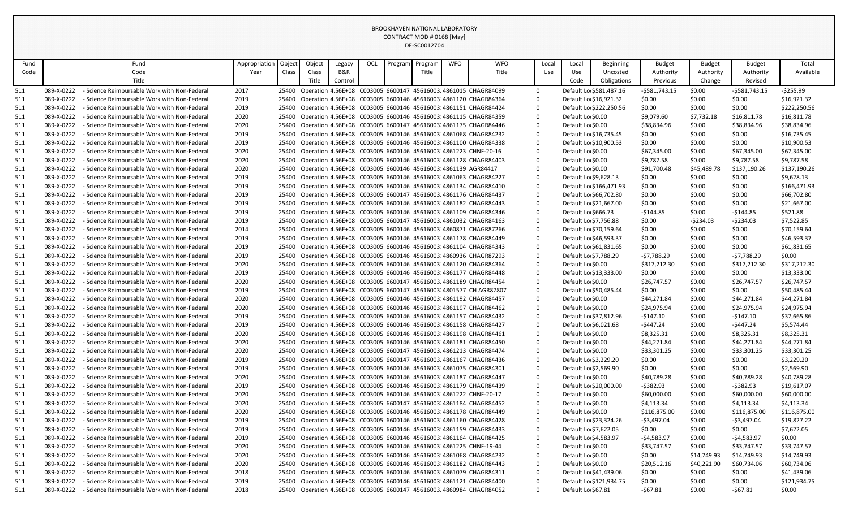| Fund |            | Fund                                         | Appropriatior | Object | Object                                                       | Legacy  | OCL | Program | Program | <b>WFO</b> | <b>WFO</b>                                                           |             | Local | Local               | <b>Beginning</b>        | <b>Budget</b> | Budget      | <b>Budget</b>  | Total        |
|------|------------|----------------------------------------------|---------------|--------|--------------------------------------------------------------|---------|-----|---------|---------|------------|----------------------------------------------------------------------|-------------|-------|---------------------|-------------------------|---------------|-------------|----------------|--------------|
| Code |            | Code                                         | Year          | Class  | Class                                                        | B&R     |     |         | Title   |            | Title                                                                |             | Use   | Use                 | Uncosted                | Authority     | Authority   | Authority      | Available    |
|      |            | Title                                        |               |        | Title                                                        | Control |     |         |         |            |                                                                      |             |       | Code                | Obligations             | Previous      | Change      | Revised        |              |
| 511  | 089-X-0222 | - Science Reimbursable Work with Non-Federal | 2017          | 25400  |                                                              |         |     |         |         |            | Operation 4.56E+08 C003005 6600147 45616003 4861015 CHAGR84099       | $\mathbf 0$ |       |                     | Default Lo \$581,487.16 | -\$581,743.15 | \$0.00      | $-5581,743.15$ | $-$ \$255.99 |
| 511  | 089-X-0222 | - Science Reimbursable Work with Non-Federal | 2019          | 25400  |                                                              |         |     |         |         |            | Operation 4.56E+08 C003005 6600146 45616003 4861120 CHAGR84364       | $\mathbf 0$ |       |                     | Default Lo \$16,921.32  | \$0.00        | \$0.00      | \$0.00         | \$16,921.32  |
| 511  | 089-X-0222 | - Science Reimbursable Work with Non-Federal | 2019          | 25400  |                                                              |         |     |         |         |            | Operation 4.56E+08 C003005 6600146 45616003: 4861151 CHAGR84424      | $\Omega$    |       |                     | Default Lo \$222,250.56 | \$0.00        | \$0.00      | \$0.00         | \$222,250.56 |
| 511  | 089-X-0222 | - Science Reimbursable Work with Non-Federal | 2020          | 25400  |                                                              |         |     |         |         |            | Operation 4.56E+08 C003005 6600146 45616003: 4861115 CHAGR84359      | $\Omega$    |       | Default Lo \$0.00   |                         | \$9,079.60    | \$7,732.18  | \$16,811.78    | \$16,811.78  |
| 511  | 089-X-0222 | - Science Reimbursable Work with Non-Federal | 2020          | 25400  |                                                              |         |     |         |         |            | Operation 4.56E+08 C003005 6600147 45616003 4861175 CHAGR84446       | $\Omega$    |       | Default Lo \$0.00   |                         | \$38,834.96   | \$0.00      | \$38,834.96    | \$38,834.96  |
| 511  | 089-X-0222 | - Science Reimbursable Work with Non-Federal | 2019          | 25400  |                                                              |         |     |         |         |            | Operation 4.56E+08 C003005 6600146 45616003 4861068 CHAGR84232       | $\Omega$    |       |                     | Default Lo \$16,735.45  | \$0.00        | \$0.00      | \$0.00         | \$16,735.45  |
| 511  | 089-X-0222 | - Science Reimbursable Work with Non-Federal | 2019          | 25400  |                                                              |         |     |         |         |            | Operation 4.56E+08 C003005 6600146 45616003 4861100 CHAGR84338       | $\Omega$    |       |                     | Default Lo \$10,900.53  | \$0.00        | \$0.00      | \$0.00         | \$10,900.53  |
| 511  | 089-X-0222 | - Science Reimbursable Work with Non-Federal | 2020          | 25400  |                                                              |         |     |         |         |            | Operation 4.56E+08 C003005 6600146 45616003 4861223 CHNF-20-16       | $\Omega$    |       | Default Lo \$0.00   |                         | \$67,345.00   | \$0.00      | \$67,345.00    | \$67,345.00  |
| 511  | 089-X-0222 | - Science Reimbursable Work with Non-Federal | 2020          | 25400  |                                                              |         |     |         |         |            | Operation 4.56E+08 C003005 6600146 45616003.4861128 CHAGR84403       | $\Omega$    |       | Default Lo \$0.00   |                         | \$9,787.58    | \$0.00      | \$9,787.58     | \$9,787.58   |
| 511  | 089-X-0222 | - Science Reimbursable Work with Non-Federal | 2020          | 25400  | Operation 4.56E+08 C003005 6600146 45616003 4861139 AGR84417 |         |     |         |         |            |                                                                      | $\Omega$    |       | Default Lo \$0.00   |                         | \$91,700.48   | \$45,489.78 | \$137,190.26   | \$137,190.26 |
| 511  | 089-X-0222 | - Science Reimbursable Work with Non-Federal | 2019          | 25400  |                                                              |         |     |         |         |            | Operation 4.56E+08 C003005 6600146 45616003 4861063 CHAGR84227       | $\Omega$    |       |                     | Default Lo \$9,628.13   | \$0.00        | \$0.00      | \$0.00         | \$9,628.13   |
| 511  | 089-X-0222 | - Science Reimbursable Work with Non-Federal | 2019          | 25400  |                                                              |         |     |         |         |            | Operation 4.56E+08 C003005 6600146 45616003.4861134 CHAGR84410       | $\Omega$    |       |                     | Default Lo \$166,471.93 | \$0.00        | \$0.00      | \$0.00         | \$166,471.93 |
| 511  | 089-X-0222 | - Science Reimbursable Work with Non-Federal | 2019          | 25400  |                                                              |         |     |         |         |            | Operation 4.56E+08 C003005 6600147 45616003.4861176 CHAGR84437       | $\Omega$    |       |                     | Default Lo \$66,702.80  | \$0.00        | \$0.00      | \$0.00         | \$66,702.80  |
| 511  | 089-X-0222 | - Science Reimbursable Work with Non-Federal | 2019          | 25400  |                                                              |         |     |         |         |            | Operation 4.56E+08 C003005 6600146 45616003: 4861182 CHAGR84443      | $\Omega$    |       |                     | Default Lo \$21,667.00  | \$0.00        | \$0.00      | \$0.00         | \$21,667.00  |
| 511  | 089-X-0222 | - Science Reimbursable Work with Non-Federal | 2019          | 25400  |                                                              |         |     |         |         |            | Operation 4.56E+08 C003005 6600146 45616003 4861109 CHAGR84346       | $\Omega$    |       | Default Lo \$666.73 |                         | -\$144.85     | \$0.00      | $-5144.85$     | \$521.88     |
| 511  | 089-X-0222 | - Science Reimbursable Work with Non-Federal | 2019          | 25400  |                                                              |         |     |         |         |            | Operation 4.56E+08 C003005 6600147 45616003.4861032 CHAGR84163       | $\Omega$    |       |                     | Default Lo \$7,756.88   | \$0.00        | $-5234.03$  | $-5234.03$     | \$7,522.85   |
| 511  | 089-X-0222 | - Science Reimbursable Work with Non-Federal | 2014          | 25400  |                                                              |         |     |         |         |            | Operation 4.56E+08 C003005 6600146 45616003.4860871 CHAGR87266       | $\Omega$    |       |                     | Default Lo \$70,159.64  | \$0.00        | \$0.00      | \$0.00         | \$70,159.64  |
| 511  | 089-X-0222 | - Science Reimbursable Work with Non-Federal | 2019          | 25400  |                                                              |         |     |         |         |            | Operation 4.56E+08 C003005 6600146 45616003 4861178 CHAGR84449       | $\Omega$    |       |                     | Default Lo \$46,593.37  | \$0.00        | \$0.00      | \$0.00         | \$46,593.37  |
| 511  | 089-X-0222 | - Science Reimbursable Work with Non-Federal | 2019          | 25400  |                                                              |         |     |         |         |            | Operation 4.56E+08 C003005 6600146 45616003:4861104 CHAGR84343       | $\Omega$    |       |                     | Default Lo \$61,831.65  | \$0.00        | \$0.00      | \$0.00         | \$61,831.65  |
| 511  | 089-X-0222 | - Science Reimbursable Work with Non-Federal | 2019          | 25400  |                                                              |         |     |         |         |            | Operation 4.56E+08 C003005 6600146 45616003: 4860936 CHAGR87293      | $\Omega$    |       |                     | Default Lo \$7,788.29   | -\$7,788.29   | \$0.00      | $-57,788.29$   | \$0.00       |
| 511  | 089-X-0222 | - Science Reimbursable Work with Non-Federal | 2020          | 25400  |                                                              |         |     |         |         |            | Operation 4.56E+08 C003005 6600146 45616003: 4861120 CHAGR84364      | $\Omega$    |       | Default Lo \$0.00   |                         | \$317,212.30  | \$0.00      | \$317,212.30   | \$317,212.30 |
| 511  | 089-X-0222 | - Science Reimbursable Work with Non-Federal | 2019          | 25400  |                                                              |         |     |         |         |            | Operation 4.56E+08 C003005 6600146 45616003.4861177 CHAGR84448       | $\Omega$    |       |                     | Default Lo \$13,333.00  | \$0.00        | \$0.00      | \$0.00         | \$13,333.00  |
| 511  | 089-X-0222 | - Science Reimbursable Work with Non-Federal | 2020          | 25400  |                                                              |         |     |         |         |            | Operation 4.56E+08 C003005 6600147 45616003 4861189 CHAGR84454       | $\mathbf 0$ |       | Default Lo \$0.00   |                         | \$26,747.57   | \$0.00      | \$26,747.57    | \$26,747.57  |
| 511  | 089-X-0222 | - Science Reimbursable Work with Non-Federal | 2019          | 25400  |                                                              |         |     |         |         |            | Operation 4.56E+08 C003005 6600147 45616003.4801577 CH AGR87807      | $\Omega$    |       |                     | Default Lo \$50,485.44  | \$0.00        | \$0.00      | \$0.00         | \$50,485.44  |
| 511  | 089-X-0222 | - Science Reimbursable Work with Non-Federal | 2020          | 25400  |                                                              |         |     |         |         |            | Operation 4.56E+08 C003005 6600146 45616003: 4861192 CHAGR84457      | $\Omega$    |       | Default Lo \$0.00   |                         | \$44,271.84   | \$0.00      | \$44,271.84    | \$44,271.84  |
| 511  | 089-X-0222 | - Science Reimbursable Work with Non-Federal | 2020          | 25400  |                                                              |         |     |         |         |            | Operation 4.56E+08 C003005 6600146 45616003 4861197 CHAGR84462       | $\Omega$    |       | Default Lo \$0.00   |                         | \$24,975.94   | \$0.00      | \$24,975.94    | \$24,975.94  |
| 511  | 089-X-0222 | - Science Reimbursable Work with Non-Federal | 2019          | 25400  |                                                              |         |     |         |         |            | Operation 4.56E+08 C003005 6600146 45616003 4861157 CHAGR84432       | $\Omega$    |       |                     | Default Lo \$37,812.96  | -\$147.10     | \$0.00      | $-5147.10$     | \$37,665.86  |
| 511  | 089-X-0222 | - Science Reimbursable Work with Non-Federal | 2019          | 25400  |                                                              |         |     |         |         |            | Operation 4.56E+08 C003005 6600146 45616003 4861158 CHAGR84427       | $\Omega$    |       |                     | Default Lo \$6,021.68   | -\$447.24     | \$0.00      | -\$447.24      | \$5,574.44   |
| 511  | 089-X-0222 | - Science Reimbursable Work with Non-Federal | 2020          | 25400  |                                                              |         |     |         |         |            | Operation 4.56E+08 C003005 6600146 45616003 4861198 CHAGR84461       | $\Omega$    |       | Default Lo \$0.00   |                         | \$8,325.31    | \$0.00      | \$8,325.31     | \$8,325.31   |
| 511  | 089-X-0222 | - Science Reimbursable Work with Non-Federal | 2020          | 25400  |                                                              |         |     |         |         |            | Operation 4.56E+08 C003005 6600146 45616003: 4861181 CHAGR84450      | $\Omega$    |       | Default Lo \$0.00   |                         | \$44,271.84   | \$0.00      | \$44,271.84    | \$44,271.84  |
| 511  | 089-X-0222 | - Science Reimbursable Work with Non-Federal | 2020          | 25400  |                                                              |         |     |         |         |            | Operation 4.56E+08 C003005 6600147 45616003.4861213 CHAGR84474       | $\mathbf 0$ |       | Default Lo \$0.00   |                         | \$33,301.25   | \$0.00      | \$33,301.25    | \$33,301.25  |
| 511  | 089-X-0222 | - Science Reimbursable Work with Non-Federal | 2019          | 25400  |                                                              |         |     |         |         |            | Operation 4.56E+08 C003005 6600147 45616003 4861167 CHAGR84436       | $\Omega$    |       |                     | Default Lo \$3,229.20   | \$0.00        | \$0.00      | \$0.00         | \$3,229.20   |
| 511  | 089-X-0222 | - Science Reimbursable Work with Non-Federal | 2019          | 25400  |                                                              |         |     |         |         |            | Operation 4.56E+08 C003005 6600146 45616003: 4861075 CHAGR84301      | $\Omega$    |       |                     | Default Lo \$2,569.90   | \$0.00        | \$0.00      | \$0.00         | \$2,569.90   |
| 511  | 089-X-0222 | - Science Reimbursable Work with Non-Federal | 2020          | 25400  |                                                              |         |     |         |         |            | Operation 4.56E+08 C003005 6600146 45616003: 4861187 CHAGR84447      | $\Omega$    |       | Default Lo \$0.00   |                         | \$40,789.28   | \$0.00      | \$40,789.28    | \$40,789.28  |
| 511  | 089-X-0222 | - Science Reimbursable Work with Non-Federal | 2019          | 25400  |                                                              |         |     |         |         |            | Operation 4.56E+08 C003005 6600146 45616003: 4861179 CHAGR84439      | $\Omega$    |       |                     | Default Lo \$20,000.00  | -\$382.93     | \$0.00      | $-5382.93$     | \$19,617.07  |
| 511  | 089-X-0222 | - Science Reimbursable Work with Non-Federal | 2020          | 25400  |                                                              |         |     |         |         |            | Operation 4.56E+08 C003005 6600146 45616003 4861222 CHNF-20-17       | $\Omega$    |       | Default Lo \$0.00   |                         | \$60,000.00   | \$0.00      | \$60,000.00    | \$60,000.00  |
| 511  | 089-X-0222 | - Science Reimbursable Work with Non-Federal | 2020          | 25400  |                                                              |         |     |         |         |            | Operation 4.56E+08 C003005 6600147 45616003.4861184 CHAGR84452       | $\Omega$    |       | Default Lo \$0.00   |                         | \$4,113.34    | \$0.00      | \$4,113.34     | \$4,113.34   |
| 511  | 089-X-0222 | - Science Reimbursable Work with Non-Federal | 2020          | 25400  |                                                              |         |     |         |         |            | Operation 4.56E+08 C003005 6600146 45616003.4861178 CHAGR84449       | $\Omega$    |       | Default Lo \$0.00   |                         | \$116,875.00  | \$0.00      | \$116,875.00   | \$116,875.00 |
| 511  | 089-X-0222 | - Science Reimbursable Work with Non-Federal | 2019          | 25400  |                                                              |         |     |         |         |            | Operation 4.56E+08 C003005 6600146 45616003.4861160 CHAGR84428       | $\Omega$    |       |                     | Default Lo \$23,324.26  | -\$3,497.04   | \$0.00      | $-$3,497.04$   | \$19,827.22  |
| 511  | 089-X-0222 | - Science Reimbursable Work with Non-Federal | 2019          | 25400  |                                                              |         |     |         |         |            | Operation 4.56E+08 C003005 6600146 45616003:4861159 CHAGR84433       | $\Omega$    |       |                     | Default Lo \$7,622.05   | \$0.00        | \$0.00      | \$0.00         | \$7,622.05   |
| 511  | 089-X-0222 | - Science Reimbursable Work with Non-Federal | 2019          | 25400  |                                                              |         |     |         |         |            | Operation 4.56E+08 C003005 6600146 45616003.4861164 CHAGR84425       | $\Omega$    |       |                     | Default Lo \$4,583.97   | -\$4,583.97   | \$0.00      | $-54,583.97$   | \$0.00       |
| 511  | 089-X-0222 | - Science Reimbursable Work with Non-Federal | 2020          | 25400  |                                                              |         |     |         |         |            | Operation 4.56E+08 C003005 6600146 45616003 4861225 CHNF-19-44       | $\Omega$    |       | Default Lo \$0.00   |                         | \$33,747.57   | \$0.00      | \$33,747.57    | \$33,747.57  |
| 511  | 089-X-0222 | - Science Reimbursable Work with Non-Federal | 2020          | 25400  |                                                              |         |     |         |         |            | Operation 4.56E+08 C003005 6600146 45616003.4861068 CHAGR84232       | $\Omega$    |       | Default Lo \$0.00   |                         | \$0.00        | \$14,749.93 | \$14,749.93    | \$14,749.93  |
| 511  | 089-X-0222 | - Science Reimbursable Work with Non-Federal | 2020          | 25400  |                                                              |         |     |         |         |            | Operation 4.56E+08 C003005 6600146 45616003.4861182 CHAGR84443       | $\Omega$    |       | Default Lo \$0.00   |                         | \$20,512.16   | \$40,221.90 | \$60,734.06    | \$60,734.06  |
| 511  | 089-X-0222 | - Science Reimbursable Work with Non-Federal | 2018          | 25400  |                                                              |         |     |         |         |            | Operation 4.56E+08 C003005 6600146 45616003: 4861079 CHAGR84311      | $\Omega$    |       |                     | Default Lo \$41,439.06  | \$0.00        | \$0.00      | \$0.00         | \$41,439.06  |
| 511  | 089-X-0222 | - Science Reimbursable Work with Non-Federal | 2019          | 25400  |                                                              |         |     |         |         |            | Operation 4.56E+08 C003005 6600146 45616003.4861121 CHAGR84400       | $\Omega$    |       |                     | Default Lo \$121,934.75 | \$0.00        | \$0.00      | \$0.00         | \$121,934.75 |
| 511  | 089-X-0222 | - Science Reimbursable Work with Non-Federal | 2018          |        |                                                              |         |     |         |         |            | 25400 Operation 4.56E+08 C003005 6600147 45616003 4860984 CHAGR84052 | $\Omega$    |       | Default Lo \$67.81  |                         | -\$67.81      | \$0.00      | $-567.81$      | \$0.00       |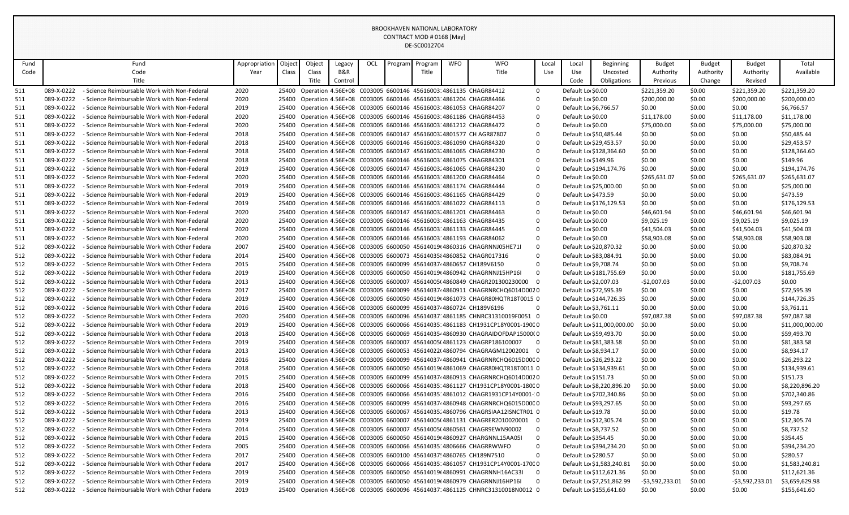| Fund |            | Fund                                          | Appropriation | Objec | Object | Legacy  | OCL | Program | Program | <b>WFO</b> | <b>WFO</b>                                                                       | Local                   | Local                  | Beginning                  | <b>Budget</b>    | <b>Budget</b> | <b>Budget</b>   | Total           |
|------|------------|-----------------------------------------------|---------------|-------|--------|---------|-----|---------|---------|------------|----------------------------------------------------------------------------------|-------------------------|------------------------|----------------------------|------------------|---------------|-----------------|-----------------|
| Code |            | Code                                          | Year          | Class | Class  | B&R     |     |         | Title   |            | Title                                                                            | Use                     | Use                    | Uncosted                   | Authority        | Authority     | Authority       | Available       |
|      |            | Title                                         |               |       | Title  | Control |     |         |         |            |                                                                                  |                         | Code                   | Obligations                | Previous         | Change        | Revised         |                 |
| 511  | 089-X-0222 | - Science Reimbursable Work with Non-Federal  | 2020          | 25400 |        |         |     |         |         |            | Operation 4.56E+08 C003005 6600146 45616003 4861135 CHAGR84412                   | $\mathbf 0$             | Default Lo \$0.00      |                            | \$221,359.20     | \$0.00        | \$221,359.20    | \$221,359.20    |
| 511  | 089-X-0222 | - Science Reimbursable Work with Non-Federal  | 2020          | 25400 |        |         |     |         |         |            | Operation 4.56E+08 C003005 6600146 45616003 4861204 CHAGR84466                   | $\mathbf 0$             | Default Lo \$0.00      |                            | \$200,000.00     | \$0.00        | \$200,000.00    | \$200,000.00    |
| 511  | 089-X-0222 | - Science Reimbursable Work with Non-Federal  | 2019          |       |        |         |     |         |         |            | 25400 Operation 4.56E+08 C003005 6600146 45616003:4861053 CHAGR84207             | $\Omega$                | Default Lo \$6,766.57  |                            | \$0.00           | \$0.00        | \$0.00          | \$6,766.57      |
| 511  | 089-X-0222 | - Science Reimbursable Work with Non-Federal  | 2020          | 25400 |        |         |     |         |         |            | Operation 4.56E+08 C003005 6600146 45616003 4861186 CHAGR84453                   | $\Omega$                | Default Lo \$0.00      |                            | \$11,178.00      | \$0.00        | \$11,178.00     | \$11,178.00     |
| 511  | 089-X-0222 | - Science Reimbursable Work with Non-Federal  | 2020          |       |        |         |     |         |         |            | 25400 Operation 4.56E+08 C003005 6600146 45616003 4861212 CHAGR84472             | $\Omega$                | Default Lo \$0.00      |                            | \$75,000.00      | \$0.00        | \$75,000.00     | \$75,000.00     |
| 511  | 089-X-0222 | - Science Reimbursable Work with Non-Federal  | 2018          | 25400 |        |         |     |         |         |            | Operation 4.56E+08 C003005 6600147 45616003 4801577 CH AGR87807                  | 0                       |                        | Default Lo \$50,485.44     | \$0.00           | \$0.00        | \$0.00          | \$50,485.44     |
| 511  | 089-X-0222 | - Science Reimbursable Work with Non-Federal  | 2018          |       |        |         |     |         |         |            | 25400 Operation 4.56E+08 C003005 6600146 45616003 4861090 CHAGR84320             | $\Omega$                | Default Lo \$29,453.57 |                            | \$0.00           | \$0.00        | \$0.00          | \$29,453.57     |
| 511  | 089-X-0222 | - Science Reimbursable Work with Non-Federal  | 2018          | 25400 |        |         |     |         |         |            | Operation 4.56E+08 C003005 6600147 45616003 4861065 CHAGR84230                   | $\Omega$                |                        | Default Lo \$128.364.60    | \$0.00           | \$0.00        | \$0.00          | \$128.364.60    |
| 511  | 089-X-0222 | - Science Reimbursable Work with Non-Federal  | 2018          |       |        |         |     |         |         |            | 25400 Operation 4.56E+08 C003005 6600146 45616003:4861075 CHAGR84301             | $\Omega$                | Default Lo \$149.96    |                            | \$0.00           | \$0.00        | \$0.00          | \$149.96        |
| 511  | 089-X-0222 | - Science Reimbursable Work with Non-Federal  | 2019          |       |        |         |     |         |         |            | 25400 Operation 4.56E+08 C003005 6600147 45616003 4861065 CHAGR84230             | $\Omega$                |                        | Default Lo \$194,174.76    | \$0.00           | \$0.00        | \$0.00          | \$194,174.76    |
| 511  | 089-X-0222 | - Science Reimbursable Work with Non-Federal  | 2020          |       |        |         |     |         |         |            | 25400 Operation 4.56E+08 C003005 6600146 45616003: 4861200 CHAGR84464            | $\mathbf 0$             | Default Lo \$0.00      |                            | \$265,631.07     | \$0.00        | \$265,631.07    | \$265,631.07    |
| 511  | 089-X-0222 | - Science Reimbursable Work with Non-Federal  | 2019          |       |        |         |     |         |         |            | 25400 Operation 4.56E+08 C003005 6600146 45616003: 4861174 CHAGR84444            | $\Omega$                | Default Lo \$25,000.00 |                            | \$0.00           | \$0.00        | \$0.00          | \$25,000.00     |
| 511  | 089-X-0222 | - Science Reimbursable Work with Non-Federal  | 2019          |       |        |         |     |         |         |            | 25400 Operation 4.56E+08 C003005 6600146 45616003 4861165 CHAGR84429             | $\Omega$                | Default Lo \$473.59    |                            | \$0.00           | \$0.00        | \$0.00          | \$473.59        |
| 511  | 089-X-0222 | - Science Reimbursable Work with Non-Federal  | 2019          |       |        |         |     |         |         |            | 25400 Operation 4.56E+08 C003005 6600146 45616003:4861022 CHAGR84113             | $\Omega$                |                        | Default Lo \$176,129.53    | \$0.00           | \$0.00        | \$0.00          | \$176,129.53    |
| 511  | 089-X-0222 | - Science Reimbursable Work with Non-Federal  | 2020          |       |        |         |     |         |         |            | 25400 Operation 4.56E+08 C003005 6600147 45616003 4861201 CHAGR84463             | $\mathbf 0$             | Default Lo \$0.00      |                            | \$46,601.94      | \$0.00        | \$46,601.94     | \$46,601.94     |
| 511  | 089-X-0222 | - Science Reimbursable Work with Non-Federal  | 2020          |       |        |         |     |         |         |            | 25400 Operation 4.56E+08 C003005 6600146 45616003: 4861163 CHAGR84435            | $\mathbf 0$             | Default Lo \$0.00      |                            | \$9,025.19       | \$0.00        | \$9,025.19      | \$9,025.19      |
| 511  | 089-X-0222 | - Science Reimbursable Work with Non-Federal  | 2020          |       |        |         |     |         |         |            | 25400 Operation 4.56E+08 C003005 6600146 45616003 4861133 CHAGR84445             | $\mathbf 0$             | Default Lo \$0.00      |                            | \$41,504.03      | \$0.00        | \$41,504.03     | \$41,504.03     |
| 511  | 089-X-0222 | - Science Reimbursable Work with Non-Federal  | 2020          |       |        |         |     |         |         |            | 25400 Operation 4.56E+08 C003005 6600146 45616003: 4861193 CHAGR84062            | $\Omega$                | Default Lo \$0.00      |                            | \$58,903.08      | \$0.00        | \$58,903.08     | \$58,903.08     |
| 512  | 089-X-0222 | - Science Reimbursable Work with Other Federa | 2007          |       |        |         |     |         |         |            | 25400 Operation 4.56E+08 C003005 6600050 45614019(4860316 CHAGRNNJ05HE71I        | $\mathbf 0$             | Default Lo \$20,870.32 |                            | \$0.00           | \$0.00        | \$0.00          | \$20,870.32     |
| 512  | 089-X-0222 | - Science Reimbursable Work with Other Federa | 2014          |       |        |         |     |         |         |            | 25400 Operation 4.56E+08 C003005 6600073 4561403584860852 CHAGR017316            | $\Omega$                | Default Lo \$83,084.91 |                            | \$0.00           | \$0.00        | \$0.00          | \$83,084.91     |
| 512  | 089-X-0222 | - Science Reimbursable Work with Other Federa | 2015          |       |        |         |     |         |         |            | 25400 Operation 4.56E+08 C003005 6600099 456140374 4860657 CH189V6150            | $\mathbf 0$             | Default Lo \$9,708.74  |                            | \$0.00           | \$0.00        | \$0.00          | \$9,708.74      |
| 512  | 089-X-0222 | - Science Reimbursable Work with Other Federa | 2019          |       |        |         |     |         |         |            | 25400 Operation 4.56E+08 C003005 6600050 45614019(4860942 CHAGRNNJ15HP16I        | $\mathbf 0$             |                        | Default Lo \$181,755.69    | \$0.00           | \$0.00        | \$0.00          | \$181,755.69    |
| 512  | 089-X-0222 | - Science Reimbursable Work with Other Federa | 2013          |       |        |         |     |         |         |            | 25400 Operation 4.56E+08 C003005 6600007 45614005(4860849 CHAGR201300230000 0    |                         | Default Lo \$2,007.03  |                            | -\$2.007.03      | \$0.00        | -\$2.007.03     | \$0.00          |
| 512  | 089-X-0222 | - Science Reimbursable Work with Other Federa | 2017          |       |        |         |     |         |         |            | 25400 Operation 4.56E+08 C003005 6600099 456140374 4860911 CHAGRNRCHQ6014D0020   |                         | Default Lo \$72,595.39 |                            | \$0.00           | \$0.00        | \$0.00          | \$72,595.39     |
| 512  | 089-X-0222 | - Science Reimbursable Work with Other Federa | 2019          |       |        |         |     |         |         |            | 25400 Operation 4.56E+08 C003005 6600050 45614019(4861073 CHAGR80HQTR18T0015 0   |                         |                        | Default Lo \$144,726.35    | \$0.00           | \$0.00        | \$0.00          | \$144,726.35    |
| 512  | 089-X-0222 | - Science Reimbursable Work with Other Federa | 2016          |       |        |         |     |         |         |            | 25400 Operation 4.56E+08 C003005 6600099 456140374 4860724 CH189V6196            | $\mathbf 0$             | Default Lo \$3,761.11  |                            | \$0.00           | \$0.00        | \$0.00          | \$3,761.11      |
| 512  | 089-X-0222 | - Science Reimbursable Work with Other Federa | 2020          |       |        |         |     |         |         |            | 25400 Operation 4.56E+08 C003005 6600096 45614037:4861185 CHNRC31310019F0051 0   |                         | Default Lo \$0.00      |                            | \$97,087.38      | \$0.00        | \$97,087.38     | \$97,087.38     |
| 512  | 089-X-0222 | - Science Reimbursable Work with Other Federa | 2019          |       |        |         |     |         |         |            | 25400 Operation 4.56E+08 C003005 6600066 45614035:4861183 CH1931CP18Y0001-1900 0 |                         |                        | Default Lo \$11,000,000.00 | \$0.00           | \$0.00        | \$0.00          | \$11,000,000.00 |
| 512  | 089-X-0222 | - Science Reimbursable Work with Other Federa | 2018          |       |        |         |     |         |         |            | 25400 Operation 4.56E+08 C003005 6600069 4561403544860930 CHAGRAIDOFDAP15000(0   |                         |                        | Default Lo \$59,493.70     | \$0.00           | \$0.00        | \$0.00          | \$59,493.70     |
| 512  | 089-X-0222 | - Science Reimbursable Work with Other Federa | 2019          |       |        |         |     |         |         |            | 25400 Operation 4.56E+08 C003005 6600007 45614005(4861123 CHAGRP186100007        | $\overline{\mathbf{0}}$ | Default Lo \$81,383.58 |                            | \$0.00           | \$0.00        | \$0.00          | \$81,383.58     |
| 512  | 089-X-0222 | - Science Reimbursable Work with Other Federa | 2013          |       |        |         |     |         |         |            | 25400 Operation 4.56E+08 C003005 6600053 45614022(4860794 CHAGRAGM12002001 0     |                         | Default Lo \$8,934.17  |                            | \$0.00           | \$0.00        | \$0.00          | \$8,934.17      |
| 512  | 089-X-0222 | - Science Reimbursable Work with Other Federa | 2016          |       |        |         |     |         |         |            | 25400 Operation 4.56E+08 C003005 6600099 456140374 4860941 CHAGRNRCHQ6015D00C0   |                         |                        | Default Lo \$26,293.22     | \$0.00           | \$0.00        | \$0.00          | \$26,293.22     |
| 512  | 089-X-0222 | - Science Reimbursable Work with Other Federa | 2018          |       |        |         |     |         |         |            | 25400 Operation 4.56E+08 C003005 6600050 45614019(4861069 CHAGR80HQTR18T0011 0   |                         |                        | Default Lo \$134,939.61    | \$0.00           | \$0.00        | \$0.00          | \$134,939.61    |
| 512  | 089-X-0222 | - Science Reimbursable Work with Other Federa | 2015          |       |        |         |     |         |         |            | 25400 Operation 4.56E+08 C003005 6600099 456140374 4860913 CHAGRNRCHQ6014D0020   |                         | Default Lo \$151.73    |                            | \$0.00           | \$0.00        | \$0.00          | \$151.73        |
| 512  | 089-X-0222 | - Science Reimbursable Work with Other Federa | 2018          | 25400 |        |         |     |         |         |            | Operation 4.56E+08 C003005 6600066 45614035 4861127 CH1931CP18Y0001-1800 0       |                         |                        | Default Lo \$8,220,896.20  | \$0.00           | \$0.00        | \$0.00          | \$8,220,896.20  |
| 512  | 089-X-0222 | - Science Reimbursable Work with Other Federa | 2016          |       |        |         |     |         |         |            | 25400 Operation 4.56E+08 C003005 6600066 45614035 4861012 CHAGR1931CP14Y0001-0   |                         |                        | Default Lo \$702,340.86    | \$0.00           | \$0.00        | \$0.00          | \$702,340.86    |
| 512  | 089-X-0222 | - Science Reimbursable Work with Other Federa | 2016          | 25400 |        |         |     |         |         |            | Operation 4.56E+08 C003005 6600099 45614037 4860948 CHAGRNRCHQ6015D000 0         |                         |                        | Default Lo \$93,297.65     | \$0.00           | \$0.00        | \$0.00          | \$93,297.65     |
| 512  | 089-X-0222 | - Science Reimbursable Work with Other Federa | 2013          | 25400 |        |         |     |         |         |            | Operation 4.56E+08 C003005 6600067 45614035 4860796 CHAGRSIAA12ISNCTR01 0        |                         | Default Lo \$19.78     |                            | \$0.00           | \$0.00        | \$0.00          | \$19.78         |
| 512  | 089-X-0222 | - Science Reimbursable Work with Other Federa | 2019          | 25400 |        |         |     |         |         |            | Operation 4.56E+08 C003005 6600007 45614005(4861131 CHAGRER2010020001            | $\overline{\mathbf{0}}$ | Default Lo \$12,305.74 |                            | \$0.00           | \$0.00        | \$0.00          | \$12,305.74     |
| 512  | 089-X-0222 | - Science Reimbursable Work with Other Federa | 2014          |       |        |         |     |         |         |            | 25400 Operation 4.56E+08 C003005 6600007 45614005(4860561 CHAGR9EWN90002         | $\mathbf 0$             | Default Lo \$8,737.52  |                            | \$0.00           | \$0.00        | \$0.00          | \$8,737.52      |
| 512  | 089-X-0222 | - Science Reimbursable Work with Other Federa | 2015          | 25400 |        |         |     |         |         |            | Operation 4.56E+08 C003005 6600050 45614019(4860927 CHARGNNL15AA05I              | $\mathbf 0$             | Default Lo \$354.45    |                            | \$0.00           | \$0.00        | \$0.00          | \$354.45        |
| 512  | 089-X-0222 | - Science Reimbursable Work with Other Federa | 2005          |       |        |         |     |         |         |            | 25400 Operation 4.56E+08 C003005 6600066 45614035: 4806666 CHAGRRWWFO            | $\Omega$                |                        | Default Lo \$394,234.20    | \$0.00           | \$0.00        | \$0.00          | \$394,234.20    |
| 512  | 089-X-0222 | - Science Reimbursable Work with Other Federa | 2017          |       |        |         |     |         |         |            | 25400 Operation 4.56E+08 C003005 6600100 45614037! 4860765 CH189N7510            | $\mathbf 0$             | Default Lo \$280.57    |                            | \$0.00           | \$0.00        | \$0.00          | \$280.57        |
| 512  | 089-X-0222 | - Science Reimbursable Work with Other Federa | 2017          |       |        |         |     |         |         |            | 25400 Operation 4.56E+08 C003005 6600066 45614035:4861057 CH1931CP14Y0001-170C0  |                         |                        | Default Lo \$1,583,240.81  | \$0.00           | \$0.00        | \$0.00          | \$1,583,240.81  |
| 512  | 089-X-0222 | - Science Reimbursable Work with Other Federa | 2019          |       |        |         |     |         |         |            | 25400 Operation 4.56E+08 C003005 6600050 45614019(4860991 CHAGRNNH16AC33I        | $\overline{\mathbf{0}}$ |                        | Default Lo \$112,621.36    | \$0.00           | \$0.00        | \$0.00          | \$112,621.36    |
| 512  | 089-X-0222 | - Science Reimbursable Work with Other Federa | 2019          |       |        |         |     |         |         |            | 25400 Operation 4.56E+08 C003005 6600050 45614019t4860979 CHAGRNNJ16HP16I        | $\mathbf 0$             |                        | Default Lo \$7,251,862.99  | $-53,592,233.01$ | \$0.00        | -\$3,592,233.01 | \$3,659,629.98  |
| 512  | 089-X-0222 | - Science Reimbursable Work with Other Federa | 2019          |       |        |         |     |         |         |            | 25400 Operation 4.56E+08 C003005 6600096 45614037:4861125 CHNRC31310018N0012 0   |                         |                        | Default Lo \$155,641.60    | \$0.00           | \$0.00        | \$0.00          | \$155,641.60    |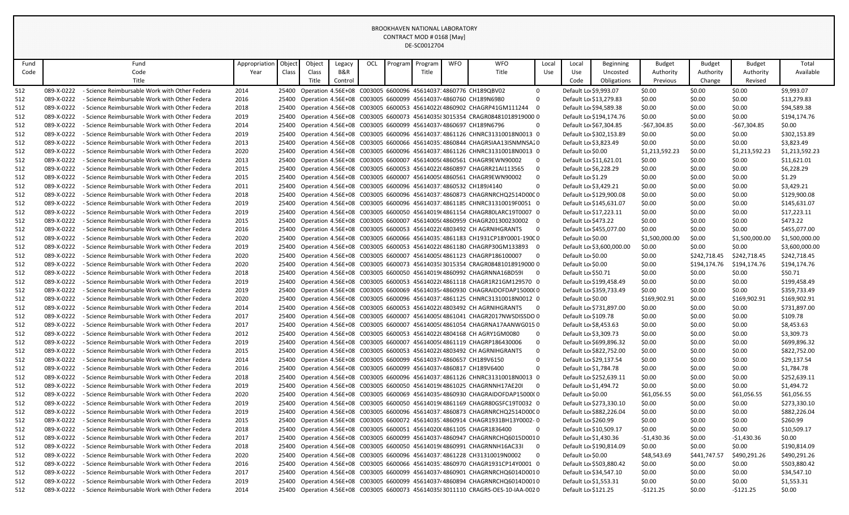| Title<br>Code<br>Code<br>Year<br>Class<br>Class<br>B&R<br>Title<br>Use<br>Use<br>Available<br>Uncosted<br>Authority<br>Authority<br>Authority<br>Title<br>Title<br>Control<br>Code<br>Obligations<br>Previous<br>Change<br>Revised<br>- Science Reimbursable Work with Other Federa<br>2014<br>25400<br>Operation 4.56E+08 C003005 6600096 45614037:4860776 CH189QBV02<br>\$0.00<br>\$0.00<br>\$0.00<br>\$9,993.07<br>512<br>089-X-0222<br>$\mathbf 0$<br>Default Lo \$9,993.07<br>$\Omega$<br>\$13,279.83<br>512<br>089-X-0222<br>- Science Reimbursable Work with Other Federa<br>2016<br>25400<br>Operation 4.56E+08 C003005 6600099 456140374 4860760 CH189N6980<br>Default Lo \$13,279.83<br>\$0.00<br>\$0.00<br>\$0.00<br>$\overline{0}$<br>\$94,589.38<br>512<br>089-X-0222<br>2018<br>Operation 4.56E+08 C003005 6600053 45614022(4860902 CHAGRP41GM111244<br>Default Lo \$94,589.38<br>\$0.00<br>\$0.00<br>\$0.00<br>- Science Reimbursable Work with Other Federa<br>25400<br>512<br>089-X-0222<br>2019<br>Operation 4.56E+08 C003005 6600073 4561403583015354 CRAGR08481018919000 0<br>\$0.00<br>\$0.00<br>\$194,174.76<br>- Science Reimbursable Work with Other Federa<br>25400<br>Default Lo \$194,174.76<br>\$0.00<br>$\Omega$<br>\$0.00<br>512<br>089-X-0222<br>- Science Reimbursable Work with Other Federa<br>2014<br>Operation 4.56E+08 C003005 6600099 456140374 4860697 CH189N6796<br>Default Lo \$67,304.85<br>-\$67,304.85<br>\$0.00<br>$-567,304.85$<br>25400<br>Operation 4.56E+08 C003005 6600096 45614037;4861126 CHNRC31310018N0013 0<br>512<br>089-X-0222<br>2019<br>Default Lo \$302,153.89<br>\$0.00<br>\$0.00<br>\$0.00<br>\$302,153.89<br>- Science Reimbursable Work with Other Federa<br>25400<br>\$3,823.49<br>512<br>089-X-0222<br>2013<br>Operation 4.56E+08 C003005 6600066 45614035:4860844 CHAGRSIAA13ISNMNSA20<br>Default Lo \$3,823.49<br>\$0.00<br>\$0.00<br>\$0.00<br>- Science Reimbursable Work with Other Federa<br>25400<br>\$1,213,592.23<br>512<br>089-X-0222<br>2020<br>Operation 4.56E+08 C003005 6600096 45614037:4861126 CHNRC31310018N0013 0<br>\$1,213,592.23<br>\$0.00<br>\$1,213,592.23<br>- Science Reimbursable Work with Other Federa<br>25400<br>Default Lo \$0.00<br>2013<br>Operation 4.56E+08 C003005 6600007 45614005(4860561 CHAGR9EWN90002<br>\$0.00<br>\$0.00<br>\$11,621.01<br>512<br>089-X-0222<br>- Science Reimbursable Work with Other Federa<br>25400<br>$\Omega$<br>Default Lo \$11,621.01<br>\$0.00<br>Operation 4.56E+08 C003005 6600053 45614022(4860897 CHAGRR21AI113565<br>$\Omega$<br>\$0.00<br>\$6,228.29<br>512<br>089-X-0222<br>- Science Reimbursable Work with Other Federa<br>2015<br>25400<br>Default Lo \$6,228.29<br>\$0.00<br>\$0.00<br>512<br>089-X-0222<br>2015<br>Operation 4.56E+08 C003005 6600007 45614005(4860561 CHAGR9EWN90002<br>$\Omega$<br>Default Lo \$1.29<br>\$0.00<br>\$0.00<br>\$0.00<br>\$1.29<br>- Science Reimbursable Work with Other Federa<br>25400<br>089-X-0222<br>2011<br>Operation 4.56E+08 C003005 6600096 45614037 4860532 CH189J4140<br>$\Omega$<br>Default Lo \$3,429.21<br>\$0.00<br>\$0.00<br>\$0.00<br>\$3,429.21<br>512<br>- Science Reimbursable Work with Other Federa<br>25400<br>2018<br>25400 Operation 4.56E+08 C003005 6600096 45614037:4860873 CHAGRNRCHQ2514D00C0<br>Default Lo \$129,900.08<br>\$0.00<br>\$129,900.08<br>512<br>089-X-0222<br>- Science Reimbursable Work with Other Federa<br>\$0.00<br>\$0.00<br>\$145,631.07<br>512<br>089-X-0222<br>- Science Reimbursable Work with Other Federa<br>2019<br>25400<br>Operation 4.56E+08 C003005 6600096 45614037 4861185 CHNRC31310019F0051 0<br>Default Lo \$145,631.07<br>\$0.00<br>\$0.00<br>\$0.00<br>\$17,223.11<br>512<br>089-X-0222<br>- Science Reimbursable Work with Other Federa<br>2019<br>Operation 4.56E+08 C003005 6600050 45614019(4861154 CHAGR80LARC19T0007 0<br>Default Lo \$17,223.11<br>\$0.00<br>\$0.00<br>\$0.00<br>25400<br>2015<br>Operation 4.56E+08 C003005 6600007 45614005(4860959 CHAGR201300230002<br>Default Lo \$473.22<br>\$0.00<br>\$0.00<br>\$0.00<br>\$473.22<br>512<br>089-X-0222<br>- Science Reimbursable Work with Other Federa<br>25400<br>$\Omega$<br>Default Lo \$455,077.00<br>\$0.00<br>\$455,077.00<br>512<br>089-X-0222<br>- Science Reimbursable Work with Other Federa<br>2016<br>25400 Operation 4.56E+08 C003005 6600053 45614022(4803492 CH AGRNIHGRANTS<br>$\overline{\mathbf{0}}$<br>\$0.00<br>\$0.00<br>512<br>089-X-0222<br>- Science Reimbursable Work with Other Federa<br>2020<br>25400<br>Operation 4.56E+08 C003005 6600066 45614035:4861183 CH1931CP18Y0001-190C0<br>Default Lo \$0.00<br>\$1,500,000.00<br>\$0.00<br>\$1,500,000.00<br>\$1,500,000.00<br>512<br>089-X-0222<br>- Science Reimbursable Work with Other Federa<br>2019<br>Operation 4.56E+08 C003005 6600053 45614022(4861180 CHAGRP30GM133893<br>Default Lo \$3,600,000.00<br>\$0.00<br>\$0.00<br>\$0.00<br>\$3,600,000.00<br>25400<br>2020<br>$\overline{0}$<br>\$242,718.45<br>512<br>089-X-0222<br>- Science Reimbursable Work with Other Federa<br>25400<br>Operation 4.56E+08 C003005 6600007 45614005(4861123 CHAGRP186100007<br>Default Lo \$0.00<br>\$0.00<br>\$242,718.45<br>\$242,718.45<br>2020<br>\$194,174.76<br>\$194,174.76<br>512<br>089-X-0222<br>- Science Reimbursable Work with Other Federa<br>25400<br>Operation 4.56E+08 C003005 6600073 45614035 3015354 CRAGR08481018919000 0<br>Default Lo \$0.00<br>\$0.00<br>\$194,174.76<br>\$50.71<br>512<br>089-X-0222<br>- Science Reimbursable Work with Other Federa<br>2018<br>25400<br>Operation 4.56E+08 C003005 6600050 45614019(4860992 CHAGRNNA16BD59I<br>Default Lo \$50.71<br>\$0.00<br>\$0.00<br>\$0.00<br>$\Omega$<br>512<br>089-X-0222<br>2019<br>Operation 4.56E+08 C003005 6600053 45614022(4861118 CHAGR1R21GM129570 0<br>Default Lo \$199,458.49<br>\$0.00<br>\$0.00<br>\$0.00<br>\$199,458.49<br>- Science Reimbursable Work with Other Federa<br>25400<br>512<br>089-X-0222<br>2019<br>Operation 4.56E+08 C003005 6600069 4561403544860930 CHAGRAIDOFDAP15000(0<br>Default Lo \$359,733.49<br>\$0.00<br>\$0.00<br>\$0.00<br>\$359,733.49<br>- Science Reimbursable Work with Other Federa<br>25400<br>512<br>2020<br>Operation 4.56E+08 C003005 6600096 45614037:4861125 CHNRC31310018N0012 0<br>\$169,902.91<br>\$0.00<br>\$169,902.91<br>\$169,902.91<br>089-X-0222<br>- Science Reimbursable Work with Other Federa<br>25400<br>Default Lo \$0.00<br>\$0.00<br>\$731,897.00<br>512<br>089-X-0222<br>- Science Reimbursable Work with Other Federa<br>2014<br>25400<br>Operation 4.56E+08 C003005 6600053 45614022(4803492 CH AGRNIHGRANTS<br>$\Omega$<br>Default Lo \$731,897.00<br>\$0.00<br>\$0.00<br>\$109.78<br>512<br>089-X-0222<br>- Science Reimbursable Work with Other Federa<br>2017<br>25400<br>Operation 4.56E+08 C003005 6600007 45614005(4861041 CHAGR2017NWSDISSDO 0<br>Default Lo \$109.78<br>\$0.00<br>\$0.00<br>\$0.00<br>512<br>089-X-0222<br>- Science Reimbursable Work with Other Federa<br>2017<br>25400<br>Operation 4.56E+08 C003005 6600007 45614005(4861054 CHAGRNA17AANWG015 0<br>Default Lo \$8,453.63<br>\$0.00<br>\$0.00<br>\$0.00<br>\$8,453.63<br>512<br>089-X-0222<br>2012<br>Operation 4.56E+08 C003005 6600053 45614022(4804168 CH AGRY1GM0080<br>$\mathbf 0$<br>Default Lo \$3,309.73<br>\$0.00<br>\$0.00<br>\$0.00<br>\$3,309.73<br>- Science Reimbursable Work with Other Federa<br>25400<br>Operation 4.56E+08 C003005 6600007 45614005(4861119 CHAGRP186430006<br>$\mathbf 0$<br>\$699,896.32<br>512<br>089-X-0222<br>- Science Reimbursable Work with Other Federa<br>2019<br>25400<br>Default Lo \$699,896.32<br>\$0.00<br>\$0.00<br>\$0.00<br>$\mathbf 0$<br>\$822,752.00<br>512<br>089-X-0222<br>- Science Reimbursable Work with Other Federa<br>2015<br>25400<br>Operation 4.56E+08 C003005 6600053 45614022(4803492 CH AGRNIHGRANTS<br>Default Lo \$822,752.00<br>\$0.00<br>\$0.00<br>\$0.00<br>$\mathbf 0$<br>512<br>089-X-0222<br>- Science Reimbursable Work with Other Federa<br>2014<br>25400 Operation 4.56E+08 C003005 6600099 456140374 4860657 CH189V6150<br>Default Lo \$29,137.54<br>\$0.00<br>\$0.00<br>\$0.00<br>\$29,137.54<br>512<br>089-X-0222<br>2016<br>Operation 4.56E+08 C003005 6600099 456140374 4860817 CH189V6400<br>$\mathbf 0$<br>Default Lo \$1,784.78<br>\$0.00<br>\$0.00<br>\$1,784.78<br>- Science Reimbursable Work with Other Federa<br>25400<br>\$0.00<br>\$252,639.11<br>512<br>089-X-0222<br>- Science Reimbursable Work with Other Federa<br>2018<br>25400<br>Operation 4.56E+08 C003005 6600096 45614037.4861126 CHNRC31310018N0013 0<br>Default Lo \$252,639.11<br>\$0.00<br>\$0.00<br>\$0.00<br>\$1,494.72<br>512<br>089-X-0222<br>- Science Reimbursable Work with Other Federa<br>2019<br>Operation 4.56E+08 C003005 6600050 45614019(4861025 CHAGRNNH17AE20)<br>$\Omega$<br>Default Lo \$1,494.72<br>\$0.00<br>\$0.00<br>\$0.00<br>25400<br>512<br>089-X-0222<br>2020<br>Operation 4.56E+08 C003005 6600069 4561403544860930 CHAGRAIDOFDAP15000(0<br>\$61,056.55<br>\$61,056.55<br>- Science Reimbursable Work with Other Federa<br>25400<br>Default Lo \$0.00<br>\$61,056.55<br>\$0.00<br>089-X-0222<br>2019<br>\$273,330.10<br>512<br>- Science Reimbursable Work with Other Federa<br>25400<br>Operation 4.56E+08 C003005 6600050 45614019(4861169 CHAGR80GSFC19T0032 0<br>Default Lo \$273,330.10<br>\$0.00<br>\$0.00<br>\$0.00<br>Operation 4.56E+08 C003005 6600096 45614037: 4860873 CHAGRNRCHQ2514D00C0<br>\$882,226.04<br>512<br>089-X-0222<br>- Science Reimbursable Work with Other Federa<br>2019<br>25400<br>Default Lo \$882,226.04<br>\$0.00<br>\$0.00<br>\$0.00<br>\$260.99<br>512<br>089-X-0222<br>- Science Reimbursable Work with Other Federa<br>2015<br>Operation 4.56E+08 C003005 6600072 45614035 4860914 CHAGR1931BH13Y0002-0<br>Default Lo \$260.99<br>\$0.00<br>\$0.00<br>\$0.00<br>25400<br>\$10,509.17<br>512<br>089-X-0222<br>- Science Reimbursable Work with Other Federa<br>2018<br>Operation 4.56E+08 C003005 6600051 45614020(4861105 CHAGR1836400<br>$\Omega$<br>Default Lo \$10,509.17<br>\$0.00<br>\$0.00<br>\$0.00<br>25400<br>$-$1,430.36$<br>512<br>089-X-0222<br>2017<br>Operation 4.56E+08 C003005 6600099 456140374860947 CHAGRNRCHQ6015D0010<br>Default Lo \$1,430.36<br>$-$1,430.36$<br>\$0.00<br>\$0.00<br>- Science Reimbursable Work with Other Federa<br>25400<br>089-X-0222<br>2018<br>Operation 4.56E+08 C003005 6600050 45614019(4860991 CHAGRNNH16AC33I<br>Default Lo \$190,814.09<br>\$0.00<br>\$0.00<br>\$0.00<br>\$190,814.09<br>512<br>- Science Reimbursable Work with Other Federa<br>25400<br>$\overline{\mathbf{0}}$<br>2020<br>\$48,543.69<br>\$490,291.26<br>\$490,291.26<br>512<br>089-X-0222<br>- Science Reimbursable Work with Other Federa<br>Operation 4.56E+08 C003005 6600096 45614037:4861228 CH31310019N0002<br>$\Omega$<br>Default Lo \$0.00<br>\$441,747.57<br>25400<br>\$503,880.42<br>512<br>089-X-0222<br>- Science Reimbursable Work with Other Federa<br>2016<br>Operation 4.56E+08 C003005 6600066 45614035:4860970 CHAGR1931CP14Y0001 0<br>Default Lo \$503,880.42<br>\$0.00<br>\$0.00<br>\$0.00<br>25400<br>512<br>089-X-0222<br>2017<br>Operation 4.56E+08 C003005 6600099 456140374860901 CHAGRNRCHQ6014D0010<br>Default Lo \$34,547.10<br>\$0.00<br>\$0.00<br>\$0.00<br>\$34,547.10<br>- Science Reimbursable Work with Other Federa<br>25400<br>512<br>089-X-0222<br>- Science Reimbursable Work with Other Federa<br>2019<br>25400 Operation 4.56E+08 C003005 6600099 456140374860894 CHAGRNRCHQ6014D0010<br>Default Lo \$1,553.31<br>\$0.00<br>\$0.00<br>\$0.00<br>\$1,553.31<br>512<br>$-$121.25$<br>\$0.00<br>$-$121.25$<br>089-X-0222<br>- Science Reimbursable Work with Other Federa<br>2014<br>25400 Operation 4.56E+08 C003005 6600073 45614035 8011110 CRAGRS-OES-10-IAA-0020<br>Default Lo \$121.25<br>\$0.00 | Fund | Fund | Appropriation | Object | Object | Legacy | OCL | Program | Program | <b>WFO</b> | <b>WFO</b> | Local | Local | Beginning | <b>Budget</b> | <b>Budget</b> | <b>Budget</b> | Total |
|-------------------------------------------------------------------------------------------------------------------------------------------------------------------------------------------------------------------------------------------------------------------------------------------------------------------------------------------------------------------------------------------------------------------------------------------------------------------------------------------------------------------------------------------------------------------------------------------------------------------------------------------------------------------------------------------------------------------------------------------------------------------------------------------------------------------------------------------------------------------------------------------------------------------------------------------------------------------------------------------------------------------------------------------------------------------------------------------------------------------------------------------------------------------------------------------------------------------------------------------------------------------------------------------------------------------------------------------------------------------------------------------------------------------------------------------------------------------------------------------------------------------------------------------------------------------------------------------------------------------------------------------------------------------------------------------------------------------------------------------------------------------------------------------------------------------------------------------------------------------------------------------------------------------------------------------------------------------------------------------------------------------------------------------------------------------------------------------------------------------------------------------------------------------------------------------------------------------------------------------------------------------------------------------------------------------------------------------------------------------------------------------------------------------------------------------------------------------------------------------------------------------------------------------------------------------------------------------------------------------------------------------------------------------------------------------------------------------------------------------------------------------------------------------------------------------------------------------------------------------------------------------------------------------------------------------------------------------------------------------------------------------------------------------------------------------------------------------------------------------------------------------------------------------------------------------------------------------------------------------------------------------------------------------------------------------------------------------------------------------------------------------------------------------------------------------------------------------------------------------------------------------------------------------------------------------------------------------------------------------------------------------------------------------------------------------------------------------------------------------------------------------------------------------------------------------------------------------------------------------------------------------------------------------------------------------------------------------------------------------------------------------------------------------------------------------------------------------------------------------------------------------------------------------------------------------------------------------------------------------------------------------------------------------------------------------------------------------------------------------------------------------------------------------------------------------------------------------------------------------------------------------------------------------------------------------------------------------------------------------------------------------------------------------------------------------------------------------------------------------------------------------------------------------------------------------------------------------------------------------------------------------------------------------------------------------------------------------------------------------------------------------------------------------------------------------------------------------------------------------------------------------------------------------------------------------------------------------------------------------------------------------------------------------------------------------------------------------------------------------------------------------------------------------------------------------------------------------------------------------------------------------------------------------------------------------------------------------------------------------------------------------------------------------------------------------------------------------------------------------------------------------------------------------------------------------------------------------------------------------------------------------------------------------------------------------------------------------------------------------------------------------------------------------------------------------------------------------------------------------------------------------------------------------------------------------------------------------------------------------------------------------------------------------------------------------------------------------------------------------------------------------------------------------------------------------------------------------------------------------------------------------------------------------------------------------------------------------------------------------------------------------------------------------------------------------------------------------------------------------------------------------------------------------------------------------------------------------------------------------------------------------------------------------------------------------------------------------------------------------------------------------------------------------------------------------------------------------------------------------------------------------------------------------------------------------------------------------------------------------------------------------------------------------------------------------------------------------------------------------------------------------------------------------------------------------------------------------------------------------------------------------------------------------------------------------------------------------------------------------------------------------------------------------------------------------------------------------------------------------------------------------------------------------------------------------------------------------------------------------------------------------------------------------------------------------------------------------------------------------------------------------------------------------------------------------------------------------------------------------------------------------------------------------------------------------------------------------------------------------------------------------------------------------------------------------------------------------------------------------------------------------------------------------------------------------------------------------------------------------------------------------------------------------------------------------------------------------------------------------------------------------------------------------------------------------------------------------------------------------------------------------------------------------------------------------------------------------------------------------------------------------------------------------------------------------------------------------------------------------------------------------------------------------------------------------------------------------------------------------------------------------------------------------------------------------------------------------------------------------------------------------------------------------------------------------------------------------------------------------------------------------------------------------------------------------------------------------------------------------------------------------------------------------------------------------------------------------------------------------------------------------------------------------------------------------------------------------------------------------------------------------------------------------------------------------------------------------------------------------------------------------------------------------------------------------------------------------------------------------------------------------------------------------------------------------------------------------------------------------------------------------------------------------------------------------------------------------------------------------------------------------------------------------------------------------------------------------------------------------------------------------------------------------------------------------------------------------------------------------------------------------------------------------------------------------------------------------------------------------------------------------------------------------------------------------------------------------------------------------------------------------------------------------------------------------------------------------------------------------------------------------------------------------------------------------------------------------------------------------------------------------------------------------------------------------------------------------------------------------------------------------------------------------------------------------------------------------------------------------------------------------------------------------------------------------------------------------------------------------------------------------------------------------------------------------------------------------------------------------------------------------------------------------------------------------------------------------------------------------------------------------------------------------------------------------------------------------------------------------------------------------------------------------------------------------------------------------------------------------------------------------------------------------------------|------|------|---------------|--------|--------|--------|-----|---------|---------|------------|------------|-------|-------|-----------|---------------|---------------|---------------|-------|
|                                                                                                                                                                                                                                                                                                                                                                                                                                                                                                                                                                                                                                                                                                                                                                                                                                                                                                                                                                                                                                                                                                                                                                                                                                                                                                                                                                                                                                                                                                                                                                                                                                                                                                                                                                                                                                                                                                                                                                                                                                                                                                                                                                                                                                                                                                                                                                                                                                                                                                                                                                                                                                                                                                                                                                                                                                                                                                                                                                                                                                                                                                                                                                                                                                                                                                                                                                                                                                                                                                                                                                                                                                                                                                                                                                                                                                                                                                                                                                                                                                                                                                                                                                                                                                                                                                                                                                                                                                                                                                                                                                                                                                                                                                                                                                                                                                                                                                                                                                                                                                                                                                                                                                                                                                                                                                                                                                                                                                                                                                                                                                                                                                                                                                                                                                                                                                                                                                                                                                                                                                                                                                                                                                                                                                                                                                                                                                                                                                                                                                                                                                                                                                                                                                                                                                                                                                                                                                                                                                                                                                                                                                                                                                                                                                                                                                                                                                                                                                                                                                                                                                                                                                                                                                                                                                                                                                                                                                                                                                                                                                                                                                                                                                                                                                                                                                                                                                                                                                                                                                                                                                                                                                                                                                                                                                                                                                                                                                                                                                                                                                                                                                                                                                                                                                                                                                                                                                                                                                                                                                                                                                                                                                                                                                                                                                                                                                                                                                                                                                                                                                                                                                                                                                                                                                                                                                                                                                                                                                                                                                                                                                                                                                                                                                                                                                                                                                                                                                                                                                                                                                                                                                                                                                                                                                                                                                                                                                                                                                                                                                                                                                                                                                                                                                                                                                                                                                                                                                                               |      |      |               |        |        |        |     |         |         |            |            |       |       |           |               |               |               |       |
|                                                                                                                                                                                                                                                                                                                                                                                                                                                                                                                                                                                                                                                                                                                                                                                                                                                                                                                                                                                                                                                                                                                                                                                                                                                                                                                                                                                                                                                                                                                                                                                                                                                                                                                                                                                                                                                                                                                                                                                                                                                                                                                                                                                                                                                                                                                                                                                                                                                                                                                                                                                                                                                                                                                                                                                                                                                                                                                                                                                                                                                                                                                                                                                                                                                                                                                                                                                                                                                                                                                                                                                                                                                                                                                                                                                                                                                                                                                                                                                                                                                                                                                                                                                                                                                                                                                                                                                                                                                                                                                                                                                                                                                                                                                                                                                                                                                                                                                                                                                                                                                                                                                                                                                                                                                                                                                                                                                                                                                                                                                                                                                                                                                                                                                                                                                                                                                                                                                                                                                                                                                                                                                                                                                                                                                                                                                                                                                                                                                                                                                                                                                                                                                                                                                                                                                                                                                                                                                                                                                                                                                                                                                                                                                                                                                                                                                                                                                                                                                                                                                                                                                                                                                                                                                                                                                                                                                                                                                                                                                                                                                                                                                                                                                                                                                                                                                                                                                                                                                                                                                                                                                                                                                                                                                                                                                                                                                                                                                                                                                                                                                                                                                                                                                                                                                                                                                                                                                                                                                                                                                                                                                                                                                                                                                                                                                                                                                                                                                                                                                                                                                                                                                                                                                                                                                                                                                                                                                                                                                                                                                                                                                                                                                                                                                                                                                                                                                                                                                                                                                                                                                                                                                                                                                                                                                                                                                                                                                                                                                                                                                                                                                                                                                                                                                                                                                                                                                                                                                               |      |      |               |        |        |        |     |         |         |            |            |       |       |           |               |               |               |       |
|                                                                                                                                                                                                                                                                                                                                                                                                                                                                                                                                                                                                                                                                                                                                                                                                                                                                                                                                                                                                                                                                                                                                                                                                                                                                                                                                                                                                                                                                                                                                                                                                                                                                                                                                                                                                                                                                                                                                                                                                                                                                                                                                                                                                                                                                                                                                                                                                                                                                                                                                                                                                                                                                                                                                                                                                                                                                                                                                                                                                                                                                                                                                                                                                                                                                                                                                                                                                                                                                                                                                                                                                                                                                                                                                                                                                                                                                                                                                                                                                                                                                                                                                                                                                                                                                                                                                                                                                                                                                                                                                                                                                                                                                                                                                                                                                                                                                                                                                                                                                                                                                                                                                                                                                                                                                                                                                                                                                                                                                                                                                                                                                                                                                                                                                                                                                                                                                                                                                                                                                                                                                                                                                                                                                                                                                                                                                                                                                                                                                                                                                                                                                                                                                                                                                                                                                                                                                                                                                                                                                                                                                                                                                                                                                                                                                                                                                                                                                                                                                                                                                                                                                                                                                                                                                                                                                                                                                                                                                                                                                                                                                                                                                                                                                                                                                                                                                                                                                                                                                                                                                                                                                                                                                                                                                                                                                                                                                                                                                                                                                                                                                                                                                                                                                                                                                                                                                                                                                                                                                                                                                                                                                                                                                                                                                                                                                                                                                                                                                                                                                                                                                                                                                                                                                                                                                                                                                                                                                                                                                                                                                                                                                                                                                                                                                                                                                                                                                                                                                                                                                                                                                                                                                                                                                                                                                                                                                                                                                                                                                                                                                                                                                                                                                                                                                                                                                                                                                                                                               |      |      |               |        |        |        |     |         |         |            |            |       |       |           |               |               |               |       |
|                                                                                                                                                                                                                                                                                                                                                                                                                                                                                                                                                                                                                                                                                                                                                                                                                                                                                                                                                                                                                                                                                                                                                                                                                                                                                                                                                                                                                                                                                                                                                                                                                                                                                                                                                                                                                                                                                                                                                                                                                                                                                                                                                                                                                                                                                                                                                                                                                                                                                                                                                                                                                                                                                                                                                                                                                                                                                                                                                                                                                                                                                                                                                                                                                                                                                                                                                                                                                                                                                                                                                                                                                                                                                                                                                                                                                                                                                                                                                                                                                                                                                                                                                                                                                                                                                                                                                                                                                                                                                                                                                                                                                                                                                                                                                                                                                                                                                                                                                                                                                                                                                                                                                                                                                                                                                                                                                                                                                                                                                                                                                                                                                                                                                                                                                                                                                                                                                                                                                                                                                                                                                                                                                                                                                                                                                                                                                                                                                                                                                                                                                                                                                                                                                                                                                                                                                                                                                                                                                                                                                                                                                                                                                                                                                                                                                                                                                                                                                                                                                                                                                                                                                                                                                                                                                                                                                                                                                                                                                                                                                                                                                                                                                                                                                                                                                                                                                                                                                                                                                                                                                                                                                                                                                                                                                                                                                                                                                                                                                                                                                                                                                                                                                                                                                                                                                                                                                                                                                                                                                                                                                                                                                                                                                                                                                                                                                                                                                                                                                                                                                                                                                                                                                                                                                                                                                                                                                                                                                                                                                                                                                                                                                                                                                                                                                                                                                                                                                                                                                                                                                                                                                                                                                                                                                                                                                                                                                                                                                                                                                                                                                                                                                                                                                                                                                                                                                                                                                                                               |      |      |               |        |        |        |     |         |         |            |            |       |       |           |               |               |               |       |
|                                                                                                                                                                                                                                                                                                                                                                                                                                                                                                                                                                                                                                                                                                                                                                                                                                                                                                                                                                                                                                                                                                                                                                                                                                                                                                                                                                                                                                                                                                                                                                                                                                                                                                                                                                                                                                                                                                                                                                                                                                                                                                                                                                                                                                                                                                                                                                                                                                                                                                                                                                                                                                                                                                                                                                                                                                                                                                                                                                                                                                                                                                                                                                                                                                                                                                                                                                                                                                                                                                                                                                                                                                                                                                                                                                                                                                                                                                                                                                                                                                                                                                                                                                                                                                                                                                                                                                                                                                                                                                                                                                                                                                                                                                                                                                                                                                                                                                                                                                                                                                                                                                                                                                                                                                                                                                                                                                                                                                                                                                                                                                                                                                                                                                                                                                                                                                                                                                                                                                                                                                                                                                                                                                                                                                                                                                                                                                                                                                                                                                                                                                                                                                                                                                                                                                                                                                                                                                                                                                                                                                                                                                                                                                                                                                                                                                                                                                                                                                                                                                                                                                                                                                                                                                                                                                                                                                                                                                                                                                                                                                                                                                                                                                                                                                                                                                                                                                                                                                                                                                                                                                                                                                                                                                                                                                                                                                                                                                                                                                                                                                                                                                                                                                                                                                                                                                                                                                                                                                                                                                                                                                                                                                                                                                                                                                                                                                                                                                                                                                                                                                                                                                                                                                                                                                                                                                                                                                                                                                                                                                                                                                                                                                                                                                                                                                                                                                                                                                                                                                                                                                                                                                                                                                                                                                                                                                                                                                                                                                                                                                                                                                                                                                                                                                                                                                                                                                                                                                                               |      |      |               |        |        |        |     |         |         |            |            |       |       |           |               |               |               |       |
|                                                                                                                                                                                                                                                                                                                                                                                                                                                                                                                                                                                                                                                                                                                                                                                                                                                                                                                                                                                                                                                                                                                                                                                                                                                                                                                                                                                                                                                                                                                                                                                                                                                                                                                                                                                                                                                                                                                                                                                                                                                                                                                                                                                                                                                                                                                                                                                                                                                                                                                                                                                                                                                                                                                                                                                                                                                                                                                                                                                                                                                                                                                                                                                                                                                                                                                                                                                                                                                                                                                                                                                                                                                                                                                                                                                                                                                                                                                                                                                                                                                                                                                                                                                                                                                                                                                                                                                                                                                                                                                                                                                                                                                                                                                                                                                                                                                                                                                                                                                                                                                                                                                                                                                                                                                                                                                                                                                                                                                                                                                                                                                                                                                                                                                                                                                                                                                                                                                                                                                                                                                                                                                                                                                                                                                                                                                                                                                                                                                                                                                                                                                                                                                                                                                                                                                                                                                                                                                                                                                                                                                                                                                                                                                                                                                                                                                                                                                                                                                                                                                                                                                                                                                                                                                                                                                                                                                                                                                                                                                                                                                                                                                                                                                                                                                                                                                                                                                                                                                                                                                                                                                                                                                                                                                                                                                                                                                                                                                                                                                                                                                                                                                                                                                                                                                                                                                                                                                                                                                                                                                                                                                                                                                                                                                                                                                                                                                                                                                                                                                                                                                                                                                                                                                                                                                                                                                                                                                                                                                                                                                                                                                                                                                                                                                                                                                                                                                                                                                                                                                                                                                                                                                                                                                                                                                                                                                                                                                                                                                                                                                                                                                                                                                                                                                                                                                                                                                                                                                               |      |      |               |        |        |        |     |         |         |            |            |       |       |           |               |               |               |       |
|                                                                                                                                                                                                                                                                                                                                                                                                                                                                                                                                                                                                                                                                                                                                                                                                                                                                                                                                                                                                                                                                                                                                                                                                                                                                                                                                                                                                                                                                                                                                                                                                                                                                                                                                                                                                                                                                                                                                                                                                                                                                                                                                                                                                                                                                                                                                                                                                                                                                                                                                                                                                                                                                                                                                                                                                                                                                                                                                                                                                                                                                                                                                                                                                                                                                                                                                                                                                                                                                                                                                                                                                                                                                                                                                                                                                                                                                                                                                                                                                                                                                                                                                                                                                                                                                                                                                                                                                                                                                                                                                                                                                                                                                                                                                                                                                                                                                                                                                                                                                                                                                                                                                                                                                                                                                                                                                                                                                                                                                                                                                                                                                                                                                                                                                                                                                                                                                                                                                                                                                                                                                                                                                                                                                                                                                                                                                                                                                                                                                                                                                                                                                                                                                                                                                                                                                                                                                                                                                                                                                                                                                                                                                                                                                                                                                                                                                                                                                                                                                                                                                                                                                                                                                                                                                                                                                                                                                                                                                                                                                                                                                                                                                                                                                                                                                                                                                                                                                                                                                                                                                                                                                                                                                                                                                                                                                                                                                                                                                                                                                                                                                                                                                                                                                                                                                                                                                                                                                                                                                                                                                                                                                                                                                                                                                                                                                                                                                                                                                                                                                                                                                                                                                                                                                                                                                                                                                                                                                                                                                                                                                                                                                                                                                                                                                                                                                                                                                                                                                                                                                                                                                                                                                                                                                                                                                                                                                                                                                                                                                                                                                                                                                                                                                                                                                                                                                                                                                                                                               |      |      |               |        |        |        |     |         |         |            |            |       |       |           |               |               |               |       |
|                                                                                                                                                                                                                                                                                                                                                                                                                                                                                                                                                                                                                                                                                                                                                                                                                                                                                                                                                                                                                                                                                                                                                                                                                                                                                                                                                                                                                                                                                                                                                                                                                                                                                                                                                                                                                                                                                                                                                                                                                                                                                                                                                                                                                                                                                                                                                                                                                                                                                                                                                                                                                                                                                                                                                                                                                                                                                                                                                                                                                                                                                                                                                                                                                                                                                                                                                                                                                                                                                                                                                                                                                                                                                                                                                                                                                                                                                                                                                                                                                                                                                                                                                                                                                                                                                                                                                                                                                                                                                                                                                                                                                                                                                                                                                                                                                                                                                                                                                                                                                                                                                                                                                                                                                                                                                                                                                                                                                                                                                                                                                                                                                                                                                                                                                                                                                                                                                                                                                                                                                                                                                                                                                                                                                                                                                                                                                                                                                                                                                                                                                                                                                                                                                                                                                                                                                                                                                                                                                                                                                                                                                                                                                                                                                                                                                                                                                                                                                                                                                                                                                                                                                                                                                                                                                                                                                                                                                                                                                                                                                                                                                                                                                                                                                                                                                                                                                                                                                                                                                                                                                                                                                                                                                                                                                                                                                                                                                                                                                                                                                                                                                                                                                                                                                                                                                                                                                                                                                                                                                                                                                                                                                                                                                                                                                                                                                                                                                                                                                                                                                                                                                                                                                                                                                                                                                                                                                                                                                                                                                                                                                                                                                                                                                                                                                                                                                                                                                                                                                                                                                                                                                                                                                                                                                                                                                                                                                                                                                                                                                                                                                                                                                                                                                                                                                                                                                                                                                                                               |      |      |               |        |        |        |     |         |         |            |            |       |       |           |               |               |               |       |
|                                                                                                                                                                                                                                                                                                                                                                                                                                                                                                                                                                                                                                                                                                                                                                                                                                                                                                                                                                                                                                                                                                                                                                                                                                                                                                                                                                                                                                                                                                                                                                                                                                                                                                                                                                                                                                                                                                                                                                                                                                                                                                                                                                                                                                                                                                                                                                                                                                                                                                                                                                                                                                                                                                                                                                                                                                                                                                                                                                                                                                                                                                                                                                                                                                                                                                                                                                                                                                                                                                                                                                                                                                                                                                                                                                                                                                                                                                                                                                                                                                                                                                                                                                                                                                                                                                                                                                                                                                                                                                                                                                                                                                                                                                                                                                                                                                                                                                                                                                                                                                                                                                                                                                                                                                                                                                                                                                                                                                                                                                                                                                                                                                                                                                                                                                                                                                                                                                                                                                                                                                                                                                                                                                                                                                                                                                                                                                                                                                                                                                                                                                                                                                                                                                                                                                                                                                                                                                                                                                                                                                                                                                                                                                                                                                                                                                                                                                                                                                                                                                                                                                                                                                                                                                                                                                                                                                                                                                                                                                                                                                                                                                                                                                                                                                                                                                                                                                                                                                                                                                                                                                                                                                                                                                                                                                                                                                                                                                                                                                                                                                                                                                                                                                                                                                                                                                                                                                                                                                                                                                                                                                                                                                                                                                                                                                                                                                                                                                                                                                                                                                                                                                                                                                                                                                                                                                                                                                                                                                                                                                                                                                                                                                                                                                                                                                                                                                                                                                                                                                                                                                                                                                                                                                                                                                                                                                                                                                                                                                                                                                                                                                                                                                                                                                                                                                                                                                                                                                                               |      |      |               |        |        |        |     |         |         |            |            |       |       |           |               |               |               |       |
|                                                                                                                                                                                                                                                                                                                                                                                                                                                                                                                                                                                                                                                                                                                                                                                                                                                                                                                                                                                                                                                                                                                                                                                                                                                                                                                                                                                                                                                                                                                                                                                                                                                                                                                                                                                                                                                                                                                                                                                                                                                                                                                                                                                                                                                                                                                                                                                                                                                                                                                                                                                                                                                                                                                                                                                                                                                                                                                                                                                                                                                                                                                                                                                                                                                                                                                                                                                                                                                                                                                                                                                                                                                                                                                                                                                                                                                                                                                                                                                                                                                                                                                                                                                                                                                                                                                                                                                                                                                                                                                                                                                                                                                                                                                                                                                                                                                                                                                                                                                                                                                                                                                                                                                                                                                                                                                                                                                                                                                                                                                                                                                                                                                                                                                                                                                                                                                                                                                                                                                                                                                                                                                                                                                                                                                                                                                                                                                                                                                                                                                                                                                                                                                                                                                                                                                                                                                                                                                                                                                                                                                                                                                                                                                                                                                                                                                                                                                                                                                                                                                                                                                                                                                                                                                                                                                                                                                                                                                                                                                                                                                                                                                                                                                                                                                                                                                                                                                                                                                                                                                                                                                                                                                                                                                                                                                                                                                                                                                                                                                                                                                                                                                                                                                                                                                                                                                                                                                                                                                                                                                                                                                                                                                                                                                                                                                                                                                                                                                                                                                                                                                                                                                                                                                                                                                                                                                                                                                                                                                                                                                                                                                                                                                                                                                                                                                                                                                                                                                                                                                                                                                                                                                                                                                                                                                                                                                                                                                                                                                                                                                                                                                                                                                                                                                                                                                                                                                                                                                               |      |      |               |        |        |        |     |         |         |            |            |       |       |           |               |               |               |       |
|                                                                                                                                                                                                                                                                                                                                                                                                                                                                                                                                                                                                                                                                                                                                                                                                                                                                                                                                                                                                                                                                                                                                                                                                                                                                                                                                                                                                                                                                                                                                                                                                                                                                                                                                                                                                                                                                                                                                                                                                                                                                                                                                                                                                                                                                                                                                                                                                                                                                                                                                                                                                                                                                                                                                                                                                                                                                                                                                                                                                                                                                                                                                                                                                                                                                                                                                                                                                                                                                                                                                                                                                                                                                                                                                                                                                                                                                                                                                                                                                                                                                                                                                                                                                                                                                                                                                                                                                                                                                                                                                                                                                                                                                                                                                                                                                                                                                                                                                                                                                                                                                                                                                                                                                                                                                                                                                                                                                                                                                                                                                                                                                                                                                                                                                                                                                                                                                                                                                                                                                                                                                                                                                                                                                                                                                                                                                                                                                                                                                                                                                                                                                                                                                                                                                                                                                                                                                                                                                                                                                                                                                                                                                                                                                                                                                                                                                                                                                                                                                                                                                                                                                                                                                                                                                                                                                                                                                                                                                                                                                                                                                                                                                                                                                                                                                                                                                                                                                                                                                                                                                                                                                                                                                                                                                                                                                                                                                                                                                                                                                                                                                                                                                                                                                                                                                                                                                                                                                                                                                                                                                                                                                                                                                                                                                                                                                                                                                                                                                                                                                                                                                                                                                                                                                                                                                                                                                                                                                                                                                                                                                                                                                                                                                                                                                                                                                                                                                                                                                                                                                                                                                                                                                                                                                                                                                                                                                                                                                                                                                                                                                                                                                                                                                                                                                                                                                                                                                                                                               |      |      |               |        |        |        |     |         |         |            |            |       |       |           |               |               |               |       |
|                                                                                                                                                                                                                                                                                                                                                                                                                                                                                                                                                                                                                                                                                                                                                                                                                                                                                                                                                                                                                                                                                                                                                                                                                                                                                                                                                                                                                                                                                                                                                                                                                                                                                                                                                                                                                                                                                                                                                                                                                                                                                                                                                                                                                                                                                                                                                                                                                                                                                                                                                                                                                                                                                                                                                                                                                                                                                                                                                                                                                                                                                                                                                                                                                                                                                                                                                                                                                                                                                                                                                                                                                                                                                                                                                                                                                                                                                                                                                                                                                                                                                                                                                                                                                                                                                                                                                                                                                                                                                                                                                                                                                                                                                                                                                                                                                                                                                                                                                                                                                                                                                                                                                                                                                                                                                                                                                                                                                                                                                                                                                                                                                                                                                                                                                                                                                                                                                                                                                                                                                                                                                                                                                                                                                                                                                                                                                                                                                                                                                                                                                                                                                                                                                                                                                                                                                                                                                                                                                                                                                                                                                                                                                                                                                                                                                                                                                                                                                                                                                                                                                                                                                                                                                                                                                                                                                                                                                                                                                                                                                                                                                                                                                                                                                                                                                                                                                                                                                                                                                                                                                                                                                                                                                                                                                                                                                                                                                                                                                                                                                                                                                                                                                                                                                                                                                                                                                                                                                                                                                                                                                                                                                                                                                                                                                                                                                                                                                                                                                                                                                                                                                                                                                                                                                                                                                                                                                                                                                                                                                                                                                                                                                                                                                                                                                                                                                                                                                                                                                                                                                                                                                                                                                                                                                                                                                                                                                                                                                                                                                                                                                                                                                                                                                                                                                                                                                                                                                                                               |      |      |               |        |        |        |     |         |         |            |            |       |       |           |               |               |               |       |
|                                                                                                                                                                                                                                                                                                                                                                                                                                                                                                                                                                                                                                                                                                                                                                                                                                                                                                                                                                                                                                                                                                                                                                                                                                                                                                                                                                                                                                                                                                                                                                                                                                                                                                                                                                                                                                                                                                                                                                                                                                                                                                                                                                                                                                                                                                                                                                                                                                                                                                                                                                                                                                                                                                                                                                                                                                                                                                                                                                                                                                                                                                                                                                                                                                                                                                                                                                                                                                                                                                                                                                                                                                                                                                                                                                                                                                                                                                                                                                                                                                                                                                                                                                                                                                                                                                                                                                                                                                                                                                                                                                                                                                                                                                                                                                                                                                                                                                                                                                                                                                                                                                                                                                                                                                                                                                                                                                                                                                                                                                                                                                                                                                                                                                                                                                                                                                                                                                                                                                                                                                                                                                                                                                                                                                                                                                                                                                                                                                                                                                                                                                                                                                                                                                                                                                                                                                                                                                                                                                                                                                                                                                                                                                                                                                                                                                                                                                                                                                                                                                                                                                                                                                                                                                                                                                                                                                                                                                                                                                                                                                                                                                                                                                                                                                                                                                                                                                                                                                                                                                                                                                                                                                                                                                                                                                                                                                                                                                                                                                                                                                                                                                                                                                                                                                                                                                                                                                                                                                                                                                                                                                                                                                                                                                                                                                                                                                                                                                                                                                                                                                                                                                                                                                                                                                                                                                                                                                                                                                                                                                                                                                                                                                                                                                                                                                                                                                                                                                                                                                                                                                                                                                                                                                                                                                                                                                                                                                                                                                                                                                                                                                                                                                                                                                                                                                                                                                                                                                                               |      |      |               |        |        |        |     |         |         |            |            |       |       |           |               |               |               |       |
|                                                                                                                                                                                                                                                                                                                                                                                                                                                                                                                                                                                                                                                                                                                                                                                                                                                                                                                                                                                                                                                                                                                                                                                                                                                                                                                                                                                                                                                                                                                                                                                                                                                                                                                                                                                                                                                                                                                                                                                                                                                                                                                                                                                                                                                                                                                                                                                                                                                                                                                                                                                                                                                                                                                                                                                                                                                                                                                                                                                                                                                                                                                                                                                                                                                                                                                                                                                                                                                                                                                                                                                                                                                                                                                                                                                                                                                                                                                                                                                                                                                                                                                                                                                                                                                                                                                                                                                                                                                                                                                                                                                                                                                                                                                                                                                                                                                                                                                                                                                                                                                                                                                                                                                                                                                                                                                                                                                                                                                                                                                                                                                                                                                                                                                                                                                                                                                                                                                                                                                                                                                                                                                                                                                                                                                                                                                                                                                                                                                                                                                                                                                                                                                                                                                                                                                                                                                                                                                                                                                                                                                                                                                                                                                                                                                                                                                                                                                                                                                                                                                                                                                                                                                                                                                                                                                                                                                                                                                                                                                                                                                                                                                                                                                                                                                                                                                                                                                                                                                                                                                                                                                                                                                                                                                                                                                                                                                                                                                                                                                                                                                                                                                                                                                                                                                                                                                                                                                                                                                                                                                                                                                                                                                                                                                                                                                                                                                                                                                                                                                                                                                                                                                                                                                                                                                                                                                                                                                                                                                                                                                                                                                                                                                                                                                                                                                                                                                                                                                                                                                                                                                                                                                                                                                                                                                                                                                                                                                                                                                                                                                                                                                                                                                                                                                                                                                                                                                                                                                               |      |      |               |        |        |        |     |         |         |            |            |       |       |           |               |               |               |       |
|                                                                                                                                                                                                                                                                                                                                                                                                                                                                                                                                                                                                                                                                                                                                                                                                                                                                                                                                                                                                                                                                                                                                                                                                                                                                                                                                                                                                                                                                                                                                                                                                                                                                                                                                                                                                                                                                                                                                                                                                                                                                                                                                                                                                                                                                                                                                                                                                                                                                                                                                                                                                                                                                                                                                                                                                                                                                                                                                                                                                                                                                                                                                                                                                                                                                                                                                                                                                                                                                                                                                                                                                                                                                                                                                                                                                                                                                                                                                                                                                                                                                                                                                                                                                                                                                                                                                                                                                                                                                                                                                                                                                                                                                                                                                                                                                                                                                                                                                                                                                                                                                                                                                                                                                                                                                                                                                                                                                                                                                                                                                                                                                                                                                                                                                                                                                                                                                                                                                                                                                                                                                                                                                                                                                                                                                                                                                                                                                                                                                                                                                                                                                                                                                                                                                                                                                                                                                                                                                                                                                                                                                                                                                                                                                                                                                                                                                                                                                                                                                                                                                                                                                                                                                                                                                                                                                                                                                                                                                                                                                                                                                                                                                                                                                                                                                                                                                                                                                                                                                                                                                                                                                                                                                                                                                                                                                                                                                                                                                                                                                                                                                                                                                                                                                                                                                                                                                                                                                                                                                                                                                                                                                                                                                                                                                                                                                                                                                                                                                                                                                                                                                                                                                                                                                                                                                                                                                                                                                                                                                                                                                                                                                                                                                                                                                                                                                                                                                                                                                                                                                                                                                                                                                                                                                                                                                                                                                                                                                                                                                                                                                                                                                                                                                                                                                                                                                                                                                                                                               |      |      |               |        |        |        |     |         |         |            |            |       |       |           |               |               |               |       |
|                                                                                                                                                                                                                                                                                                                                                                                                                                                                                                                                                                                                                                                                                                                                                                                                                                                                                                                                                                                                                                                                                                                                                                                                                                                                                                                                                                                                                                                                                                                                                                                                                                                                                                                                                                                                                                                                                                                                                                                                                                                                                                                                                                                                                                                                                                                                                                                                                                                                                                                                                                                                                                                                                                                                                                                                                                                                                                                                                                                                                                                                                                                                                                                                                                                                                                                                                                                                                                                                                                                                                                                                                                                                                                                                                                                                                                                                                                                                                                                                                                                                                                                                                                                                                                                                                                                                                                                                                                                                                                                                                                                                                                                                                                                                                                                                                                                                                                                                                                                                                                                                                                                                                                                                                                                                                                                                                                                                                                                                                                                                                                                                                                                                                                                                                                                                                                                                                                                                                                                                                                                                                                                                                                                                                                                                                                                                                                                                                                                                                                                                                                                                                                                                                                                                                                                                                                                                                                                                                                                                                                                                                                                                                                                                                                                                                                                                                                                                                                                                                                                                                                                                                                                                                                                                                                                                                                                                                                                                                                                                                                                                                                                                                                                                                                                                                                                                                                                                                                                                                                                                                                                                                                                                                                                                                                                                                                                                                                                                                                                                                                                                                                                                                                                                                                                                                                                                                                                                                                                                                                                                                                                                                                                                                                                                                                                                                                                                                                                                                                                                                                                                                                                                                                                                                                                                                                                                                                                                                                                                                                                                                                                                                                                                                                                                                                                                                                                                                                                                                                                                                                                                                                                                                                                                                                                                                                                                                                                                                                                                                                                                                                                                                                                                                                                                                                                                                                                                                                                               |      |      |               |        |        |        |     |         |         |            |            |       |       |           |               |               |               |       |
|                                                                                                                                                                                                                                                                                                                                                                                                                                                                                                                                                                                                                                                                                                                                                                                                                                                                                                                                                                                                                                                                                                                                                                                                                                                                                                                                                                                                                                                                                                                                                                                                                                                                                                                                                                                                                                                                                                                                                                                                                                                                                                                                                                                                                                                                                                                                                                                                                                                                                                                                                                                                                                                                                                                                                                                                                                                                                                                                                                                                                                                                                                                                                                                                                                                                                                                                                                                                                                                                                                                                                                                                                                                                                                                                                                                                                                                                                                                                                                                                                                                                                                                                                                                                                                                                                                                                                                                                                                                                                                                                                                                                                                                                                                                                                                                                                                                                                                                                                                                                                                                                                                                                                                                                                                                                                                                                                                                                                                                                                                                                                                                                                                                                                                                                                                                                                                                                                                                                                                                                                                                                                                                                                                                                                                                                                                                                                                                                                                                                                                                                                                                                                                                                                                                                                                                                                                                                                                                                                                                                                                                                                                                                                                                                                                                                                                                                                                                                                                                                                                                                                                                                                                                                                                                                                                                                                                                                                                                                                                                                                                                                                                                                                                                                                                                                                                                                                                                                                                                                                                                                                                                                                                                                                                                                                                                                                                                                                                                                                                                                                                                                                                                                                                                                                                                                                                                                                                                                                                                                                                                                                                                                                                                                                                                                                                                                                                                                                                                                                                                                                                                                                                                                                                                                                                                                                                                                                                                                                                                                                                                                                                                                                                                                                                                                                                                                                                                                                                                                                                                                                                                                                                                                                                                                                                                                                                                                                                                                                                                                                                                                                                                                                                                                                                                                                                                                                                                                                                                               |      |      |               |        |        |        |     |         |         |            |            |       |       |           |               |               |               |       |
|                                                                                                                                                                                                                                                                                                                                                                                                                                                                                                                                                                                                                                                                                                                                                                                                                                                                                                                                                                                                                                                                                                                                                                                                                                                                                                                                                                                                                                                                                                                                                                                                                                                                                                                                                                                                                                                                                                                                                                                                                                                                                                                                                                                                                                                                                                                                                                                                                                                                                                                                                                                                                                                                                                                                                                                                                                                                                                                                                                                                                                                                                                                                                                                                                                                                                                                                                                                                                                                                                                                                                                                                                                                                                                                                                                                                                                                                                                                                                                                                                                                                                                                                                                                                                                                                                                                                                                                                                                                                                                                                                                                                                                                                                                                                                                                                                                                                                                                                                                                                                                                                                                                                                                                                                                                                                                                                                                                                                                                                                                                                                                                                                                                                                                                                                                                                                                                                                                                                                                                                                                                                                                                                                                                                                                                                                                                                                                                                                                                                                                                                                                                                                                                                                                                                                                                                                                                                                                                                                                                                                                                                                                                                                                                                                                                                                                                                                                                                                                                                                                                                                                                                                                                                                                                                                                                                                                                                                                                                                                                                                                                                                                                                                                                                                                                                                                                                                                                                                                                                                                                                                                                                                                                                                                                                                                                                                                                                                                                                                                                                                                                                                                                                                                                                                                                                                                                                                                                                                                                                                                                                                                                                                                                                                                                                                                                                                                                                                                                                                                                                                                                                                                                                                                                                                                                                                                                                                                                                                                                                                                                                                                                                                                                                                                                                                                                                                                                                                                                                                                                                                                                                                                                                                                                                                                                                                                                                                                                                                                                                                                                                                                                                                                                                                                                                                                                                                                                                                                                               |      |      |               |        |        |        |     |         |         |            |            |       |       |           |               |               |               |       |
|                                                                                                                                                                                                                                                                                                                                                                                                                                                                                                                                                                                                                                                                                                                                                                                                                                                                                                                                                                                                                                                                                                                                                                                                                                                                                                                                                                                                                                                                                                                                                                                                                                                                                                                                                                                                                                                                                                                                                                                                                                                                                                                                                                                                                                                                                                                                                                                                                                                                                                                                                                                                                                                                                                                                                                                                                                                                                                                                                                                                                                                                                                                                                                                                                                                                                                                                                                                                                                                                                                                                                                                                                                                                                                                                                                                                                                                                                                                                                                                                                                                                                                                                                                                                                                                                                                                                                                                                                                                                                                                                                                                                                                                                                                                                                                                                                                                                                                                                                                                                                                                                                                                                                                                                                                                                                                                                                                                                                                                                                                                                                                                                                                                                                                                                                                                                                                                                                                                                                                                                                                                                                                                                                                                                                                                                                                                                                                                                                                                                                                                                                                                                                                                                                                                                                                                                                                                                                                                                                                                                                                                                                                                                                                                                                                                                                                                                                                                                                                                                                                                                                                                                                                                                                                                                                                                                                                                                                                                                                                                                                                                                                                                                                                                                                                                                                                                                                                                                                                                                                                                                                                                                                                                                                                                                                                                                                                                                                                                                                                                                                                                                                                                                                                                                                                                                                                                                                                                                                                                                                                                                                                                                                                                                                                                                                                                                                                                                                                                                                                                                                                                                                                                                                                                                                                                                                                                                                                                                                                                                                                                                                                                                                                                                                                                                                                                                                                                                                                                                                                                                                                                                                                                                                                                                                                                                                                                                                                                                                                                                                                                                                                                                                                                                                                                                                                                                                                                                                                                               |      |      |               |        |        |        |     |         |         |            |            |       |       |           |               |               |               |       |
|                                                                                                                                                                                                                                                                                                                                                                                                                                                                                                                                                                                                                                                                                                                                                                                                                                                                                                                                                                                                                                                                                                                                                                                                                                                                                                                                                                                                                                                                                                                                                                                                                                                                                                                                                                                                                                                                                                                                                                                                                                                                                                                                                                                                                                                                                                                                                                                                                                                                                                                                                                                                                                                                                                                                                                                                                                                                                                                                                                                                                                                                                                                                                                                                                                                                                                                                                                                                                                                                                                                                                                                                                                                                                                                                                                                                                                                                                                                                                                                                                                                                                                                                                                                                                                                                                                                                                                                                                                                                                                                                                                                                                                                                                                                                                                                                                                                                                                                                                                                                                                                                                                                                                                                                                                                                                                                                                                                                                                                                                                                                                                                                                                                                                                                                                                                                                                                                                                                                                                                                                                                                                                                                                                                                                                                                                                                                                                                                                                                                                                                                                                                                                                                                                                                                                                                                                                                                                                                                                                                                                                                                                                                                                                                                                                                                                                                                                                                                                                                                                                                                                                                                                                                                                                                                                                                                                                                                                                                                                                                                                                                                                                                                                                                                                                                                                                                                                                                                                                                                                                                                                                                                                                                                                                                                                                                                                                                                                                                                                                                                                                                                                                                                                                                                                                                                                                                                                                                                                                                                                                                                                                                                                                                                                                                                                                                                                                                                                                                                                                                                                                                                                                                                                                                                                                                                                                                                                                                                                                                                                                                                                                                                                                                                                                                                                                                                                                                                                                                                                                                                                                                                                                                                                                                                                                                                                                                                                                                                                                                                                                                                                                                                                                                                                                                                                                                                                                                                                                                               |      |      |               |        |        |        |     |         |         |            |            |       |       |           |               |               |               |       |
|                                                                                                                                                                                                                                                                                                                                                                                                                                                                                                                                                                                                                                                                                                                                                                                                                                                                                                                                                                                                                                                                                                                                                                                                                                                                                                                                                                                                                                                                                                                                                                                                                                                                                                                                                                                                                                                                                                                                                                                                                                                                                                                                                                                                                                                                                                                                                                                                                                                                                                                                                                                                                                                                                                                                                                                                                                                                                                                                                                                                                                                                                                                                                                                                                                                                                                                                                                                                                                                                                                                                                                                                                                                                                                                                                                                                                                                                                                                                                                                                                                                                                                                                                                                                                                                                                                                                                                                                                                                                                                                                                                                                                                                                                                                                                                                                                                                                                                                                                                                                                                                                                                                                                                                                                                                                                                                                                                                                                                                                                                                                                                                                                                                                                                                                                                                                                                                                                                                                                                                                                                                                                                                                                                                                                                                                                                                                                                                                                                                                                                                                                                                                                                                                                                                                                                                                                                                                                                                                                                                                                                                                                                                                                                                                                                                                                                                                                                                                                                                                                                                                                                                                                                                                                                                                                                                                                                                                                                                                                                                                                                                                                                                                                                                                                                                                                                                                                                                                                                                                                                                                                                                                                                                                                                                                                                                                                                                                                                                                                                                                                                                                                                                                                                                                                                                                                                                                                                                                                                                                                                                                                                                                                                                                                                                                                                                                                                                                                                                                                                                                                                                                                                                                                                                                                                                                                                                                                                                                                                                                                                                                                                                                                                                                                                                                                                                                                                                                                                                                                                                                                                                                                                                                                                                                                                                                                                                                                                                                                                                                                                                                                                                                                                                                                                                                                                                                                                                                                                                               |      |      |               |        |        |        |     |         |         |            |            |       |       |           |               |               |               |       |
|                                                                                                                                                                                                                                                                                                                                                                                                                                                                                                                                                                                                                                                                                                                                                                                                                                                                                                                                                                                                                                                                                                                                                                                                                                                                                                                                                                                                                                                                                                                                                                                                                                                                                                                                                                                                                                                                                                                                                                                                                                                                                                                                                                                                                                                                                                                                                                                                                                                                                                                                                                                                                                                                                                                                                                                                                                                                                                                                                                                                                                                                                                                                                                                                                                                                                                                                                                                                                                                                                                                                                                                                                                                                                                                                                                                                                                                                                                                                                                                                                                                                                                                                                                                                                                                                                                                                                                                                                                                                                                                                                                                                                                                                                                                                                                                                                                                                                                                                                                                                                                                                                                                                                                                                                                                                                                                                                                                                                                                                                                                                                                                                                                                                                                                                                                                                                                                                                                                                                                                                                                                                                                                                                                                                                                                                                                                                                                                                                                                                                                                                                                                                                                                                                                                                                                                                                                                                                                                                                                                                                                                                                                                                                                                                                                                                                                                                                                                                                                                                                                                                                                                                                                                                                                                                                                                                                                                                                                                                                                                                                                                                                                                                                                                                                                                                                                                                                                                                                                                                                                                                                                                                                                                                                                                                                                                                                                                                                                                                                                                                                                                                                                                                                                                                                                                                                                                                                                                                                                                                                                                                                                                                                                                                                                                                                                                                                                                                                                                                                                                                                                                                                                                                                                                                                                                                                                                                                                                                                                                                                                                                                                                                                                                                                                                                                                                                                                                                                                                                                                                                                                                                                                                                                                                                                                                                                                                                                                                                                                                                                                                                                                                                                                                                                                                                                                                                                                                                                                                               |      |      |               |        |        |        |     |         |         |            |            |       |       |           |               |               |               |       |
|                                                                                                                                                                                                                                                                                                                                                                                                                                                                                                                                                                                                                                                                                                                                                                                                                                                                                                                                                                                                                                                                                                                                                                                                                                                                                                                                                                                                                                                                                                                                                                                                                                                                                                                                                                                                                                                                                                                                                                                                                                                                                                                                                                                                                                                                                                                                                                                                                                                                                                                                                                                                                                                                                                                                                                                                                                                                                                                                                                                                                                                                                                                                                                                                                                                                                                                                                                                                                                                                                                                                                                                                                                                                                                                                                                                                                                                                                                                                                                                                                                                                                                                                                                                                                                                                                                                                                                                                                                                                                                                                                                                                                                                                                                                                                                                                                                                                                                                                                                                                                                                                                                                                                                                                                                                                                                                                                                                                                                                                                                                                                                                                                                                                                                                                                                                                                                                                                                                                                                                                                                                                                                                                                                                                                                                                                                                                                                                                                                                                                                                                                                                                                                                                                                                                                                                                                                                                                                                                                                                                                                                                                                                                                                                                                                                                                                                                                                                                                                                                                                                                                                                                                                                                                                                                                                                                                                                                                                                                                                                                                                                                                                                                                                                                                                                                                                                                                                                                                                                                                                                                                                                                                                                                                                                                                                                                                                                                                                                                                                                                                                                                                                                                                                                                                                                                                                                                                                                                                                                                                                                                                                                                                                                                                                                                                                                                                                                                                                                                                                                                                                                                                                                                                                                                                                                                                                                                                                                                                                                                                                                                                                                                                                                                                                                                                                                                                                                                                                                                                                                                                                                                                                                                                                                                                                                                                                                                                                                                                                                                                                                                                                                                                                                                                                                                                                                                                                                                                                                               |      |      |               |        |        |        |     |         |         |            |            |       |       |           |               |               |               |       |
|                                                                                                                                                                                                                                                                                                                                                                                                                                                                                                                                                                                                                                                                                                                                                                                                                                                                                                                                                                                                                                                                                                                                                                                                                                                                                                                                                                                                                                                                                                                                                                                                                                                                                                                                                                                                                                                                                                                                                                                                                                                                                                                                                                                                                                                                                                                                                                                                                                                                                                                                                                                                                                                                                                                                                                                                                                                                                                                                                                                                                                                                                                                                                                                                                                                                                                                                                                                                                                                                                                                                                                                                                                                                                                                                                                                                                                                                                                                                                                                                                                                                                                                                                                                                                                                                                                                                                                                                                                                                                                                                                                                                                                                                                                                                                                                                                                                                                                                                                                                                                                                                                                                                                                                                                                                                                                                                                                                                                                                                                                                                                                                                                                                                                                                                                                                                                                                                                                                                                                                                                                                                                                                                                                                                                                                                                                                                                                                                                                                                                                                                                                                                                                                                                                                                                                                                                                                                                                                                                                                                                                                                                                                                                                                                                                                                                                                                                                                                                                                                                                                                                                                                                                                                                                                                                                                                                                                                                                                                                                                                                                                                                                                                                                                                                                                                                                                                                                                                                                                                                                                                                                                                                                                                                                                                                                                                                                                                                                                                                                                                                                                                                                                                                                                                                                                                                                                                                                                                                                                                                                                                                                                                                                                                                                                                                                                                                                                                                                                                                                                                                                                                                                                                                                                                                                                                                                                                                                                                                                                                                                                                                                                                                                                                                                                                                                                                                                                                                                                                                                                                                                                                                                                                                                                                                                                                                                                                                                                                                                                                                                                                                                                                                                                                                                                                                                                                                                                                                                                               |      |      |               |        |        |        |     |         |         |            |            |       |       |           |               |               |               |       |
|                                                                                                                                                                                                                                                                                                                                                                                                                                                                                                                                                                                                                                                                                                                                                                                                                                                                                                                                                                                                                                                                                                                                                                                                                                                                                                                                                                                                                                                                                                                                                                                                                                                                                                                                                                                                                                                                                                                                                                                                                                                                                                                                                                                                                                                                                                                                                                                                                                                                                                                                                                                                                                                                                                                                                                                                                                                                                                                                                                                                                                                                                                                                                                                                                                                                                                                                                                                                                                                                                                                                                                                                                                                                                                                                                                                                                                                                                                                                                                                                                                                                                                                                                                                                                                                                                                                                                                                                                                                                                                                                                                                                                                                                                                                                                                                                                                                                                                                                                                                                                                                                                                                                                                                                                                                                                                                                                                                                                                                                                                                                                                                                                                                                                                                                                                                                                                                                                                                                                                                                                                                                                                                                                                                                                                                                                                                                                                                                                                                                                                                                                                                                                                                                                                                                                                                                                                                                                                                                                                                                                                                                                                                                                                                                                                                                                                                                                                                                                                                                                                                                                                                                                                                                                                                                                                                                                                                                                                                                                                                                                                                                                                                                                                                                                                                                                                                                                                                                                                                                                                                                                                                                                                                                                                                                                                                                                                                                                                                                                                                                                                                                                                                                                                                                                                                                                                                                                                                                                                                                                                                                                                                                                                                                                                                                                                                                                                                                                                                                                                                                                                                                                                                                                                                                                                                                                                                                                                                                                                                                                                                                                                                                                                                                                                                                                                                                                                                                                                                                                                                                                                                                                                                                                                                                                                                                                                                                                                                                                                                                                                                                                                                                                                                                                                                                                                                                                                                                                                                               |      |      |               |        |        |        |     |         |         |            |            |       |       |           |               |               |               |       |
|                                                                                                                                                                                                                                                                                                                                                                                                                                                                                                                                                                                                                                                                                                                                                                                                                                                                                                                                                                                                                                                                                                                                                                                                                                                                                                                                                                                                                                                                                                                                                                                                                                                                                                                                                                                                                                                                                                                                                                                                                                                                                                                                                                                                                                                                                                                                                                                                                                                                                                                                                                                                                                                                                                                                                                                                                                                                                                                                                                                                                                                                                                                                                                                                                                                                                                                                                                                                                                                                                                                                                                                                                                                                                                                                                                                                                                                                                                                                                                                                                                                                                                                                                                                                                                                                                                                                                                                                                                                                                                                                                                                                                                                                                                                                                                                                                                                                                                                                                                                                                                                                                                                                                                                                                                                                                                                                                                                                                                                                                                                                                                                                                                                                                                                                                                                                                                                                                                                                                                                                                                                                                                                                                                                                                                                                                                                                                                                                                                                                                                                                                                                                                                                                                                                                                                                                                                                                                                                                                                                                                                                                                                                                                                                                                                                                                                                                                                                                                                                                                                                                                                                                                                                                                                                                                                                                                                                                                                                                                                                                                                                                                                                                                                                                                                                                                                                                                                                                                                                                                                                                                                                                                                                                                                                                                                                                                                                                                                                                                                                                                                                                                                                                                                                                                                                                                                                                                                                                                                                                                                                                                                                                                                                                                                                                                                                                                                                                                                                                                                                                                                                                                                                                                                                                                                                                                                                                                                                                                                                                                                                                                                                                                                                                                                                                                                                                                                                                                                                                                                                                                                                                                                                                                                                                                                                                                                                                                                                                                                                                                                                                                                                                                                                                                                                                                                                                                                                                                                                               |      |      |               |        |        |        |     |         |         |            |            |       |       |           |               |               |               |       |
|                                                                                                                                                                                                                                                                                                                                                                                                                                                                                                                                                                                                                                                                                                                                                                                                                                                                                                                                                                                                                                                                                                                                                                                                                                                                                                                                                                                                                                                                                                                                                                                                                                                                                                                                                                                                                                                                                                                                                                                                                                                                                                                                                                                                                                                                                                                                                                                                                                                                                                                                                                                                                                                                                                                                                                                                                                                                                                                                                                                                                                                                                                                                                                                                                                                                                                                                                                                                                                                                                                                                                                                                                                                                                                                                                                                                                                                                                                                                                                                                                                                                                                                                                                                                                                                                                                                                                                                                                                                                                                                                                                                                                                                                                                                                                                                                                                                                                                                                                                                                                                                                                                                                                                                                                                                                                                                                                                                                                                                                                                                                                                                                                                                                                                                                                                                                                                                                                                                                                                                                                                                                                                                                                                                                                                                                                                                                                                                                                                                                                                                                                                                                                                                                                                                                                                                                                                                                                                                                                                                                                                                                                                                                                                                                                                                                                                                                                                                                                                                                                                                                                                                                                                                                                                                                                                                                                                                                                                                                                                                                                                                                                                                                                                                                                                                                                                                                                                                                                                                                                                                                                                                                                                                                                                                                                                                                                                                                                                                                                                                                                                                                                                                                                                                                                                                                                                                                                                                                                                                                                                                                                                                                                                                                                                                                                                                                                                                                                                                                                                                                                                                                                                                                                                                                                                                                                                                                                                                                                                                                                                                                                                                                                                                                                                                                                                                                                                                                                                                                                                                                                                                                                                                                                                                                                                                                                                                                                                                                                                                                                                                                                                                                                                                                                                                                                                                                                                                                                                                               |      |      |               |        |        |        |     |         |         |            |            |       |       |           |               |               |               |       |
|                                                                                                                                                                                                                                                                                                                                                                                                                                                                                                                                                                                                                                                                                                                                                                                                                                                                                                                                                                                                                                                                                                                                                                                                                                                                                                                                                                                                                                                                                                                                                                                                                                                                                                                                                                                                                                                                                                                                                                                                                                                                                                                                                                                                                                                                                                                                                                                                                                                                                                                                                                                                                                                                                                                                                                                                                                                                                                                                                                                                                                                                                                                                                                                                                                                                                                                                                                                                                                                                                                                                                                                                                                                                                                                                                                                                                                                                                                                                                                                                                                                                                                                                                                                                                                                                                                                                                                                                                                                                                                                                                                                                                                                                                                                                                                                                                                                                                                                                                                                                                                                                                                                                                                                                                                                                                                                                                                                                                                                                                                                                                                                                                                                                                                                                                                                                                                                                                                                                                                                                                                                                                                                                                                                                                                                                                                                                                                                                                                                                                                                                                                                                                                                                                                                                                                                                                                                                                                                                                                                                                                                                                                                                                                                                                                                                                                                                                                                                                                                                                                                                                                                                                                                                                                                                                                                                                                                                                                                                                                                                                                                                                                                                                                                                                                                                                                                                                                                                                                                                                                                                                                                                                                                                                                                                                                                                                                                                                                                                                                                                                                                                                                                                                                                                                                                                                                                                                                                                                                                                                                                                                                                                                                                                                                                                                                                                                                                                                                                                                                                                                                                                                                                                                                                                                                                                                                                                                                                                                                                                                                                                                                                                                                                                                                                                                                                                                                                                                                                                                                                                                                                                                                                                                                                                                                                                                                                                                                                                                                                                                                                                                                                                                                                                                                                                                                                                                                                                                                                               |      |      |               |        |        |        |     |         |         |            |            |       |       |           |               |               |               |       |
|                                                                                                                                                                                                                                                                                                                                                                                                                                                                                                                                                                                                                                                                                                                                                                                                                                                                                                                                                                                                                                                                                                                                                                                                                                                                                                                                                                                                                                                                                                                                                                                                                                                                                                                                                                                                                                                                                                                                                                                                                                                                                                                                                                                                                                                                                                                                                                                                                                                                                                                                                                                                                                                                                                                                                                                                                                                                                                                                                                                                                                                                                                                                                                                                                                                                                                                                                                                                                                                                                                                                                                                                                                                                                                                                                                                                                                                                                                                                                                                                                                                                                                                                                                                                                                                                                                                                                                                                                                                                                                                                                                                                                                                                                                                                                                                                                                                                                                                                                                                                                                                                                                                                                                                                                                                                                                                                                                                                                                                                                                                                                                                                                                                                                                                                                                                                                                                                                                                                                                                                                                                                                                                                                                                                                                                                                                                                                                                                                                                                                                                                                                                                                                                                                                                                                                                                                                                                                                                                                                                                                                                                                                                                                                                                                                                                                                                                                                                                                                                                                                                                                                                                                                                                                                                                                                                                                                                                                                                                                                                                                                                                                                                                                                                                                                                                                                                                                                                                                                                                                                                                                                                                                                                                                                                                                                                                                                                                                                                                                                                                                                                                                                                                                                                                                                                                                                                                                                                                                                                                                                                                                                                                                                                                                                                                                                                                                                                                                                                                                                                                                                                                                                                                                                                                                                                                                                                                                                                                                                                                                                                                                                                                                                                                                                                                                                                                                                                                                                                                                                                                                                                                                                                                                                                                                                                                                                                                                                                                                                                                                                                                                                                                                                                                                                                                                                                                                                                                                                                               |      |      |               |        |        |        |     |         |         |            |            |       |       |           |               |               |               |       |
|                                                                                                                                                                                                                                                                                                                                                                                                                                                                                                                                                                                                                                                                                                                                                                                                                                                                                                                                                                                                                                                                                                                                                                                                                                                                                                                                                                                                                                                                                                                                                                                                                                                                                                                                                                                                                                                                                                                                                                                                                                                                                                                                                                                                                                                                                                                                                                                                                                                                                                                                                                                                                                                                                                                                                                                                                                                                                                                                                                                                                                                                                                                                                                                                                                                                                                                                                                                                                                                                                                                                                                                                                                                                                                                                                                                                                                                                                                                                                                                                                                                                                                                                                                                                                                                                                                                                                                                                                                                                                                                                                                                                                                                                                                                                                                                                                                                                                                                                                                                                                                                                                                                                                                                                                                                                                                                                                                                                                                                                                                                                                                                                                                                                                                                                                                                                                                                                                                                                                                                                                                                                                                                                                                                                                                                                                                                                                                                                                                                                                                                                                                                                                                                                                                                                                                                                                                                                                                                                                                                                                                                                                                                                                                                                                                                                                                                                                                                                                                                                                                                                                                                                                                                                                                                                                                                                                                                                                                                                                                                                                                                                                                                                                                                                                                                                                                                                                                                                                                                                                                                                                                                                                                                                                                                                                                                                                                                                                                                                                                                                                                                                                                                                                                                                                                                                                                                                                                                                                                                                                                                                                                                                                                                                                                                                                                                                                                                                                                                                                                                                                                                                                                                                                                                                                                                                                                                                                                                                                                                                                                                                                                                                                                                                                                                                                                                                                                                                                                                                                                                                                                                                                                                                                                                                                                                                                                                                                                                                                                                                                                                                                                                                                                                                                                                                                                                                                                                                                                                               |      |      |               |        |        |        |     |         |         |            |            |       |       |           |               |               |               |       |
|                                                                                                                                                                                                                                                                                                                                                                                                                                                                                                                                                                                                                                                                                                                                                                                                                                                                                                                                                                                                                                                                                                                                                                                                                                                                                                                                                                                                                                                                                                                                                                                                                                                                                                                                                                                                                                                                                                                                                                                                                                                                                                                                                                                                                                                                                                                                                                                                                                                                                                                                                                                                                                                                                                                                                                                                                                                                                                                                                                                                                                                                                                                                                                                                                                                                                                                                                                                                                                                                                                                                                                                                                                                                                                                                                                                                                                                                                                                                                                                                                                                                                                                                                                                                                                                                                                                                                                                                                                                                                                                                                                                                                                                                                                                                                                                                                                                                                                                                                                                                                                                                                                                                                                                                                                                                                                                                                                                                                                                                                                                                                                                                                                                                                                                                                                                                                                                                                                                                                                                                                                                                                                                                                                                                                                                                                                                                                                                                                                                                                                                                                                                                                                                                                                                                                                                                                                                                                                                                                                                                                                                                                                                                                                                                                                                                                                                                                                                                                                                                                                                                                                                                                                                                                                                                                                                                                                                                                                                                                                                                                                                                                                                                                                                                                                                                                                                                                                                                                                                                                                                                                                                                                                                                                                                                                                                                                                                                                                                                                                                                                                                                                                                                                                                                                                                                                                                                                                                                                                                                                                                                                                                                                                                                                                                                                                                                                                                                                                                                                                                                                                                                                                                                                                                                                                                                                                                                                                                                                                                                                                                                                                                                                                                                                                                                                                                                                                                                                                                                                                                                                                                                                                                                                                                                                                                                                                                                                                                                                                                                                                                                                                                                                                                                                                                                                                                                                                                                                                                               |      |      |               |        |        |        |     |         |         |            |            |       |       |           |               |               |               |       |
|                                                                                                                                                                                                                                                                                                                                                                                                                                                                                                                                                                                                                                                                                                                                                                                                                                                                                                                                                                                                                                                                                                                                                                                                                                                                                                                                                                                                                                                                                                                                                                                                                                                                                                                                                                                                                                                                                                                                                                                                                                                                                                                                                                                                                                                                                                                                                                                                                                                                                                                                                                                                                                                                                                                                                                                                                                                                                                                                                                                                                                                                                                                                                                                                                                                                                                                                                                                                                                                                                                                                                                                                                                                                                                                                                                                                                                                                                                                                                                                                                                                                                                                                                                                                                                                                                                                                                                                                                                                                                                                                                                                                                                                                                                                                                                                                                                                                                                                                                                                                                                                                                                                                                                                                                                                                                                                                                                                                                                                                                                                                                                                                                                                                                                                                                                                                                                                                                                                                                                                                                                                                                                                                                                                                                                                                                                                                                                                                                                                                                                                                                                                                                                                                                                                                                                                                                                                                                                                                                                                                                                                                                                                                                                                                                                                                                                                                                                                                                                                                                                                                                                                                                                                                                                                                                                                                                                                                                                                                                                                                                                                                                                                                                                                                                                                                                                                                                                                                                                                                                                                                                                                                                                                                                                                                                                                                                                                                                                                                                                                                                                                                                                                                                                                                                                                                                                                                                                                                                                                                                                                                                                                                                                                                                                                                                                                                                                                                                                                                                                                                                                                                                                                                                                                                                                                                                                                                                                                                                                                                                                                                                                                                                                                                                                                                                                                                                                                                                                                                                                                                                                                                                                                                                                                                                                                                                                                                                                                                                                                                                                                                                                                                                                                                                                                                                                                                                                                                                                                               |      |      |               |        |        |        |     |         |         |            |            |       |       |           |               |               |               |       |
|                                                                                                                                                                                                                                                                                                                                                                                                                                                                                                                                                                                                                                                                                                                                                                                                                                                                                                                                                                                                                                                                                                                                                                                                                                                                                                                                                                                                                                                                                                                                                                                                                                                                                                                                                                                                                                                                                                                                                                                                                                                                                                                                                                                                                                                                                                                                                                                                                                                                                                                                                                                                                                                                                                                                                                                                                                                                                                                                                                                                                                                                                                                                                                                                                                                                                                                                                                                                                                                                                                                                                                                                                                                                                                                                                                                                                                                                                                                                                                                                                                                                                                                                                                                                                                                                                                                                                                                                                                                                                                                                                                                                                                                                                                                                                                                                                                                                                                                                                                                                                                                                                                                                                                                                                                                                                                                                                                                                                                                                                                                                                                                                                                                                                                                                                                                                                                                                                                                                                                                                                                                                                                                                                                                                                                                                                                                                                                                                                                                                                                                                                                                                                                                                                                                                                                                                                                                                                                                                                                                                                                                                                                                                                                                                                                                                                                                                                                                                                                                                                                                                                                                                                                                                                                                                                                                                                                                                                                                                                                                                                                                                                                                                                                                                                                                                                                                                                                                                                                                                                                                                                                                                                                                                                                                                                                                                                                                                                                                                                                                                                                                                                                                                                                                                                                                                                                                                                                                                                                                                                                                                                                                                                                                                                                                                                                                                                                                                                                                                                                                                                                                                                                                                                                                                                                                                                                                                                                                                                                                                                                                                                                                                                                                                                                                                                                                                                                                                                                                                                                                                                                                                                                                                                                                                                                                                                                                                                                                                                                                                                                                                                                                                                                                                                                                                                                                                                                                                                                                               |      |      |               |        |        |        |     |         |         |            |            |       |       |           |               |               |               |       |
|                                                                                                                                                                                                                                                                                                                                                                                                                                                                                                                                                                                                                                                                                                                                                                                                                                                                                                                                                                                                                                                                                                                                                                                                                                                                                                                                                                                                                                                                                                                                                                                                                                                                                                                                                                                                                                                                                                                                                                                                                                                                                                                                                                                                                                                                                                                                                                                                                                                                                                                                                                                                                                                                                                                                                                                                                                                                                                                                                                                                                                                                                                                                                                                                                                                                                                                                                                                                                                                                                                                                                                                                                                                                                                                                                                                                                                                                                                                                                                                                                                                                                                                                                                                                                                                                                                                                                                                                                                                                                                                                                                                                                                                                                                                                                                                                                                                                                                                                                                                                                                                                                                                                                                                                                                                                                                                                                                                                                                                                                                                                                                                                                                                                                                                                                                                                                                                                                                                                                                                                                                                                                                                                                                                                                                                                                                                                                                                                                                                                                                                                                                                                                                                                                                                                                                                                                                                                                                                                                                                                                                                                                                                                                                                                                                                                                                                                                                                                                                                                                                                                                                                                                                                                                                                                                                                                                                                                                                                                                                                                                                                                                                                                                                                                                                                                                                                                                                                                                                                                                                                                                                                                                                                                                                                                                                                                                                                                                                                                                                                                                                                                                                                                                                                                                                                                                                                                                                                                                                                                                                                                                                                                                                                                                                                                                                                                                                                                                                                                                                                                                                                                                                                                                                                                                                                                                                                                                                                                                                                                                                                                                                                                                                                                                                                                                                                                                                                                                                                                                                                                                                                                                                                                                                                                                                                                                                                                                                                                                                                                                                                                                                                                                                                                                                                                                                                                                                                                                                                               |      |      |               |        |        |        |     |         |         |            |            |       |       |           |               |               |               |       |
|                                                                                                                                                                                                                                                                                                                                                                                                                                                                                                                                                                                                                                                                                                                                                                                                                                                                                                                                                                                                                                                                                                                                                                                                                                                                                                                                                                                                                                                                                                                                                                                                                                                                                                                                                                                                                                                                                                                                                                                                                                                                                                                                                                                                                                                                                                                                                                                                                                                                                                                                                                                                                                                                                                                                                                                                                                                                                                                                                                                                                                                                                                                                                                                                                                                                                                                                                                                                                                                                                                                                                                                                                                                                                                                                                                                                                                                                                                                                                                                                                                                                                                                                                                                                                                                                                                                                                                                                                                                                                                                                                                                                                                                                                                                                                                                                                                                                                                                                                                                                                                                                                                                                                                                                                                                                                                                                                                                                                                                                                                                                                                                                                                                                                                                                                                                                                                                                                                                                                                                                                                                                                                                                                                                                                                                                                                                                                                                                                                                                                                                                                                                                                                                                                                                                                                                                                                                                                                                                                                                                                                                                                                                                                                                                                                                                                                                                                                                                                                                                                                                                                                                                                                                                                                                                                                                                                                                                                                                                                                                                                                                                                                                                                                                                                                                                                                                                                                                                                                                                                                                                                                                                                                                                                                                                                                                                                                                                                                                                                                                                                                                                                                                                                                                                                                                                                                                                                                                                                                                                                                                                                                                                                                                                                                                                                                                                                                                                                                                                                                                                                                                                                                                                                                                                                                                                                                                                                                                                                                                                                                                                                                                                                                                                                                                                                                                                                                                                                                                                                                                                                                                                                                                                                                                                                                                                                                                                                                                                                                                                                                                                                                                                                                                                                                                                                                                                                                                                                                                               |      |      |               |        |        |        |     |         |         |            |            |       |       |           |               |               |               |       |
|                                                                                                                                                                                                                                                                                                                                                                                                                                                                                                                                                                                                                                                                                                                                                                                                                                                                                                                                                                                                                                                                                                                                                                                                                                                                                                                                                                                                                                                                                                                                                                                                                                                                                                                                                                                                                                                                                                                                                                                                                                                                                                                                                                                                                                                                                                                                                                                                                                                                                                                                                                                                                                                                                                                                                                                                                                                                                                                                                                                                                                                                                                                                                                                                                                                                                                                                                                                                                                                                                                                                                                                                                                                                                                                                                                                                                                                                                                                                                                                                                                                                                                                                                                                                                                                                                                                                                                                                                                                                                                                                                                                                                                                                                                                                                                                                                                                                                                                                                                                                                                                                                                                                                                                                                                                                                                                                                                                                                                                                                                                                                                                                                                                                                                                                                                                                                                                                                                                                                                                                                                                                                                                                                                                                                                                                                                                                                                                                                                                                                                                                                                                                                                                                                                                                                                                                                                                                                                                                                                                                                                                                                                                                                                                                                                                                                                                                                                                                                                                                                                                                                                                                                                                                                                                                                                                                                                                                                                                                                                                                                                                                                                                                                                                                                                                                                                                                                                                                                                                                                                                                                                                                                                                                                                                                                                                                                                                                                                                                                                                                                                                                                                                                                                                                                                                                                                                                                                                                                                                                                                                                                                                                                                                                                                                                                                                                                                                                                                                                                                                                                                                                                                                                                                                                                                                                                                                                                                                                                                                                                                                                                                                                                                                                                                                                                                                                                                                                                                                                                                                                                                                                                                                                                                                                                                                                                                                                                                                                                                                                                                                                                                                                                                                                                                                                                                                                                                                                                                                               |      |      |               |        |        |        |     |         |         |            |            |       |       |           |               |               |               |       |
|                                                                                                                                                                                                                                                                                                                                                                                                                                                                                                                                                                                                                                                                                                                                                                                                                                                                                                                                                                                                                                                                                                                                                                                                                                                                                                                                                                                                                                                                                                                                                                                                                                                                                                                                                                                                                                                                                                                                                                                                                                                                                                                                                                                                                                                                                                                                                                                                                                                                                                                                                                                                                                                                                                                                                                                                                                                                                                                                                                                                                                                                                                                                                                                                                                                                                                                                                                                                                                                                                                                                                                                                                                                                                                                                                                                                                                                                                                                                                                                                                                                                                                                                                                                                                                                                                                                                                                                                                                                                                                                                                                                                                                                                                                                                                                                                                                                                                                                                                                                                                                                                                                                                                                                                                                                                                                                                                                                                                                                                                                                                                                                                                                                                                                                                                                                                                                                                                                                                                                                                                                                                                                                                                                                                                                                                                                                                                                                                                                                                                                                                                                                                                                                                                                                                                                                                                                                                                                                                                                                                                                                                                                                                                                                                                                                                                                                                                                                                                                                                                                                                                                                                                                                                                                                                                                                                                                                                                                                                                                                                                                                                                                                                                                                                                                                                                                                                                                                                                                                                                                                                                                                                                                                                                                                                                                                                                                                                                                                                                                                                                                                                                                                                                                                                                                                                                                                                                                                                                                                                                                                                                                                                                                                                                                                                                                                                                                                                                                                                                                                                                                                                                                                                                                                                                                                                                                                                                                                                                                                                                                                                                                                                                                                                                                                                                                                                                                                                                                                                                                                                                                                                                                                                                                                                                                                                                                                                                                                                                                                                                                                                                                                                                                                                                                                                                                                                                                                                                                                               |      |      |               |        |        |        |     |         |         |            |            |       |       |           |               |               |               |       |
|                                                                                                                                                                                                                                                                                                                                                                                                                                                                                                                                                                                                                                                                                                                                                                                                                                                                                                                                                                                                                                                                                                                                                                                                                                                                                                                                                                                                                                                                                                                                                                                                                                                                                                                                                                                                                                                                                                                                                                                                                                                                                                                                                                                                                                                                                                                                                                                                                                                                                                                                                                                                                                                                                                                                                                                                                                                                                                                                                                                                                                                                                                                                                                                                                                                                                                                                                                                                                                                                                                                                                                                                                                                                                                                                                                                                                                                                                                                                                                                                                                                                                                                                                                                                                                                                                                                                                                                                                                                                                                                                                                                                                                                                                                                                                                                                                                                                                                                                                                                                                                                                                                                                                                                                                                                                                                                                                                                                                                                                                                                                                                                                                                                                                                                                                                                                                                                                                                                                                                                                                                                                                                                                                                                                                                                                                                                                                                                                                                                                                                                                                                                                                                                                                                                                                                                                                                                                                                                                                                                                                                                                                                                                                                                                                                                                                                                                                                                                                                                                                                                                                                                                                                                                                                                                                                                                                                                                                                                                                                                                                                                                                                                                                                                                                                                                                                                                                                                                                                                                                                                                                                                                                                                                                                                                                                                                                                                                                                                                                                                                                                                                                                                                                                                                                                                                                                                                                                                                                                                                                                                                                                                                                                                                                                                                                                                                                                                                                                                                                                                                                                                                                                                                                                                                                                                                                                                                                                                                                                                                                                                                                                                                                                                                                                                                                                                                                                                                                                                                                                                                                                                                                                                                                                                                                                                                                                                                                                                                                                                                                                                                                                                                                                                                                                                                                                                                                                                                                                                               |      |      |               |        |        |        |     |         |         |            |            |       |       |           |               |               |               |       |
|                                                                                                                                                                                                                                                                                                                                                                                                                                                                                                                                                                                                                                                                                                                                                                                                                                                                                                                                                                                                                                                                                                                                                                                                                                                                                                                                                                                                                                                                                                                                                                                                                                                                                                                                                                                                                                                                                                                                                                                                                                                                                                                                                                                                                                                                                                                                                                                                                                                                                                                                                                                                                                                                                                                                                                                                                                                                                                                                                                                                                                                                                                                                                                                                                                                                                                                                                                                                                                                                                                                                                                                                                                                                                                                                                                                                                                                                                                                                                                                                                                                                                                                                                                                                                                                                                                                                                                                                                                                                                                                                                                                                                                                                                                                                                                                                                                                                                                                                                                                                                                                                                                                                                                                                                                                                                                                                                                                                                                                                                                                                                                                                                                                                                                                                                                                                                                                                                                                                                                                                                                                                                                                                                                                                                                                                                                                                                                                                                                                                                                                                                                                                                                                                                                                                                                                                                                                                                                                                                                                                                                                                                                                                                                                                                                                                                                                                                                                                                                                                                                                                                                                                                                                                                                                                                                                                                                                                                                                                                                                                                                                                                                                                                                                                                                                                                                                                                                                                                                                                                                                                                                                                                                                                                                                                                                                                                                                                                                                                                                                                                                                                                                                                                                                                                                                                                                                                                                                                                                                                                                                                                                                                                                                                                                                                                                                                                                                                                                                                                                                                                                                                                                                                                                                                                                                                                                                                                                                                                                                                                                                                                                                                                                                                                                                                                                                                                                                                                                                                                                                                                                                                                                                                                                                                                                                                                                                                                                                                                                                                                                                                                                                                                                                                                                                                                                                                                                                                                                                               |      |      |               |        |        |        |     |         |         |            |            |       |       |           |               |               |               |       |
|                                                                                                                                                                                                                                                                                                                                                                                                                                                                                                                                                                                                                                                                                                                                                                                                                                                                                                                                                                                                                                                                                                                                                                                                                                                                                                                                                                                                                                                                                                                                                                                                                                                                                                                                                                                                                                                                                                                                                                                                                                                                                                                                                                                                                                                                                                                                                                                                                                                                                                                                                                                                                                                                                                                                                                                                                                                                                                                                                                                                                                                                                                                                                                                                                                                                                                                                                                                                                                                                                                                                                                                                                                                                                                                                                                                                                                                                                                                                                                                                                                                                                                                                                                                                                                                                                                                                                                                                                                                                                                                                                                                                                                                                                                                                                                                                                                                                                                                                                                                                                                                                                                                                                                                                                                                                                                                                                                                                                                                                                                                                                                                                                                                                                                                                                                                                                                                                                                                                                                                                                                                                                                                                                                                                                                                                                                                                                                                                                                                                                                                                                                                                                                                                                                                                                                                                                                                                                                                                                                                                                                                                                                                                                                                                                                                                                                                                                                                                                                                                                                                                                                                                                                                                                                                                                                                                                                                                                                                                                                                                                                                                                                                                                                                                                                                                                                                                                                                                                                                                                                                                                                                                                                                                                                                                                                                                                                                                                                                                                                                                                                                                                                                                                                                                                                                                                                                                                                                                                                                                                                                                                                                                                                                                                                                                                                                                                                                                                                                                                                                                                                                                                                                                                                                                                                                                                                                                                                                                                                                                                                                                                                                                                                                                                                                                                                                                                                                                                                                                                                                                                                                                                                                                                                                                                                                                                                                                                                                                                                                                                                                                                                                                                                                                                                                                                                                                                                                                                                                               |      |      |               |        |        |        |     |         |         |            |            |       |       |           |               |               |               |       |
|                                                                                                                                                                                                                                                                                                                                                                                                                                                                                                                                                                                                                                                                                                                                                                                                                                                                                                                                                                                                                                                                                                                                                                                                                                                                                                                                                                                                                                                                                                                                                                                                                                                                                                                                                                                                                                                                                                                                                                                                                                                                                                                                                                                                                                                                                                                                                                                                                                                                                                                                                                                                                                                                                                                                                                                                                                                                                                                                                                                                                                                                                                                                                                                                                                                                                                                                                                                                                                                                                                                                                                                                                                                                                                                                                                                                                                                                                                                                                                                                                                                                                                                                                                                                                                                                                                                                                                                                                                                                                                                                                                                                                                                                                                                                                                                                                                                                                                                                                                                                                                                                                                                                                                                                                                                                                                                                                                                                                                                                                                                                                                                                                                                                                                                                                                                                                                                                                                                                                                                                                                                                                                                                                                                                                                                                                                                                                                                                                                                                                                                                                                                                                                                                                                                                                                                                                                                                                                                                                                                                                                                                                                                                                                                                                                                                                                                                                                                                                                                                                                                                                                                                                                                                                                                                                                                                                                                                                                                                                                                                                                                                                                                                                                                                                                                                                                                                                                                                                                                                                                                                                                                                                                                                                                                                                                                                                                                                                                                                                                                                                                                                                                                                                                                                                                                                                                                                                                                                                                                                                                                                                                                                                                                                                                                                                                                                                                                                                                                                                                                                                                                                                                                                                                                                                                                                                                                                                                                                                                                                                                                                                                                                                                                                                                                                                                                                                                                                                                                                                                                                                                                                                                                                                                                                                                                                                                                                                                                                                                                                                                                                                                                                                                                                                                                                                                                                                                                                                                                               |      |      |               |        |        |        |     |         |         |            |            |       |       |           |               |               |               |       |
|                                                                                                                                                                                                                                                                                                                                                                                                                                                                                                                                                                                                                                                                                                                                                                                                                                                                                                                                                                                                                                                                                                                                                                                                                                                                                                                                                                                                                                                                                                                                                                                                                                                                                                                                                                                                                                                                                                                                                                                                                                                                                                                                                                                                                                                                                                                                                                                                                                                                                                                                                                                                                                                                                                                                                                                                                                                                                                                                                                                                                                                                                                                                                                                                                                                                                                                                                                                                                                                                                                                                                                                                                                                                                                                                                                                                                                                                                                                                                                                                                                                                                                                                                                                                                                                                                                                                                                                                                                                                                                                                                                                                                                                                                                                                                                                                                                                                                                                                                                                                                                                                                                                                                                                                                                                                                                                                                                                                                                                                                                                                                                                                                                                                                                                                                                                                                                                                                                                                                                                                                                                                                                                                                                                                                                                                                                                                                                                                                                                                                                                                                                                                                                                                                                                                                                                                                                                                                                                                                                                                                                                                                                                                                                                                                                                                                                                                                                                                                                                                                                                                                                                                                                                                                                                                                                                                                                                                                                                                                                                                                                                                                                                                                                                                                                                                                                                                                                                                                                                                                                                                                                                                                                                                                                                                                                                                                                                                                                                                                                                                                                                                                                                                                                                                                                                                                                                                                                                                                                                                                                                                                                                                                                                                                                                                                                                                                                                                                                                                                                                                                                                                                                                                                                                                                                                                                                                                                                                                                                                                                                                                                                                                                                                                                                                                                                                                                                                                                                                                                                                                                                                                                                                                                                                                                                                                                                                                                                                                                                                                                                                                                                                                                                                                                                                                                                                                                                                                                                                               |      |      |               |        |        |        |     |         |         |            |            |       |       |           |               |               |               |       |
|                                                                                                                                                                                                                                                                                                                                                                                                                                                                                                                                                                                                                                                                                                                                                                                                                                                                                                                                                                                                                                                                                                                                                                                                                                                                                                                                                                                                                                                                                                                                                                                                                                                                                                                                                                                                                                                                                                                                                                                                                                                                                                                                                                                                                                                                                                                                                                                                                                                                                                                                                                                                                                                                                                                                                                                                                                                                                                                                                                                                                                                                                                                                                                                                                                                                                                                                                                                                                                                                                                                                                                                                                                                                                                                                                                                                                                                                                                                                                                                                                                                                                                                                                                                                                                                                                                                                                                                                                                                                                                                                                                                                                                                                                                                                                                                                                                                                                                                                                                                                                                                                                                                                                                                                                                                                                                                                                                                                                                                                                                                                                                                                                                                                                                                                                                                                                                                                                                                                                                                                                                                                                                                                                                                                                                                                                                                                                                                                                                                                                                                                                                                                                                                                                                                                                                                                                                                                                                                                                                                                                                                                                                                                                                                                                                                                                                                                                                                                                                                                                                                                                                                                                                                                                                                                                                                                                                                                                                                                                                                                                                                                                                                                                                                                                                                                                                                                                                                                                                                                                                                                                                                                                                                                                                                                                                                                                                                                                                                                                                                                                                                                                                                                                                                                                                                                                                                                                                                                                                                                                                                                                                                                                                                                                                                                                                                                                                                                                                                                                                                                                                                                                                                                                                                                                                                                                                                                                                                                                                                                                                                                                                                                                                                                                                                                                                                                                                                                                                                                                                                                                                                                                                                                                                                                                                                                                                                                                                                                                                                                                                                                                                                                                                                                                                                                                                                                                                                                                                                               |      |      |               |        |        |        |     |         |         |            |            |       |       |           |               |               |               |       |
|                                                                                                                                                                                                                                                                                                                                                                                                                                                                                                                                                                                                                                                                                                                                                                                                                                                                                                                                                                                                                                                                                                                                                                                                                                                                                                                                                                                                                                                                                                                                                                                                                                                                                                                                                                                                                                                                                                                                                                                                                                                                                                                                                                                                                                                                                                                                                                                                                                                                                                                                                                                                                                                                                                                                                                                                                                                                                                                                                                                                                                                                                                                                                                                                                                                                                                                                                                                                                                                                                                                                                                                                                                                                                                                                                                                                                                                                                                                                                                                                                                                                                                                                                                                                                                                                                                                                                                                                                                                                                                                                                                                                                                                                                                                                                                                                                                                                                                                                                                                                                                                                                                                                                                                                                                                                                                                                                                                                                                                                                                                                                                                                                                                                                                                                                                                                                                                                                                                                                                                                                                                                                                                                                                                                                                                                                                                                                                                                                                                                                                                                                                                                                                                                                                                                                                                                                                                                                                                                                                                                                                                                                                                                                                                                                                                                                                                                                                                                                                                                                                                                                                                                                                                                                                                                                                                                                                                                                                                                                                                                                                                                                                                                                                                                                                                                                                                                                                                                                                                                                                                                                                                                                                                                                                                                                                                                                                                                                                                                                                                                                                                                                                                                                                                                                                                                                                                                                                                                                                                                                                                                                                                                                                                                                                                                                                                                                                                                                                                                                                                                                                                                                                                                                                                                                                                                                                                                                                                                                                                                                                                                                                                                                                                                                                                                                                                                                                                                                                                                                                                                                                                                                                                                                                                                                                                                                                                                                                                                                                                                                                                                                                                                                                                                                                                                                                                                                                                                                                                               |      |      |               |        |        |        |     |         |         |            |            |       |       |           |               |               |               |       |
|                                                                                                                                                                                                                                                                                                                                                                                                                                                                                                                                                                                                                                                                                                                                                                                                                                                                                                                                                                                                                                                                                                                                                                                                                                                                                                                                                                                                                                                                                                                                                                                                                                                                                                                                                                                                                                                                                                                                                                                                                                                                                                                                                                                                                                                                                                                                                                                                                                                                                                                                                                                                                                                                                                                                                                                                                                                                                                                                                                                                                                                                                                                                                                                                                                                                                                                                                                                                                                                                                                                                                                                                                                                                                                                                                                                                                                                                                                                                                                                                                                                                                                                                                                                                                                                                                                                                                                                                                                                                                                                                                                                                                                                                                                                                                                                                                                                                                                                                                                                                                                                                                                                                                                                                                                                                                                                                                                                                                                                                                                                                                                                                                                                                                                                                                                                                                                                                                                                                                                                                                                                                                                                                                                                                                                                                                                                                                                                                                                                                                                                                                                                                                                                                                                                                                                                                                                                                                                                                                                                                                                                                                                                                                                                                                                                                                                                                                                                                                                                                                                                                                                                                                                                                                                                                                                                                                                                                                                                                                                                                                                                                                                                                                                                                                                                                                                                                                                                                                                                                                                                                                                                                                                                                                                                                                                                                                                                                                                                                                                                                                                                                                                                                                                                                                                                                                                                                                                                                                                                                                                                                                                                                                                                                                                                                                                                                                                                                                                                                                                                                                                                                                                                                                                                                                                                                                                                                                                                                                                                                                                                                                                                                                                                                                                                                                                                                                                                                                                                                                                                                                                                                                                                                                                                                                                                                                                                                                                                                                                                                                                                                                                                                                                                                                                                                                                                                                                                                                                                               |      |      |               |        |        |        |     |         |         |            |            |       |       |           |               |               |               |       |
|                                                                                                                                                                                                                                                                                                                                                                                                                                                                                                                                                                                                                                                                                                                                                                                                                                                                                                                                                                                                                                                                                                                                                                                                                                                                                                                                                                                                                                                                                                                                                                                                                                                                                                                                                                                                                                                                                                                                                                                                                                                                                                                                                                                                                                                                                                                                                                                                                                                                                                                                                                                                                                                                                                                                                                                                                                                                                                                                                                                                                                                                                                                                                                                                                                                                                                                                                                                                                                                                                                                                                                                                                                                                                                                                                                                                                                                                                                                                                                                                                                                                                                                                                                                                                                                                                                                                                                                                                                                                                                                                                                                                                                                                                                                                                                                                                                                                                                                                                                                                                                                                                                                                                                                                                                                                                                                                                                                                                                                                                                                                                                                                                                                                                                                                                                                                                                                                                                                                                                                                                                                                                                                                                                                                                                                                                                                                                                                                                                                                                                                                                                                                                                                                                                                                                                                                                                                                                                                                                                                                                                                                                                                                                                                                                                                                                                                                                                                                                                                                                                                                                                                                                                                                                                                                                                                                                                                                                                                                                                                                                                                                                                                                                                                                                                                                                                                                                                                                                                                                                                                                                                                                                                                                                                                                                                                                                                                                                                                                                                                                                                                                                                                                                                                                                                                                                                                                                                                                                                                                                                                                                                                                                                                                                                                                                                                                                                                                                                                                                                                                                                                                                                                                                                                                                                                                                                                                                                                                                                                                                                                                                                                                                                                                                                                                                                                                                                                                                                                                                                                                                                                                                                                                                                                                                                                                                                                                                                                                                                                                                                                                                                                                                                                                                                                                                                                                                                                                                                                               |      |      |               |        |        |        |     |         |         |            |            |       |       |           |               |               |               |       |
|                                                                                                                                                                                                                                                                                                                                                                                                                                                                                                                                                                                                                                                                                                                                                                                                                                                                                                                                                                                                                                                                                                                                                                                                                                                                                                                                                                                                                                                                                                                                                                                                                                                                                                                                                                                                                                                                                                                                                                                                                                                                                                                                                                                                                                                                                                                                                                                                                                                                                                                                                                                                                                                                                                                                                                                                                                                                                                                                                                                                                                                                                                                                                                                                                                                                                                                                                                                                                                                                                                                                                                                                                                                                                                                                                                                                                                                                                                                                                                                                                                                                                                                                                                                                                                                                                                                                                                                                                                                                                                                                                                                                                                                                                                                                                                                                                                                                                                                                                                                                                                                                                                                                                                                                                                                                                                                                                                                                                                                                                                                                                                                                                                                                                                                                                                                                                                                                                                                                                                                                                                                                                                                                                                                                                                                                                                                                                                                                                                                                                                                                                                                                                                                                                                                                                                                                                                                                                                                                                                                                                                                                                                                                                                                                                                                                                                                                                                                                                                                                                                                                                                                                                                                                                                                                                                                                                                                                                                                                                                                                                                                                                                                                                                                                                                                                                                                                                                                                                                                                                                                                                                                                                                                                                                                                                                                                                                                                                                                                                                                                                                                                                                                                                                                                                                                                                                                                                                                                                                                                                                                                                                                                                                                                                                                                                                                                                                                                                                                                                                                                                                                                                                                                                                                                                                                                                                                                                                                                                                                                                                                                                                                                                                                                                                                                                                                                                                                                                                                                                                                                                                                                                                                                                                                                                                                                                                                                                                                                                                                                                                                                                                                                                                                                                                                                                                                                                                                                                                                               |      |      |               |        |        |        |     |         |         |            |            |       |       |           |               |               |               |       |
|                                                                                                                                                                                                                                                                                                                                                                                                                                                                                                                                                                                                                                                                                                                                                                                                                                                                                                                                                                                                                                                                                                                                                                                                                                                                                                                                                                                                                                                                                                                                                                                                                                                                                                                                                                                                                                                                                                                                                                                                                                                                                                                                                                                                                                                                                                                                                                                                                                                                                                                                                                                                                                                                                                                                                                                                                                                                                                                                                                                                                                                                                                                                                                                                                                                                                                                                                                                                                                                                                                                                                                                                                                                                                                                                                                                                                                                                                                                                                                                                                                                                                                                                                                                                                                                                                                                                                                                                                                                                                                                                                                                                                                                                                                                                                                                                                                                                                                                                                                                                                                                                                                                                                                                                                                                                                                                                                                                                                                                                                                                                                                                                                                                                                                                                                                                                                                                                                                                                                                                                                                                                                                                                                                                                                                                                                                                                                                                                                                                                                                                                                                                                                                                                                                                                                                                                                                                                                                                                                                                                                                                                                                                                                                                                                                                                                                                                                                                                                                                                                                                                                                                                                                                                                                                                                                                                                                                                                                                                                                                                                                                                                                                                                                                                                                                                                                                                                                                                                                                                                                                                                                                                                                                                                                                                                                                                                                                                                                                                                                                                                                                                                                                                                                                                                                                                                                                                                                                                                                                                                                                                                                                                                                                                                                                                                                                                                                                                                                                                                                                                                                                                                                                                                                                                                                                                                                                                                                                                                                                                                                                                                                                                                                                                                                                                                                                                                                                                                                                                                                                                                                                                                                                                                                                                                                                                                                                                                                                                                                                                                                                                                                                                                                                                                                                                                                                                                                                                                                                               |      |      |               |        |        |        |     |         |         |            |            |       |       |           |               |               |               |       |
|                                                                                                                                                                                                                                                                                                                                                                                                                                                                                                                                                                                                                                                                                                                                                                                                                                                                                                                                                                                                                                                                                                                                                                                                                                                                                                                                                                                                                                                                                                                                                                                                                                                                                                                                                                                                                                                                                                                                                                                                                                                                                                                                                                                                                                                                                                                                                                                                                                                                                                                                                                                                                                                                                                                                                                                                                                                                                                                                                                                                                                                                                                                                                                                                                                                                                                                                                                                                                                                                                                                                                                                                                                                                                                                                                                                                                                                                                                                                                                                                                                                                                                                                                                                                                                                                                                                                                                                                                                                                                                                                                                                                                                                                                                                                                                                                                                                                                                                                                                                                                                                                                                                                                                                                                                                                                                                                                                                                                                                                                                                                                                                                                                                                                                                                                                                                                                                                                                                                                                                                                                                                                                                                                                                                                                                                                                                                                                                                                                                                                                                                                                                                                                                                                                                                                                                                                                                                                                                                                                                                                                                                                                                                                                                                                                                                                                                                                                                                                                                                                                                                                                                                                                                                                                                                                                                                                                                                                                                                                                                                                                                                                                                                                                                                                                                                                                                                                                                                                                                                                                                                                                                                                                                                                                                                                                                                                                                                                                                                                                                                                                                                                                                                                                                                                                                                                                                                                                                                                                                                                                                                                                                                                                                                                                                                                                                                                                                                                                                                                                                                                                                                                                                                                                                                                                                                                                                                                                                                                                                                                                                                                                                                                                                                                                                                                                                                                                                                                                                                                                                                                                                                                                                                                                                                                                                                                                                                                                                                                                                                                                                                                                                                                                                                                                                                                                                                                                                                                                                               |      |      |               |        |        |        |     |         |         |            |            |       |       |           |               |               |               |       |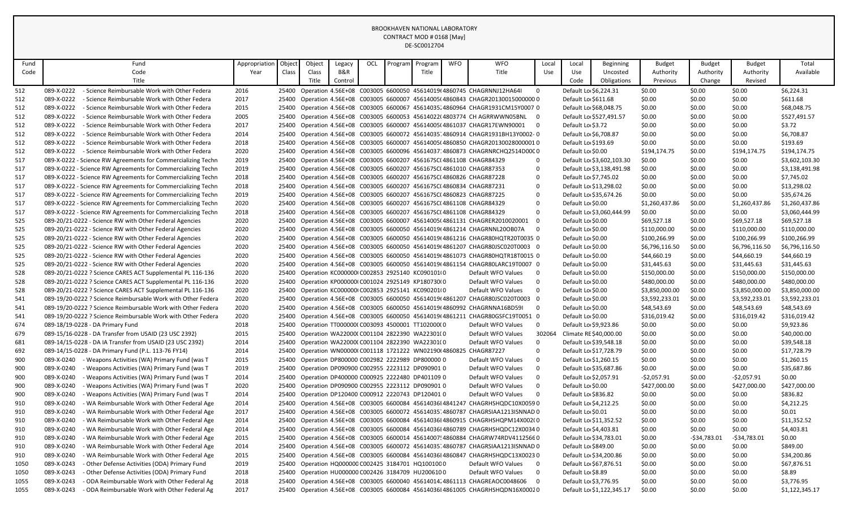| Fund | Fund                                                         | Appropriation | Objec | Object | Legacy  | OCL | Program | Program                                       | <b>WFO</b> | <b>WFO</b>                                                                     | Local                   | Local               | Beginning                 | <b>Budget</b>  | <b>Budget</b>   | <b>Budget</b>   | Total          |
|------|--------------------------------------------------------------|---------------|-------|--------|---------|-----|---------|-----------------------------------------------|------------|--------------------------------------------------------------------------------|-------------------------|---------------------|---------------------------|----------------|-----------------|-----------------|----------------|
| Code | Code                                                         | Year          | Class | Class  | B&R     |     |         | Title                                         |            | Title                                                                          | Use                     | Use                 | Uncosted                  | Authority      | Authority       | Authority       | Available      |
|      | Title                                                        |               |       | Title  | Control |     |         |                                               |            |                                                                                |                         | Code                | Obligations               | Previous       | Change          | Revised         |                |
| 512  | 089-X-0222<br>- Science Reimbursable Work with Other Federa  | 2016          | 25400 |        |         |     |         |                                               |            | Operation 4.56E+08 C003005 6600050 45614019(4860745 CHAGRNNJ12HA64I            | $\mathbf 0$             |                     | Default Lo \$6,224.31     | \$0.00         | \$0.00          | \$0.00          | \$6,224.31     |
| 512  | 089-X-0222<br>- Science Reimbursable Work with Other Federa  | 2017          | 25400 |        |         |     |         |                                               |            | Operation 4.56E+08 C003005 6600007 45614005(4860843 CHAGR20130015000000 0      |                         | Default Lo \$611.68 |                           | \$0.00         | \$0.00          | \$0.00          | \$611.68       |
| 512  | 089-X-0222<br>- Science Reimbursable Work with Other Federa  | 2015          |       |        |         |     |         |                                               |            | 25400 Operation 4.56E+08 C003005 6600067 45614035 4860964 CHAGR1931CM15Y0007 0 |                         |                     | Default Lo \$68,048.75    | \$0.00         | \$0.00          | \$0.00          | \$68,048.75    |
| 512  | 089-X-0222<br>- Science Reimbursable Work with Other Federa  | 2005          |       |        |         |     |         |                                               |            | 25400 Operation 4.56E+08 C003005 6600053 45614022(4803774 CH AGRRWWN05BNL 0    |                         |                     | Default Lo \$527,491.57   | \$0.00         | \$0.00          | \$0.00          | \$527,491.57   |
| 512  | 089-X-0222<br>- Science Reimbursable Work with Other Federa  | 2017          | 25400 |        |         |     |         |                                               |            | Operation 4.56E+08 C003005 6600007 45614005(4861037 CHAGR17EWN90001 0          |                         | Default Lo \$3.72   |                           | \$0.00         | \$0.00          | \$0.00          | \$3.72         |
| 512  | 089-X-0222<br>- Science Reimbursable Work with Other Federa  | 2014          | 25400 |        |         |     |         |                                               |            | Operation 4.56E+08 C003005 6600072 45614035 4860914 CHAGR1931BH13Y0002-0       |                         |                     | Default Lo \$6,708.87     | \$0.00         | \$0.00          | \$0.00          | \$6,708.87     |
| 512  | 089-X-0222<br>- Science Reimbursable Work with Other Federa  | 2018          | 25400 |        |         |     |         |                                               |            | Operation 4.56E+08 C003005 6600007 45614005(4860850 CHAGR20130028000001 0      |                         | Default Lo \$193.69 |                           | \$0.00         | \$0.00          | \$0.00          | \$193.69       |
| 512  | 089-X-0222<br>- Science Reimbursable Work with Other Federa  | 2020          | 25400 |        |         |     |         |                                               |            | Operation 4.56E+08 C003005 6600096 45614037.4860873 CHAGRNRCHQ2514D00C0        |                         | Default Lo \$0.00   |                           | \$194,174.75   | \$0.00          | \$194,174.75    | \$194,174.75   |
| 517  | 089-X-0222 - Science RW Agreements for Commercializing Techn | 2019          |       |        |         |     |         |                                               |            | 25400 Operation 4.56E+08 C003005 6600207 456167SC(4861108 CHAGR84329           | $\Omega$                |                     | Default Lo \$3,602,103.30 | \$0.00         | \$0.00          | \$0.00          | \$3,602,103.30 |
| 517  | 089-X-0222 - Science RW Agreements for Commercializing Techn | 2019          |       |        |         |     |         |                                               |            | 25400 Operation 4.56E+08 C003005 6600207 456167SC(4861010 CHAGR87353           | $\Omega$                |                     | Default Lo \$3,138,491.98 | \$0.00         | \$0.00          | \$0.00          | \$3,138,491.98 |
| 517  | 089-X-0222 - Science RW Agreements for Commercializing Techn | 2018          |       |        |         |     |         |                                               |            | 25400 Operation 4.56E+08 C003005 6600207 456167SC(4860826 CHAGR87228           | $\mathbf 0$             |                     | Default Lo \$7,745.02     | \$0.00         | \$0.00          | \$0.00          | \$7,745.02     |
| 517  | 089-X-0222 - Science RW Agreements for Commercializing Techn | 2018          | 25400 |        |         |     |         |                                               |            | Operation 4.56E+08 C003005 6600207 456167SC(4860834 CHAGR87231                 | $\mathbf 0$             |                     | Default Lo \$13,298.02    | \$0.00         | \$0.00          | \$0.00          | \$13,298.02    |
| 517  | 089-X-0222 - Science RW Agreements for Commercializing Techn | 2019          |       |        |         |     |         |                                               |            | 25400 Operation 4.56E+08 C003005 6600207 456167SC(4860823 CHAGR87225           | $\Omega$                |                     | Default Lo \$35,674.26    | \$0.00         | \$0.00          | \$0.00          | \$35,674.26    |
| 517  | 089-X-0222 - Science RW Agreements for Commercializing Techn | 2020          |       |        |         |     |         |                                               |            | 25400 Operation 4.56E+08 C003005 6600207 456167SC(4861108 CHAGR84329           | $\Omega$                | Default Lo \$0.00   |                           | \$1,260,437.86 | \$0.00          | \$1.260.437.86  | \$1,260,437.86 |
| 517  | 089-X-0222 - Science RW Agreements for Commercializing Techn | 2018          |       |        |         |     |         |                                               |            | 25400 Operation 4.56E+08 C003005 6600207 456167SC(4861108 CHAGR84329           | $\Omega$                |                     | Default Lo \$3,060,444.99 | \$0.00         | \$0.00          | \$0.00          | \$3,060,444.99 |
| 525  | 089-20/21-0222 - Science RW with Other Federal Agencies      | 2020          | 25400 |        |         |     |         |                                               |            | Operation 4.56E+08 C003005 6600007 45614005(4861131 CHAGRER2010020001          | $\Omega$                | Default Lo \$0.00   |                           | \$69,527.18    | \$0.00          | \$69,527.18     | \$69,527.18    |
| 525  | 089-20/21-0222 - Science RW with Other Federal Agencies      | 2020          |       |        |         |     |         |                                               |            | 25400 Operation 4.56E+08 C003005 6600050 45614019(4861214 CHAGRNNL20OB07A      | $\Omega$                | Default Lo \$0.00   |                           | \$110,000.00   | \$0.00          | \$110,000.00    | \$110,000.00   |
| 525  | 089-20/21-0222 - Science RW with Other Federal Agencies      | 2020          | 25400 |        |         |     |         |                                               |            | Operation 4.56E+08 C003005 6600050 45614019(4861216 CHAGR80HQTR20T0035 0       |                         | Default Lo \$0.00   |                           | \$100,266.99   | \$0.00          | \$100,266.99    | \$100,266.99   |
| 525  | 089-20/21-0222 - Science RW with Other Federal Agencies      | 2020          | 25400 |        |         |     |         |                                               |            | Operation 4.56E+08 C003005 6600050 45614019(4861207 CHAGR80JSC020T0003 0       |                         | Default Lo \$0.00   |                           | \$6,796,116.50 | \$0.00          | \$6,796,116.50  | \$6,796,116.50 |
| 525  | 089-20/21-0222 - Science RW with Other Federal Agencies      | 2020          | 25400 |        |         |     |         |                                               |            | Operation 4.56E+08 C003005 6600050 45614019(4861073 CHAGR80HQTR18T0015 0       |                         | Default Lo \$0.00   |                           | \$44,660.19    | \$0.00          | \$44,660.19     | \$44,660.19    |
| 525  | 089-20/21-0222 - Science RW with Other Federal Agencies      | 2020          | 25400 |        |         |     |         |                                               |            | Operation 4.56E+08 C003005 6600050 45614019(4861154 CHAGR80LARC19T0007 0       |                         | Default Lo \$0.00   |                           | \$31,445.63    | \$0.00          | \$31,445.63     | \$31,445.63    |
| 528  | 089-20/21-0222 ? Science CARES ACT Supplemental PL 116-136   | 2020          | 25400 |        |         |     |         | Operation KC000000 C002853 2925140 KC090101 0 |            | Default WFO Values                                                             | $\overline{0}$          | Default Lo \$0.00   |                           | \$150,000.00   | \$0.00          | \$150,000.00    | \$150,000.00   |
| 528  | 089-20/21-0222 ? Science CARES ACT Supplemental PL 116-136   | 2020          | 25400 |        |         |     |         | Operation KP000000(C001024 2925149 KP180730(0 |            | Default WFO Values                                                             | $\mathbf 0$             | Default Lo \$0.00   |                           | \$480,000.00   | \$0.00          | \$480,000.00    | \$480,000.00   |
| 528  | 089-20/21-0222 ? Science CARES ACT Supplemental PL 116-136   | 2020          | 25400 |        |         |     |         | Operation KC000000 C002853 2925141 KC090201 0 |            | Default WFO Values                                                             | $\mathbf 0$             | Default Lo \$0.00   |                           | \$3,850,000.00 | \$0.00          | \$3,850,000.00  | \$3,850,000.00 |
| 541  | 089-19/20-0222 ? Science Reimbursable Work with Other Federa | 2020          | 25400 |        |         |     |         |                                               |            | Operation 4.56E+08 C003005 6600050 45614019(4861207 CHAGR80JSC020T0003 0       |                         | Default Lo \$0.00   |                           | \$3,592,233.01 | \$0.00          | \$3,592,233.01  | \$3,592,233.01 |
| 541  | 089-19/20-0222 ? Science Reimbursable Work with Other Federa | 2020          | 25400 |        |         |     |         |                                               |            | Operation 4.56E+08 C003005 6600050 45614019(4860992 CHAGRNNA16BD59I            | $\mathbf 0$             | Default Lo \$0.00   |                           | \$48,543.69    | \$0.00          | \$48,543.69     | \$48,543.69    |
| 541  | 089-19/20-0222 ? Science Reimbursable Work with Other Federa | 2020          | 25400 |        |         |     |         |                                               |            | Operation 4.56E+08 C003005 6600050 45614019(4861211 CHAGR80GSFC19T0051 0       |                         | Default Lo \$0.00   |                           | \$316,019.42   | \$0.00          | \$316,019.42    | \$316,019.42   |
| 674  | 089-18/19-0228 - DA Primary Fund                             | 2018          | 25400 |        |         |     |         | Operation TT000000(C003093 4500001 TT102000(0 |            | Default WFO Values                                                             | $\mathbf 0$             |                     | Default Lo \$9,923.86     | \$0.00         | \$0.00          | \$0.00          | \$9,923.86     |
| 679  | 089-15/16-0228 - DA Transfer from USAID (23 USC 2392)        | 2015          | 25400 |        |         |     |         | Operation WA22000(C001104 2822390 WA22301(0   |            | Default WFO Values                                                             | 302064                  |                     | Climate RE \$40,000.00    | \$0.00         | \$0.00          | \$0.00          | \$40,000.00    |
| 681  | 089-14/15-0228 - DA IA Transfer from USAID (23 USC 2392)     | 2014          | 25400 |        |         |     |         | Operation WA22000(C001104 2822390 WA22301(0   |            | Default WFO Values                                                             | 0                       |                     | Default Lo \$39,548.18    | \$0.00         | \$0.00          | \$0.00          | \$39,548.18    |
| 692  | 089-14/15-0228 - DA Primary Fund (P.L. 113-76 FY14)          | 2014          | 25400 |        |         |     |         |                                               |            | Operation WN00000(C001118 1721222 WN02190(4860825 CHAGR87227                   | $\Omega$                |                     | Default Lo \$17,728.79    | \$0.00         | \$0.00          | \$0.00          | \$17,728.79    |
| 900  | 089-X-0240<br>- Weapons Activities (WA) Primary Fund (was T  | 2015          | 25400 |        |         |     |         | Operation DP800000 C002982 2222989 DP800000 0 |            | Default WFO Values                                                             | $\mathbf 0$             |                     | Default Lo \$1,260.15     | \$0.00         | \$0.00          | \$0.00          | \$1,260.15     |
| 900  | 089-X-0240<br>- Weapons Activities (WA) Primary Fund (was T  | 2019          | 25400 |        |         |     |         | Operation DP090900 C002955 2223112 DP090901 0 |            | Default WFO Values                                                             | $\Omega$                |                     | Default Lo \$35,687.86    | \$0.00         | \$0.00          | \$0.00          | \$35,687.86    |
| 900  | 089-X-0240<br>- Weapons Activities (WA) Primary Fund (was T  | 2014          | 25400 |        |         |     |         | Operation DP400000 C000925 2222480 DP401109 0 |            | Default WFO Values                                                             | $\mathbf 0$             |                     | Default Lo \$2,057.91     | -\$2,057.91    | \$0.00          | $-52,057.91$    | \$0.00         |
| 900  | 089-X-0240<br>- Weapons Activities (WA) Primary Fund (was T  | 2020          | 25400 |        |         |     |         | Operation DP090900 C002955 2223112 DP090901 0 |            | Default WFO Values                                                             | $\Omega$                | Default Lo \$0.00   |                           | \$427.000.00   | \$0.00          | \$427,000.00    | \$427,000.00   |
| 900  | 089-X-0240<br>- Weapons Activities (WA) Primary Fund (was T  | 2014          | 25400 |        |         |     |         | Operation DP120400 C000912 2220743 DP120401 0 |            | Default WFO Values                                                             | $\mathbf 0$             | Default Lo \$836.82 |                           | \$0.00         | \$0.00          | \$0.00          | \$836.82       |
| 910  | 089-X-0240<br>- WA Reimbursable Work with Other Federal Age  | 2014          | 25400 |        |         |     |         |                                               |            | Operation 4.56E+08 C003005 6600084 45614036I 4841247 CHAGRHSHQDC10X0059 0      |                         |                     | Default Lo \$4,212.25     | \$0.00         | \$0.00          | \$0.00          | \$4,212.25     |
| 910  | 089-X-0240<br>- WA Reimbursable Work with Other Federal Age  | 2017          | 25400 |        |         |     |         |                                               |            | Operation 4.56E+08 C003005 6600072 45614035 4860787 CHAGRSIAA1213ISNNAD 0      |                         | Default Lo \$0.01   |                           | \$0.00         | \$0.00          | \$0.00          | \$0.01         |
| 910  | 089-X-0240<br>- WA Reimbursable Work with Other Federal Age  | 2014          | 25400 |        |         |     |         |                                               |            | Operation 4.56E+08 C003005 6600084 45614036I 4860915 CHAGRHSHQPM14X002(0       |                         |                     | Default Lo \$11,352.52    | \$0.00         | \$0.00          | \$0.00          | \$11,352.52    |
| 910  | 089-X-0240<br>- WA Reimbursable Work with Other Federal Age  | 2014          | 25400 |        |         |     |         |                                               |            | Operation 4.56E+08 C003005 6600084 45614036I 4860789 CHAGRHSHQDC12X0034 0      |                         |                     | Default Lo \$4,403.81     | \$0.00         | \$0.00          | \$0.00          | \$4,403.81     |
| 910  | 089-X-0240<br>- WA Reimbursable Work with Other Federal Age  | 2015          | 25400 |        |         |     |         |                                               |            | Operation 4.56E+08 C003005 6600014 45614007! 4860884 CHAGRW74RDV41125660       |                         |                     | Default Lo \$34,783.01    | \$0.00         | $-$ \$34,783.01 | $-$ \$34,783.01 | \$0.00         |
| 910  | 089-X-0240<br>- WA Reimbursable Work with Other Federal Age  | 2014          | 25400 |        |         |     |         |                                               |            | Operation 4.56E+08 C003005 6600072 45614035 4860787 CHAGRSIAA1213ISNNAD 0      |                         | Default Lo \$849.00 |                           | \$0.00         | \$0.00          | \$0.00          | \$849.00       |
| 910  | 089-X-0240<br>- WA Reimbursable Work with Other Federal Age  | 2015          | 25400 |        |         |     |         |                                               |            | Operation 4.56E+08 C003005 6600084 45614036I 4860847 CHAGRHSHQDC13X0023 0      |                         |                     | Default Lo \$34,200.86    | \$0.00         | \$0.00          | \$0.00          | \$34,200.86    |
| 1050 | 089-X-0243<br>- Other Defense Activities (ODA) Primary Fund  | 2019          | 25400 |        |         |     |         | Operation HQ000000 C002425 3184701 HQ100100 0 |            | Default WFO Values                                                             | $\overline{\mathbf{0}}$ |                     | Default Lo \$67,876.51    | \$0.00         | \$0.00          | \$0.00          | \$67,876.51    |
| 1050 | 089-X-0243<br>- Other Defense Activities (ODA) Primary Fund  | 2018          | 25400 |        |         |     |         | Operation HU000000 C002426 3184709 HU2006100  |            | Default WFO Values                                                             | $\mathbf 0$             | Default Lo \$8.89   |                           | \$0.00         | \$0.00          | \$0.00          | \$8.89         |
| 1055 | 089-X-0243<br>- ODA Reimbursable Work with Other Federal Ag  | 2018          | 25400 |        |         |     |         |                                               |            | Operation 4.56E+08 C003005 6600040 45614014. 4861113 CHAGREAOC0048606          | $\Omega$                |                     | Default Lo \$3,776.95     | \$0.00         | \$0.00          | \$0.00          | \$3,776.95     |
| 1055 | 089-X-0243<br>- ODA Reimbursable Work with Other Federal Ag  | 2017          |       |        |         |     |         |                                               |            | 25400 Operation 4.56E+08 C003005 6600084 45614036I 4861005 CHAGRHSHQDN16X00020 |                         |                     | Default Lo \$1,122,345.17 | \$0.00         | \$0.00          | \$0.00          | \$1,122,345.17 |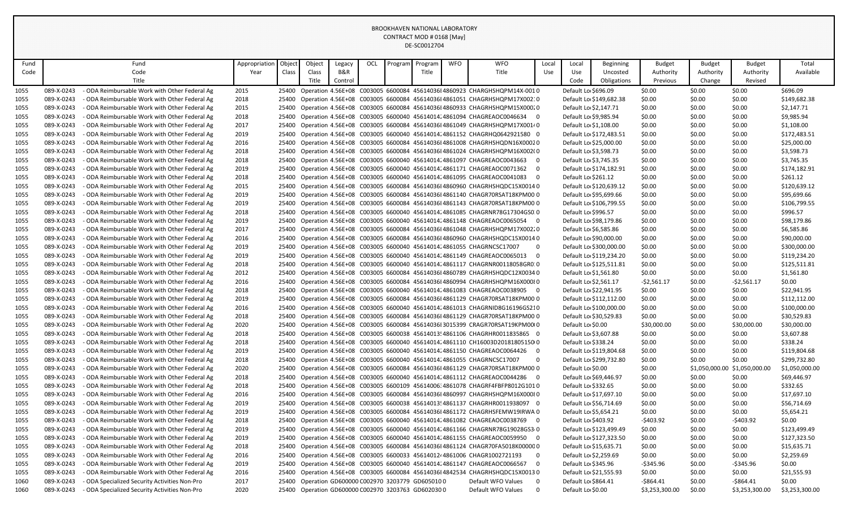| Fund |            | Fund                                          | Appropriation | Objec | Object                                             | Legacy  | OCL | Program | Program | <b>WFO</b> | <b>WFO</b>                                                                                      | Local       | Local                  | Beginning               | <b>Budget</b>  | <b>Budget</b> | <b>Budget</b>                 | Total          |
|------|------------|-----------------------------------------------|---------------|-------|----------------------------------------------------|---------|-----|---------|---------|------------|-------------------------------------------------------------------------------------------------|-------------|------------------------|-------------------------|----------------|---------------|-------------------------------|----------------|
| Code |            | Code                                          | Year          | Class | Class                                              | B&R     |     |         | Title   |            | Title                                                                                           | Use         | Use                    | Uncosted                | Authority      | Authority     | Authority                     | Available      |
|      |            | Title                                         |               |       | Title                                              | Control |     |         |         |            |                                                                                                 |             | Code                   | Obligations             | Previous       | Change        | Revised                       |                |
| 1055 | 089-X-0243 | - ODA Reimbursable Work with Other Federal Ag | 2015          | 25400 |                                                    |         |     |         |         |            | Operation 4.56E+08 C003005 6600084 45614036I 4860923 CHARGHSHQPM14X-0010                        |             | Default Lo \$696.09    |                         | \$0.00         | \$0.00        | \$0.00                        | \$696.09       |
| 1055 | 089-X-0243 | - ODA Reimbursable Work with Other Federal Ag | 2018          | 25400 |                                                    |         |     |         |         |            | Operation 4.56E+08 C003005 6600084 45614036I 4861051 CHAGRHSHQPM17X002:0                        |             |                        | Default Lo \$149,682.38 | \$0.00         | \$0.00        | \$0.00                        | \$149,682.38   |
| 1055 | 089-X-0243 | - ODA Reimbursable Work with Other Federal Ag | 2015          | 25400 |                                                    |         |     |         |         |            | Operation 4.56E+08 C003005 6600084 45614036I 4860933 CHAGRHSHQPM15X000.0                        |             | Default Lo \$2,147.71  |                         | \$0.00         | \$0.00        | \$0.00                        | \$2,147.71     |
| 1055 | 089-X-0243 | - ODA Reimbursable Work with Other Federal Ag | 2018          | 25400 |                                                    |         |     |         |         |            | Operation 4.56E+08 C003005 6600040 45614014.4861094 CHAGREAOC0046634 0                          |             | Default Lo \$9,985.94  |                         | \$0.00         | \$0.00        | \$0.00                        | \$9,985.94     |
| 1055 | 089-X-0243 | - ODA Reimbursable Work with Other Federal Ag | 2017          | 25400 |                                                    |         |     |         |         |            | Operation 4.56E+08 C003005 6600084 45614036I 4861049 CHAGRHSHQPM17X0014 0                       |             | Default Lo \$1,108.00  |                         | \$0.00         | \$0.00        | \$0.00                        | \$1,108.00     |
| 1055 | 089-X-0243 | - ODA Reimbursable Work with Other Federal Ag | 2019          | 25400 |                                                    |         |     |         |         |            | Operation 4.56E+08 C003005 6600040 45614014.4861152 CHAGRHQ0642921580 0                         |             |                        | Default Lo \$172,483.51 | \$0.00         | \$0.00        | \$0.00                        | \$172,483.51   |
| 1055 | 089-X-0243 | - ODA Reimbursable Work with Other Federal Ag | 2016          |       |                                                    |         |     |         |         |            | 25400 Operation 4.56E+08 C003005 6600084 45614036I 4861008 CHAGRHSHQDN16X00020                  |             | Default Lo \$25,000.00 |                         | \$0.00         | \$0.00        | \$0.00                        | \$25,000.00    |
| 1055 | 089-X-0243 | - ODA Reimbursable Work with Other Federal Ag | 2018          | 25400 |                                                    |         |     |         |         |            | Operation 4.56E+08 C003005 6600084 45614036I 4861024 CHAGRHSHQPM16X002(0                        |             | Default Lo \$3,598.73  |                         | \$0.00         | \$0.00        | \$0.00                        | \$3,598.73     |
| 1055 | 089-X-0243 | - ODA Reimbursable Work with Other Federal Ag | 2018          |       |                                                    |         |     |         |         |            | 25400 Operation 4.56E+08 C003005 6600040 45614014.4861097 CHAGREAOC0043663 0                    |             | Default Lo \$3,745.35  |                         | \$0.00         | \$0.00        | \$0.00                        | \$3,745.35     |
| 1055 | 089-X-0243 | - ODA Reimbursable Work with Other Federal Ag | 2019          |       |                                                    |         |     |         |         |            | 25400 Operation 4.56E+08 C003005 6600040 45614014.4861171 CHAGREAOC0071362 0                    |             |                        | Default Lo \$174,182.91 | \$0.00         | \$0.00        | \$0.00                        | \$174,182.91   |
| 1055 | 089-X-0243 | ODA Reimbursable Work with Other Federal Ag   | 2018          |       |                                                    |         |     |         |         |            | 25400 Operation 4.56E+08 C003005 6600040 45614014 4861095 CHAGREAOC0041083 0                    |             | Default Lo \$261.12    |                         | \$0.00         | \$0.00        | \$0.00                        | \$261.12       |
| 1055 | 089-X-0243 | ODA Reimbursable Work with Other Federal Ag   | 2015          | 25400 |                                                    |         |     |         |         |            | Operation 4.56E+08 C003005 6600084 45614036I 4860960 CHAGRHSHQDC15X0014 0                       |             |                        | Default Lo \$120,639.12 | \$0.00         | \$0.00        | \$0.00                        | \$120,639.12   |
| 1055 | 089-X-0243 | ODA Reimbursable Work with Other Federal Ag   | 2019          |       |                                                    |         |     |         |         |            | 25400 Operation 4.56E+08 C003005 6600084 45614036I4861140 CHAGR70RSAT18KPM00 0                  |             |                        | Default Lo \$95,699.66  | \$0.00         | \$0.00        | \$0.00                        | \$95,699.66    |
| 1055 | 089-X-0243 | ODA Reimbursable Work with Other Federal Ag   | 2019          | 25400 |                                                    |         |     |         |         |            | Operation 4.56E+08 C003005 6600084 45614036I 4861143 CHAGR70RSAT18KPM00 0                       |             |                        | Default Lo \$106,799.55 | \$0.00         | \$0.00        | \$0.00                        | \$106,799.55   |
| 1055 | 089-X-0243 | ODA Reimbursable Work with Other Federal Ag   | 2018          | 25400 |                                                    |         |     |         |         |            | Operation 4.56E+08 C003005 6600040 45614014 4861085 CHAGRNR78G17304GS0 0                        |             | Default Lo \$996.57    |                         | \$0.00         | \$0.00        | \$0.00                        | \$996.57       |
| 1055 | 089-X-0243 | ODA Reimbursable Work with Other Federal Ag   | 2019          | 25400 |                                                    |         |     |         |         |            | Operation 4.56E+08 C003005 6600040 45614014. 4861148 CHAGREAOC0065054 0                         |             | Default Lo \$98,179.86 |                         | \$0.00         | \$0.00        | \$0.00                        | \$98,179.86    |
| 1055 | 089-X-0243 | ODA Reimbursable Work with Other Federal Ag   | 2017          | 25400 |                                                    |         |     |         |         |            | Operation 4.56E+08 C003005 6600084 45614036I 4861048 CHAGRHSHQPM17X002.0                        |             | Default Lo \$6,585.86  |                         | \$0.00         | \$0.00        | \$0.00                        | \$6,585.86     |
| 1055 | 089-X-0243 | - ODA Reimbursable Work with Other Federal Ag | 2016          | 25400 |                                                    |         |     |         |         |            | Operation 4.56E+08 C003005 6600084 45614036I 4860960 CHAGRHSHQDC15X0014 0                       |             | Default Lo \$90,000.00 |                         | \$0.00         | \$0.00        | \$0.00                        | \$90,000.00    |
| 1055 | 089-X-0243 | ODA Reimbursable Work with Other Federal Ag   | 2019          | 25400 |                                                    |         |     |         |         |            | Operation 4.56E+08 C003005 6600040 45614014.4861055 CHAGRNCSC17007                              | $\mathbf 0$ |                        | Default Lo \$300,000.00 | \$0.00         | \$0.00        | \$0.00                        | \$300,000.00   |
| 1055 | 089-X-0243 | - ODA Reimbursable Work with Other Federal Ag | 2019          | 25400 |                                                    |         |     |         |         |            | Operation 4.56E+08 C003005 6600040 45614014.4861149 CHAGREAOC0065013 0                          |             |                        | Default Lo \$119,234.20 | \$0.00         | \$0.00        | \$0.00                        | \$119,234.20   |
| 1055 | 089-X-0243 | - ODA Reimbursable Work with Other Federal Ag | 2018          | 25400 |                                                    |         |     |         |         |            | Operation 4.56E+08 C003005 6600040 45614014 4861117 CHAGRNR00118058GR0.0                        |             |                        | Default Lo \$125,511.81 | \$0.00         | \$0.00        | \$0.00                        | \$125,511.81   |
| 1055 | 089-X-0243 | - ODA Reimbursable Work with Other Federal Ag | 2012          | 25400 |                                                    |         |     |         |         |            | Operation 4.56E+08 C003005 6600084 45614036I 4860789 CHAGRHSHQDC12X0034 0                       |             | Default Lo \$1,561.80  |                         | \$0.00         | \$0.00        | \$0.00                        | \$1,561.80     |
| 1055 | 089-X-0243 | - ODA Reimbursable Work with Other Federal Ag | 2016          | 25400 |                                                    |         |     |         |         |            | Operation 4.56E+08 C003005 6600084 45614036I 4860994 CHAGRHSHQPM16X000 0                        |             | Default Lo \$2,561.17  |                         | $-52,561.17$   | \$0.00        | $-52,561.17$                  | \$0.00         |
| 1055 | 089-X-0243 | - ODA Reimbursable Work with Other Federal Ag | 2018          | 25400 |                                                    |         |     |         |         |            | Operation 4.56E+08 C003005 6600040 45614014.4861083 CHAGREAOC0038905 0                          |             |                        | Default Lo \$22,941.95  | \$0.00         | \$0.00        | \$0.00                        | \$22,941.95    |
| 1055 | 089-X-0243 | - ODA Reimbursable Work with Other Federal Ag | 2019          |       |                                                    |         |     |         |         |            | 25400 Operation 4.56E+08 C003005 6600084 45614036I4861129 CHAGR70RSAT18KPM00 0                  |             |                        | Default Lo \$112,112.00 | \$0.00         | \$0.00        | \$0.00                        | \$112,112.00   |
| 1055 | 089-X-0243 | ODA Reimbursable Work with Other Federal Ag   | 2016          | 25400 |                                                    |         |     |         |         |            | Operation 4.56E+08 C003005 6600040 45614014 4861013 CHAGRNID8G16196GS210                        |             |                        | Default Lo \$100,000.00 | \$0.00         | S0.00         | \$0.00                        | \$100,000.00   |
| 1055 | 089-X-0243 | ODA Reimbursable Work with Other Federal Ag   | 2018          | 25400 |                                                    |         |     |         |         |            | Operation 4.56E+08 C003005 6600084 45614036I 4861129 CHAGR70RSAT18KPM00 0                       |             | Default Lo \$30.529.83 |                         | \$0.00         | \$0.00        | \$0.00                        | \$30,529.83    |
| 1055 | 089-X-0243 | - ODA Reimbursable Work with Other Federal Ag | 2020          | 25400 |                                                    |         |     |         |         |            | Operation 4.56E+08 C003005 6600084 45614036I 3015399 CRAGR70RSAT19KPM00I0                       |             | Default Lo \$0.00      |                         | \$30,000.00    | \$0.00        | \$30,000.00                   | \$30,000.00    |
| 1055 | 089-X-0243 | - ODA Reimbursable Work with Other Federal Ag | 2018          |       |                                                    |         |     |         |         |            | 25400 Operation 4.56E+08 C003005 6600038 45614013! 4861106 CHAGRHR0011835865 0                  |             | Default Lo \$3,607.88  |                         | \$0.00         | \$0.00        | \$0.00                        | \$3,607.88     |
| 1055 | 089-X-0243 | - ODA Reimbursable Work with Other Federal Ag | 2018          | 25400 |                                                    |         |     |         |         |            | Operation 4.56E+08 C003005 6600040 45614014.4861110 CH16003D20181805150 0                       |             | Default Lo \$338.24    |                         | \$0.00         | \$0.00        | \$0.00                        | \$338.24       |
| 1055 | 089-X-0243 | - ODA Reimbursable Work with Other Federal Ag | 2019          | 25400 |                                                    |         |     |         |         |            | Operation 4.56E+08 C003005 6600040 45614014 4861150 CHAGREAOC0064426<br>റ                       |             |                        | Default Lo \$119,804.68 | \$0.00         | \$0.00        | \$0.00                        | \$119,804.68   |
| 1055 | 089-X-0243 | - ODA Reimbursable Work with Other Federal Ag | 2018          | 25400 |                                                    |         |     |         |         |            | Operation 4.56E+08 C003005 6600040 45614014; 4861055 CHAGRNCSC17007<br>$\overline{0}$           |             |                        | Default Lo \$299,732.80 | \$0.00         | \$0.00        | \$0.00                        | \$299,732.80   |
| 1055 | 089-X-0243 | - ODA Reimbursable Work with Other Federal Ag | 2020          |       |                                                    |         |     |         |         |            | 25400 Operation 4.56E+08 C003005 6600084 45614036I 4861129 CHAGR70RSAT18KPM00 0                 |             | Default Lo \$0.00      |                         | \$0.00         |               | \$1,050,000.00 \$1,050,000.00 | \$1,050,000.00 |
| 1055 | 089-X-0243 | - ODA Reimbursable Work with Other Federal Ag | 2018          |       |                                                    |         |     |         |         |            | 25400 Operation 4.56E+08 C003005 6600040 45614014 4861112 CHAGREAOC0044286 0                    |             | Default Lo \$69,446.97 |                         | \$0.00         | \$0.00        | \$0.00                        | \$69,446.97    |
| 1055 | 089-X-0243 | - ODA Reimbursable Work with Other Federal Ag | 2018          | 25400 |                                                    |         |     |         |         |            | Operation 4.56E+08 C003005 6600109 45614006; 4861078 CHAGRF4FBFP8012G1010                       |             | Default Lo \$332.65    |                         | \$0.00         | \$0.00        | \$0.00                        | \$332.65       |
| 1055 | 089-X-0243 | - ODA Reimbursable Work with Other Federal Ag | 2016          |       |                                                    |         |     |         |         |            | 25400 Operation 4.56E+08 C003005 6600084 45614036I4860997 CHAGRHSHQPM16X000 0                   |             |                        | Default Lo \$17,697.10  | \$0.00         | \$0.00        | \$0.00                        | \$17,697.10    |
| 1055 | 089-X-0243 | - ODA Reimbursable Work with Other Federal Ag | 2019          |       |                                                    |         |     |         |         |            | 25400 Operation 4.56E+08 C003005 6600038 45614013! 4861137 CHAGRHR0011938097 0                  |             | Default Lo \$56,714.69 |                         | \$0.00         | \$0.00        | \$0.00                        | \$56,714.69    |
| 1055 | 089-X-0243 | - ODA Reimbursable Work with Other Federal Ag | 2019          |       |                                                    |         |     |         |         |            | 25400 Operation 4.56E+08 C003005 6600084 45614036I 4861172 CHAGRHSFEMW19IRWA 0                  |             | Default Lo \$5,654.21  |                         | \$0.00         | \$0.00        | \$0.00                        | \$5,654.21     |
| 1055 | 089-X-0243 | ODA Reimbursable Work with Other Federal Ag   | 2018          | 25400 |                                                    |         |     |         |         |            | Operation 4.56E+08 C003005 6600040 45614014.4861082 CHAGREAOC0038769                            |             | Default Lo \$403.92    |                         | -\$403.92      | \$0.00        | $-5403.92$                    | \$0.00         |
| 1055 | 089-X-0243 | ODA Reimbursable Work with Other Federal Ag   | 2019          |       |                                                    |         |     |         |         |            | 25400 Operation 4.56E+08 C003005 6600040 45614014.4861166 CHAGRNR78G19028GS3 0                  |             |                        | Default Lo \$123,499.49 | \$0.00         | \$0.00        | \$0.00                        | \$123,499.49   |
| 1055 | 089-X-0243 | ODA Reimbursable Work with Other Federal Ag   | 2019          | 25400 |                                                    |         |     |         |         |            | Operation 4.56E+08 C003005 6600040 45614014.4861155 CHAGREAOC0059950<br>$\overline{\mathbf{0}}$ |             |                        | Default Lo \$127,323.50 | \$0.00         | \$0.00        | \$0.00                        | \$127,323.50   |
| 1055 | 089-X-0243 | ODA Reimbursable Work with Other Federal Ag   | 2018          | 25400 |                                                    |         |     |         |         |            | Operation 4.56E+08 C003005 6600084 45614036I 4861124 CHAGR70FA5018K00000 0                      |             | Default Lo \$15,635.71 |                         | \$0.00         | \$0.00        | \$0.00                        | \$15,635.71    |
| 1055 | 089-X-0243 | ODA Reimbursable Work with Other Federal Ag   | 2016          | 25400 |                                                    |         |     |         |         |            | Operation 4.56E+08 C003005 6600033 45614012 4861006 CHAGR1002721193                             | $\mathbf 0$ | Default Lo \$2,259.69  |                         | \$0.00         | \$0.00        | \$0.00                        | \$2,259.69     |
| 1055 | 089-X-0243 | ODA Reimbursable Work with Other Federal Ag   | 2019          | 25400 |                                                    |         |     |         |         |            | Operation 4.56E+08 C003005 6600040 45614014; 4861147 CHAGREAOC0066567 0                         |             | Default Lo \$345.96    |                         | $-$ \$345.96   | \$0.00        | $-5345.96$                    | \$0.00         |
| 1055 | 089-X-0243 | ODA Reimbursable Work with Other Federal Ag   | 2016          | 25400 |                                                    |         |     |         |         |            | Operation 4.56E+08 C003005 6600084 45614036I 4842534 CHAGRHSHQDC15X0013 0                       |             | Default Lo \$21,555.93 |                         | \$0.00         | \$0.00        | \$0.00                        | \$21,555.93    |
| 1060 | 089-X-0243 | - ODA Specialized Security Activities Non-Pro | 2017          | 25400 | Operation GD600000 C002970 3203779 GD605010 0      |         |     |         |         |            | Default WFO Values                                                                              | $\mathbf 0$ | Default Lo \$864.41    |                         | -\$864.41      | \$0.00        | $-$ \$864.41                  | \$0.00         |
| 1060 | 089-X-0243 | - ODA Specialized Security Activities Non-Pro | 2020          |       | 25400 Operation GD600000 C002970 3203763 GD6020300 |         |     |         |         |            | Default WFO Values                                                                              | $\mathbf 0$ | Default Lo \$0.00      |                         | \$3,253,300.00 | \$0.00        | \$3,253,300.00                | \$3,253,300.00 |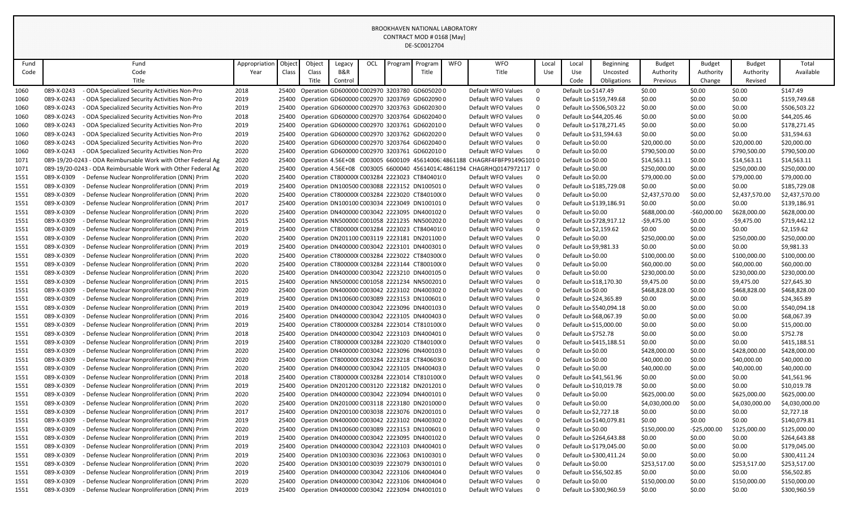| Fund |            | Fund                                                         | Appropriation | Object | Object | Legacy  | OCL | Program | Program                                       | <b>WFO</b> | <b>WFO</b>                                                                | Local          | Local                 | Beginning               | <b>Budget</b>  | <b>Budget</b> | <b>Budget</b>  | Total          |
|------|------------|--------------------------------------------------------------|---------------|--------|--------|---------|-----|---------|-----------------------------------------------|------------|---------------------------------------------------------------------------|----------------|-----------------------|-------------------------|----------------|---------------|----------------|----------------|
| Code |            | Code                                                         | Year          | Class  | Class  | B&R     |     |         | Title                                         |            | Title                                                                     | Use            | Use                   | Uncosted                | Authority      | Authority     | Authority      | Available      |
|      |            | Title                                                        |               |        | Title  | Control |     |         |                                               |            |                                                                           |                | Code                  | Obligations             | Previous       | Change        | Revised        |                |
| 1060 | 089-X-0243 | - ODA Specialized Security Activities Non-Pro                | 2018          | 25400  |        |         |     |         | Operation GD600000 C002970 3203780 GD605020 0 |            | Default WFO Values                                                        | $\mathbf 0$    | Default Lo \$147.49   |                         | \$0.00         | \$0.00        | \$0.00         | \$147.49       |
| 1060 | 089-X-0243 | - ODA Specialized Security Activities Non-Pro                | 2019          | 25400  |        |         |     |         | Operation GD600000 C002970 3203769 GD602090 0 |            | Default WFO Values                                                        | $\mathbf 0$    |                       | Default Lo \$159,749.68 | \$0.00         | \$0.00        | \$0.00         | \$159,749.68   |
| 1060 | 089-X-0243 | - ODA Specialized Security Activities Non-Pro                | 2019          | 25400  |        |         |     |         | Operation GD600000 C002970 3203763 GD602030 0 |            | Default WFO Values                                                        | $\mathsf 0$    |                       | Default Lo \$506,503.22 | \$0.00         | \$0.00        | \$0.00         | \$506,503.22   |
| 1060 | 089-X-0243 | - ODA Specialized Security Activities Non-Pro                | 2018          | 25400  |        |         |     |         | Operation GD600000 C002970 3203764 GD602040 0 |            | Default WFO Values                                                        | $\mathsf 0$    |                       | Default Lo \$44,205.46  | \$0.00         | \$0.00        | \$0.00         | \$44,205.46    |
| 1060 | 089-X-0243 | - ODA Specialized Security Activities Non-Pro                | 2019          | 25400  |        |         |     |         | Operation GD600000 C002970 3203761 GD602010 0 |            | Default WFO Values                                                        | $\mathbf 0$    |                       | Default Lo \$178,271.45 | \$0.00         | \$0.00        | \$0.00         | \$178,271.45   |
| 1060 | 089-X-0243 | - ODA Specialized Security Activities Non-Pro                | 2019          | 25400  |        |         |     |         | Operation GD600000 C002970 3203762 GD602020 0 |            | Default WFO Values                                                        | $\mathbf 0$    |                       | Default Lo \$31,594.63  | \$0.00         | \$0.00        | \$0.00         | \$31,594.63    |
| 1060 | 089-X-0243 | - ODA Specialized Security Activities Non-Pro                | 2020          | 25400  |        |         |     |         | Operation GD600000 C002970 3203764 GD602040 0 |            | Default WFO Values                                                        | $\mathbf 0$    | Default Lo \$0.00     |                         | \$20,000.00    | \$0.00        | \$20,000.00    | \$20,000.00    |
| 1060 | 089-X-0243 | - ODA Specialized Security Activities Non-Pro                | 2020          | 25400  |        |         |     |         | Operation GD600000 C002970 3203761 GD6020100  |            | Default WFO Values                                                        | $\mathbf 0$    | Default Lo \$0.00     |                         | \$790,500.00   | \$0.00        | \$790,500.00   | \$790,500.00   |
| 1071 |            | 089-19/20-0243 - ODA Reimbursable Work with Other Federal Ag | 2020          | 25400  |        |         |     |         |                                               |            | Operation 4.56E+08 C003005 6600109 45614006; 4861188 CHAGRF4FBFP9149G1010 |                | Default Lo \$0.00     |                         | \$14,563.11    | \$0.00        | \$14,563.11    | \$14,563.11    |
| 1071 |            | 089-19/20-0243 - ODA Reimbursable Work with Other Federal Ag | 2020          | 25400  |        |         |     |         |                                               |            | Operation 4.56E+08 C003005 6600040 45614014 4861194 CHAGRHQ0147972117 0   |                | Default Lo \$0.00     |                         | \$250,000.00   | \$0.00        | \$250,000.00   | \$250,000.00   |
| 1551 | 089-X-0309 | - Defense Nuclear Nonproliferation (DNN) Prim                | 2020          | 25400  |        |         |     |         | Operation CT800000(C003284 2223023 CT840401(0 |            | Default WFO Values                                                        | $\overline{0}$ | Default Lo \$0.00     |                         | \$79,000.00    | \$0.00        | \$79,000.00    | \$79,000.00    |
| 1551 | 089-X-0309 | - Defense Nuclear Nonproliferation (DNN) Prim                | 2019          | 25400  |        |         |     |         | Operation DN100500 C003088 2223152 DN1005010  |            | Default WFO Values                                                        | $\mathbf 0$    |                       | Default Lo \$185,729.08 | \$0.00         | \$0.00        | \$0.00         | \$185,729.08   |
| 1551 | 089-X-0309 | - Defense Nuclear Nonproliferation (DNN) Prim                | 2020          | 25400  |        |         |     |         | Operation CT800000(C003284 2223020 CT840100(0 |            | Default WFO Values                                                        | $\mathbf 0$    | Default Lo \$0.00     |                         | \$2,437,570.00 | \$0.00        | \$2,437,570.00 | \$2,437,570.00 |
| 1551 | 089-X-0309 | Defense Nuclear Nonproliferation (DNN) Prim                  | 2017          | 25400  |        |         |     |         | Operation DN100100 C003034 2223049 DN1001010  |            | Default WFO Values                                                        | $\mathbf 0$    |                       | Default Lo \$139,186.91 | \$0.00         | \$0.00        | \$0.00         | \$139,186.91   |
| 1551 | 089-X-0309 | Defense Nuclear Nonproliferation (DNN) Prim                  | 2020          | 25400  |        |         |     |         | Operation DN400000 C003042 2223095 DN4001020  |            | Default WFO Values                                                        | $\mathbf 0$    | Default Lo \$0.00     |                         | \$688,000.00   | $-$60,000.00$ | \$628,000.00   | \$628,000.00   |
| 1551 | 089-X-0309 | Defense Nuclear Nonproliferation (DNN) Prim                  | 2015          | 25400  |        |         |     |         | Operation NN500000 C001058 2221235 NN5002020  |            | Default WFO Values                                                        | $\mathbf 0$    |                       | Default Lo \$728,917.12 | $-$9,475.00$   | \$0.00        | $-$9,475.00$   | \$719,442.12   |
| 1551 | 089-X-0309 | Defense Nuclear Nonproliferation (DNN) Prim                  | 2019          | 25400  |        |         |     |         | Operation CT800000(C003284 2223023 CT840401(0 |            | Default WFO Values                                                        | $\mathbf 0$    | Default Lo \$2,159.62 |                         | \$0.00         | \$0.00        | \$0.00         | \$2,159.62     |
| 1551 | 089-X-0309 | Defense Nuclear Nonproliferation (DNN) Prim                  | 2020          | 25400  |        |         |     |         | Operation DN201100 C003119 2223181 DN2011000  |            | Default WFO Values                                                        | $\mathbf 0$    | Default Lo \$0.00     |                         | \$250,000.00   | \$0.00        | \$250,000.00   | \$250,000.00   |
| 1551 | 089-X-0309 | Defense Nuclear Nonproliferation (DNN) Prim                  | 2019          | 25400  |        |         |     |         | Operation DN400000 C003042 2223101 DN4003010  |            | Default WFO Values                                                        | $\mathbf 0$    | Default Lo \$9,981.33 |                         | \$0.00         | \$0.00        | \$0.00         | \$9,981.33     |
| 1551 | 089-X-0309 | Defense Nuclear Nonproliferation (DNN) Prim                  | 2020          | 25400  |        |         |     |         | Operation CT800000(C003284 2223022 CT840300(0 |            | Default WFO Values                                                        | $\mathbf 0$    | Default Lo \$0.00     |                         | \$100,000.00   | \$0.00        | \$100,000.00   | \$100,000.00   |
| 1551 | 089-X-0309 | Defense Nuclear Nonproliferation (DNN) Prim                  | 2020          | 25400  |        |         |     |         | Operation CT800000(C003284 2223144 CT800100(0 |            | Default WFO Values                                                        | $\mathbf 0$    | Default Lo \$0.00     |                         | \$60,000.00    | \$0.00        | \$60,000.00    | \$60,000.00    |
| 1551 | 089-X-0309 | Defense Nuclear Nonproliferation (DNN) Prim                  | 2020          | 25400  |        |         |     |         | Operation DN400000 C003042 2223210 DN4001050  |            | Default WFO Values                                                        | $\mathsf 0$    | Default Lo \$0.00     |                         | \$230,000.00   | \$0.00        | \$230,000.00   | \$230,000.00   |
| 1551 | 089-X-0309 | Defense Nuclear Nonproliferation (DNN) Prim                  | 2015          | 25400  |        |         |     |         | Operation NN500000 C001058 2221234 NN5002010  |            | Default WFO Values                                                        | $\mathbf 0$    |                       | Default Lo \$18,170.30  | \$9,475.00     | \$0.00        | \$9,475.00     | \$27,645.30    |
| 1551 | 089-X-0309 | Defense Nuclear Nonproliferation (DNN) Prim                  | 2020          | 25400  |        |         |     |         | Operation DN400000 C003042 2223102 DN4003020  |            | Default WFO Values                                                        | $\mathbf 0$    | Default Lo \$0.00     |                         | \$468,828.00   | \$0.00        | \$468,828.00   | \$468,828.00   |
| 1551 | 089-X-0309 | Defense Nuclear Nonproliferation (DNN) Prim                  | 2019          | 25400  |        |         |     |         | Operation DN100600 C003089 2223153 DN1006010  |            | Default WFO Values                                                        | $\mathbf 0$    |                       | Default Lo \$24,365.89  | \$0.00         | \$0.00        | \$0.00         | \$24,365.89    |
| 1551 | 089-X-0309 | Defense Nuclear Nonproliferation (DNN) Prim                  | 2019          | 25400  |        |         |     |         | Operation DN400000 C003042 2223096 DN4001030  |            | Default WFO Values                                                        | $\mathsf 0$    |                       | Default Lo \$540,094.18 | \$0.00         | \$0.00        | \$0.00         | \$540,094.18   |
| 1551 | 089-X-0309 | Defense Nuclear Nonproliferation (DNN) Prim                  | 2016          | 25400  |        |         |     |         | Operation DN400000 C003042 2223105 DN4004030  |            | Default WFO Values                                                        | $\mathbf 0$    |                       | Default Lo \$68,067.39  | \$0.00         | \$0.00        | \$0.00         | \$68,067.39    |
| 1551 | 089-X-0309 | Defense Nuclear Nonproliferation (DNN) Prim                  | 2019          | 25400  |        |         |     |         | Operation CT800000(C003284 2223014 CT810100(0 |            | Default WFO Values                                                        | $\mathbf 0$    |                       | Default Lo \$15,000.00  | \$0.00         | \$0.00        | \$0.00         | \$15,000.00    |
| 1551 | 089-X-0309 | Defense Nuclear Nonproliferation (DNN) Prim                  | 2018          | 25400  |        |         |     |         | Operation DN400000 C003042 2223103 DN4004010  |            | Default WFO Values                                                        | $\mathbf 0$    | Default Lo \$752.78   |                         | \$0.00         | \$0.00        | \$0.00         | \$752.78       |
| 1551 | 089-X-0309 | Defense Nuclear Nonproliferation (DNN) Prim                  | 2019          | 25400  |        |         |     |         | Operation CT800000(C003284 2223020 CT840100(0 |            | Default WFO Values                                                        | $\mathsf 0$    |                       | Default Lo \$415,188.51 | \$0.00         | \$0.00        | \$0.00         | \$415,188.51   |
| 1551 | 089-X-0309 | Defense Nuclear Nonproliferation (DNN) Prim                  | 2020          | 25400  |        |         |     |         | Operation DN400000 C003042 2223096 DN4001030  |            | Default WFO Values                                                        | $\mathsf 0$    | Default Lo \$0.00     |                         | \$428,000.00   | \$0.00        | \$428,000.00   | \$428,000.00   |
| 1551 | 089-X-0309 | Defense Nuclear Nonproliferation (DNN) Prim                  | 2020          | 25400  |        |         |     |         | Operation CT800000(C003284 2223218 CT840603(0 |            | Default WFO Values                                                        | $\mathbf 0$    | Default Lo \$0.00     |                         | \$40,000.00    | \$0.00        | \$40,000.00    | \$40,000.00    |
| 1551 | 089-X-0309 | Defense Nuclear Nonproliferation (DNN) Prim                  | 2020          | 25400  |        |         |     |         | Operation DN400000 C003042 2223105 DN4004030  |            | Default WFO Values                                                        | $\mathbf 0$    | Default Lo \$0.00     |                         | \$40,000.00    | \$0.00        | \$40,000.00    | \$40,000.00    |
| 1551 | 089-X-0309 | - Defense Nuclear Nonproliferation (DNN) Prim                | 2018          | 25400  |        |         |     |         | Operation CT800000(C003284 2223014 CT810100(0 |            | Default WFO Values                                                        | $\mathsf 0$    |                       | Default Lo \$41,561.96  | \$0.00         | \$0.00        | \$0.00         | \$41,561.96    |
| 1551 | 089-X-0309 | - Defense Nuclear Nonproliferation (DNN) Prim                | 2019          | 25400  |        |         |     |         | Operation DN201200 C003120 2223182 DN2012010  |            | Default WFO Values                                                        | $\mathsf 0$    |                       | Default Lo \$10,019.78  | \$0.00         | \$0.00        | \$0.00         | \$10,019.78    |
| 1551 | 089-X-0309 | Defense Nuclear Nonproliferation (DNN) Prim                  | 2020          | 25400  |        |         |     |         | Operation DN400000 C003042 2223094 DN4001010  |            | Default WFO Values                                                        | $\mathbf 0$    | Default Lo \$0.00     |                         | \$625,000.00   | \$0.00        | \$625,000.00   | \$625,000.00   |
| 1551 | 089-X-0309 | Defense Nuclear Nonproliferation (DNN) Prim                  | 2020          | 25400  |        |         |     |         | Operation DN201000 C003118 2223180 DN201000 0 |            | Default WFO Values                                                        | $\mathbf 0$    | Default Lo \$0.00     |                         | \$4,030,000.00 | \$0.00        | \$4,030,000.00 | \$4,030,000.00 |
| 1551 | 089-X-0309 | Defense Nuclear Nonproliferation (DNN) Prim                  | 2017          | 25400  |        |         |     |         | Operation DN200100 C003038 2223076 DN2001010  |            | Default WFO Values                                                        | $\mathbf 0$    | Default Lo \$2,727.18 |                         | \$0.00         | \$0.00        | \$0.00         | \$2,727.18     |
| 1551 | 089-X-0309 | Defense Nuclear Nonproliferation (DNN) Prim                  | 2019          | 25400  |        |         |     |         | Operation DN400000 C003042 2223102 DN400302 0 |            | Default WFO Values                                                        | $\mathbf 0$    |                       | Default Lo \$140,079.81 | \$0.00         | \$0.00        | \$0.00         | \$140,079.81   |
| 1551 | 089-X-0309 | Defense Nuclear Nonproliferation (DNN) Prim                  | 2020          | 25400  |        |         |     |         | Operation DN100600 C003089 2223153 DN1006010  |            | Default WFO Values                                                        | $\mathsf 0$    | Default Lo \$0.00     |                         | \$150,000.00   | $-$25,000.00$ | \$125,000.00   | \$125,000.00   |
| 1551 | 089-X-0309 | Defense Nuclear Nonproliferation (DNN) Prim                  | 2019          | 25400  |        |         |     |         | Operation DN400000 C003042 2223095 DN4001020  |            | Default WFO Values                                                        | $\mathbf 0$    |                       | Default Lo \$264,643.88 | \$0.00         | \$0.00        | \$0.00         | \$264,643.88   |
| 1551 | 089-X-0309 | Defense Nuclear Nonproliferation (DNN) Prim                  | 2019          | 25400  |        |         |     |         | Operation DN400000 C003042 2223103 DN4004010  |            | Default WFO Values                                                        | $\mathbf 0$    |                       | Default Lo \$179,045.00 | \$0.00         | \$0.00        | \$0.00         | \$179,045.00   |
| 1551 | 089-X-0309 | Defense Nuclear Nonproliferation (DNN) Prim                  | 2019          | 25400  |        |         |     |         | Operation DN100300 C003036 2223063 DN1003010  |            | Default WFO Values                                                        | $\mathbf 0$    |                       | Default Lo \$300,411.24 | \$0.00         | \$0.00        | \$0.00         | \$300,411.24   |
| 1551 | 089-X-0309 | Defense Nuclear Nonproliferation (DNN) Prim                  | 2020          | 25400  |        |         |     |         | Operation DN300100 C003039 2223079 DN300101 0 |            | Default WFO Values                                                        | $\mathbf 0$    | Default Lo \$0.00     |                         | \$253,517.00   | \$0.00        | \$253,517.00   | \$253,517.00   |
| 1551 | 089-X-0309 | Defense Nuclear Nonproliferation (DNN) Prim                  | 2019          | 25400  |        |         |     |         | Operation DN400000 C003042 2223106 DN400404 0 |            | Default WFO Values                                                        | $\mathbf 0$    |                       | Default Lo \$56,502.85  | \$0.00         | \$0.00        | \$0.00         | \$56,502.85    |
| 1551 | 089-X-0309 | Defense Nuclear Nonproliferation (DNN) Prim                  | 2020          | 25400  |        |         |     |         | Operation DN400000 C003042 2223106 DN400404 0 |            | Default WFO Values                                                        | $\Omega$       | Default Lo \$0.00     |                         | \$150,000.00   | \$0.00        | \$150,000.00   | \$150,000.00   |
| 1551 | 089-X-0309 | - Defense Nuclear Nonproliferation (DNN) Prim                | 2019          | 25400  |        |         |     |         | Operation DN400000 C003042 2223094 DN4001010  |            | Default WFO Values                                                        | $\Omega$       |                       | Default Lo \$300,960.59 | \$0.00         | \$0.00        | \$0.00         | \$300,960.59   |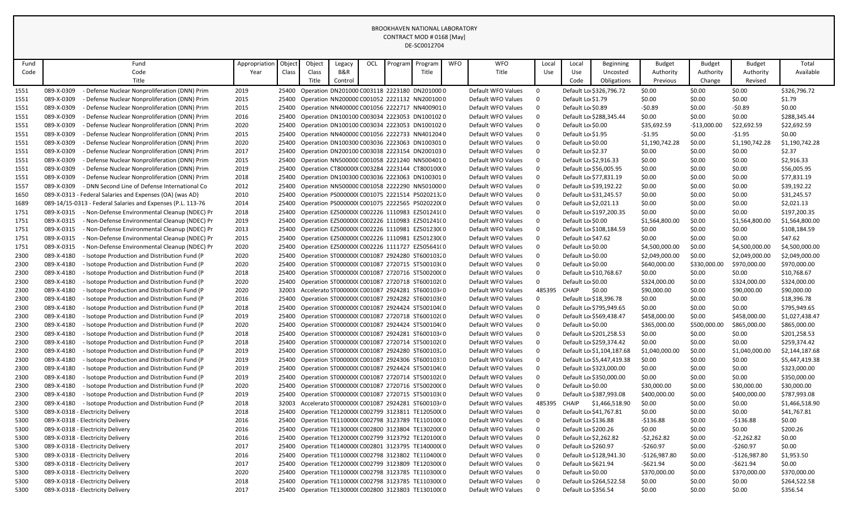| Fund | Fund                                                        | Appropriation | Object | Object | Legacy  | OCL | Program | Program                                        | <b>WFO</b> | <b>WFO</b>         | Local       | Local               | Beginning                 | <b>Budget</b>  | <b>Budget</b> | <b>Budget</b>  | Total          |
|------|-------------------------------------------------------------|---------------|--------|--------|---------|-----|---------|------------------------------------------------|------------|--------------------|-------------|---------------------|---------------------------|----------------|---------------|----------------|----------------|
| Code | Code                                                        | Year          | Class  | Class  | B&R     |     |         | Title                                          |            | Title              | Use         | Use                 | Uncosted                  | Authority      | Authority     | Authority      | Available      |
|      | Title                                                       |               |        | Title  | Control |     |         |                                                |            |                    |             | Code                | Obligations               | Previous       | Change        | Revised        |                |
| 1551 | - Defense Nuclear Nonproliferation (DNN) Prim<br>089-X-0309 | 2019          | 25400  |        |         |     |         | Operation DN201000 C003118 2223180 DN201000 0  |            | Default WFO Values | $\mathbf 0$ |                     | Default Lo \$326,796.72   | \$0.00         | \$0.00        | \$0.00         | \$326.796.72   |
| 1551 | 089-X-0309<br>Defense Nuclear Nonproliferation (DNN) Prim   | 2015          | 25400  |        |         |     |         | Operation NN200000 C001052 2221132 NN200100 0  |            | Default WFO Values | $\mathbf 0$ | Default Lo \$1.79   |                           | \$0.00         | \$0.00        | \$0.00         | \$1.79         |
| 1551 | 089-X-0309<br>- Defense Nuclear Nonproliferation (DNN) Prim | 2015          | 25400  |        |         |     |         | Operation NN400000 C001056 2222717 NN4009010   |            | Default WFO Values | $\mathbf 0$ | Default Lo \$0.89   |                           | $-50.89$       | \$0.00        | $-50.89$       | \$0.00         |
| 1551 | 089-X-0309<br>- Defense Nuclear Nonproliferation (DNN) Prim | 2016          | 25400  |        |         |     |         | Operation DN100100 C003034 2223053 DN1001020   |            | Default WFO Values | $\mathbf 0$ |                     | Default Lo \$288,345.44   | \$0.00         | \$0.00        | \$0.00         | \$288,345.44   |
| 1551 | 089-X-0309<br>- Defense Nuclear Nonproliferation (DNN) Prim | 2020          | 25400  |        |         |     |         | Operation DN100100 C003034 2223053 DN1001020   |            | Default WFO Values | $\pmb{0}$   | Default Lo \$0.00   |                           | \$35,692.59    | -\$13,000.00  | \$22,692.59    | \$22,692.59    |
| 1551 | 089-X-0309<br>- Defense Nuclear Nonproliferation (DNN) Prim | 2015          | 25400  |        |         |     |         | Operation NN400000 C001056 2222733 NN4012040   |            | Default WFO Values | $\pmb{0}$   | Default Lo \$1.95   |                           | $-51.95$       | \$0.00        | $-51.95$       | \$0.00         |
| 1551 | 089-X-0309<br>- Defense Nuclear Nonproliferation (DNN) Prim | 2020          | 25400  |        |         |     |         | Operation DN100300 C003036 2223063 DN1003010   |            | Default WFO Values | $\mathbf 0$ | Default Lo \$0.00   |                           | \$1,190,742.28 | \$0.00        | \$1,190,742.28 | \$1,190,742.28 |
| 1551 | 089-X-0309<br>- Defense Nuclear Nonproliferation (DNN) Prim | 2017          | 25400  |        |         |     |         | Operation DN200100 C003038 2223154 DN2001030   |            | Default WFO Values | $\mathbf 0$ | Default Lo \$2.37   |                           | \$0.00         | \$0.00        | \$0.00         | \$2.37         |
| 1551 | 089-X-0309<br>- Defense Nuclear Nonproliferation (DNN) Prim | 2015          | 25400  |        |         |     |         | Operation NN500000 C001058 2221240 NN5004010   |            | Default WFO Values | $\mathbf 0$ |                     | Default Lo \$2,916.33     | \$0.00         | \$0.00        | \$0.00         | \$2,916.33     |
| 1551 | 089-X-0309<br>- Defense Nuclear Nonproliferation (DNN) Prim | 2019          | 25400  |        |         |     |         | Operation CT800000(C003284 2223144 CT800100(0  |            | Default WFO Values | $\mathbf 0$ |                     | Default Lo \$56,005.95    | \$0.00         | \$0.00        | \$0.00         | \$56,005.95    |
| 1551 | 089-X-0309<br>- Defense Nuclear Nonproliferation (DNN) Prim | 2018          | 25400  |        |         |     |         | Operation DN100300 C003036 2223063 DN1003010   |            | Default WFO Values | $\mathbf 0$ |                     | Default Lo \$77,831.19    | \$0.00         | \$0.00        | \$0.00         | \$77,831.19    |
| 1557 | 089-X-0309<br>- DNN Second Line of Defense International Co | 2012          | 25400  |        |         |     |         | Operation NN500000 C001058 2222290 NN501000 0  |            | Default WFO Values | $\mathbf 0$ |                     | Default Lo \$39,192.22    | \$0.00         | \$0.00        | \$0.00         | \$39,192.22    |
| 1650 | 089-X-0313 - Federal Salaries and Expenses (OA) (was AD)    | 2010          | 25400  |        |         |     |         | Operation PS000000(C001075 2221514 PS020213.0  |            | Default WFO Values | $\mathbf 0$ |                     | Default Lo \$31,245.57    | \$0.00         | \$0.00        | \$0.00         | \$31,245.57    |
| 1689 | 089-14/15-0313 - Federal Salaries and Expenses (P.L. 113-76 | 2014          | 25400  |        |         |     |         | Operation PS000000(C001075 2222565 PS020220(0  |            | Default WFO Values | $\mathbf 0$ |                     | Default Lo \$2,021.13     | \$0.00         | \$0.00        | \$0.00         | \$2,021.13     |
| 1751 | 089-X-0315<br>- Non-Defense Environmental Cleanup (NDEC) Pr | 2018          | 25400  |        |         |     |         | Operation EZ500000(C002226 1110983 EZ501241(0  |            | Default WFO Values | $\mathbf 0$ |                     | Default Lo \$197,200.35   | \$0.00         | \$0.00        | \$0.00         | \$197,200.35   |
| 1751 | 089-X-0315<br>- Non-Defense Environmental Cleanup (NDEC) Pr | 2019          | 25400  |        |         |     |         | Operation EZ500000(C002226 1110983 EZ501241(0  |            | Default WFO Values | $\mathbf 0$ | Default Lo \$0.00   |                           | \$1,564,800.00 | \$0.00        | \$1,564,800.00 | \$1,564,800.00 |
| 1751 | 089-X-0315<br>- Non-Defense Environmental Cleanup (NDEC) Pr | 2013          | 25400  |        |         |     |         | Operation EZ500000(C002226 1110981 EZ501230(0  |            | Default WFO Values | $\mathbf 0$ |                     | Default Lo \$108,184.59   | \$0.00         | \$0.00        | \$0.00         | \$108,184.59   |
| 1751 | 089-X-0315<br>- Non-Defense Environmental Cleanup (NDEC) Pr | 2015          | 25400  |        |         |     |         | Operation EZ500000(C002226 1110981 EZ501230(0  |            | Default WFO Values | $\mathbf 0$ | Default Lo \$47.62  |                           | \$0.00         | \$0.00        | \$0.00         | \$47.62        |
| 1751 | 089-X-0315<br>- Non-Defense Environmental Cleanup (NDEC) Pr | 2020          | 25400  |        |         |     |         | Operation EZ500000(C002226 1111727 EZ505641(0  |            | Default WFO Values | $\mathbf 0$ | Default Lo \$0.00   |                           | \$4,500,000.00 | \$0.00        | \$4,500,000.00 | \$4,500,000.00 |
| 2300 | 089-X-4180<br>- Isotope Production and Distribution Fund (P | 2020          | 25400  |        |         |     |         | Operation ST000000(C001087 2924280 ST600103.0  |            | Default WFO Values | $\mathbf 0$ | Default Lo \$0.00   |                           | \$2,049,000.00 | \$0.00        | \$2,049,000.00 | \$2,049,000.00 |
| 2300 | 089-X-4180<br>- Isotope Production and Distribution Fund (P | 2020          | 25400  |        |         |     |         | Operation ST000000(C001087 2720715 ST500103(0  |            | Default WFO Values | $\mathbf 0$ | Default Lo \$0.00   |                           | \$640,000.00   | \$330,000.00  | \$970,000.00   | \$970,000.00   |
| 2300 | 089-X-4180<br>- Isotope Production and Distribution Fund (P | 2018          | 25400  |        |         |     |         | Operation ST000000(C001087 2720716 ST500200(0  |            | Default WFO Values | $\mathbf 0$ |                     | Default Lo \$10,768.67    | \$0.00         | \$0.00        | \$0.00         | \$10,768.67    |
| 2300 | 089-X-4180<br>Isotope Production and Distribution Fund (P   | 2020          | 25400  |        |         |     |         | Operation ST000000(C001087 2720718 ST600102(0  |            | Default WFO Values | $\mathbf 0$ | Default Lo \$0.00   |                           | \$324,000.00   | \$0.00        | \$324,000.00   | \$324,000.00   |
| 2300 | 089-X-4180<br>Isotope Production and Distribution Fund (P   | 2020          | 32003  |        |         |     |         | Accelerato ST000000(C001087 2924281 ST60010340 |            | Default WFO Values | 485395      | CHAIP               | \$0.00                    | \$90,000.00    | \$0.00        | \$90,000.00    | \$90,000.00    |
| 2300 | 089-X-4180<br>- Isotope Production and Distribution Fund (P | 2016          | 25400  |        |         |     |         | Operation ST000000(C001087 2924282 ST600103(0  |            | Default WFO Values | $\mathbf 0$ |                     | Default Lo \$18,396.78    | \$0.00         | \$0.00        | \$0.00         | \$18,396.78    |
| 2300 | 089-X-4180<br>Isotope Production and Distribution Fund (P   | 2018          | 25400  |        |         |     |         | Operation ST000000(C001087 2924424 ST500104(0  |            | Default WFO Values | $\mathbf 0$ |                     | Default Lo \$795,949.65   | \$0.00         | \$0.00        | \$0.00         | \$795,949.65   |
| 2300 | 089-X-4180<br>Isotope Production and Distribution Fund (P   | 2019          | 25400  |        |         |     |         | Operation ST000000(C001087 2720718 ST600102(0  |            | Default WFO Values | $\mathbf 0$ |                     | Default Lo \$569,438.47   | \$458,000.00   | \$0.00        | \$458.000.00   | \$1,027,438.47 |
| 2300 | 089-X-4180<br>Isotope Production and Distribution Fund (P   | 2020          | 25400  |        |         |     |         | Operation ST000000(C001087 2924424 ST500104(0  |            | Default WFO Values | $\mathbf 0$ | Default Lo \$0.00   |                           | \$365,000.00   | \$500,000.00  | \$865,000.00   | \$865,000.00   |
| 2300 | 089-X-4180<br>Isotope Production and Distribution Fund (P   | 2018          | 25400  |        |         |     |         | Operation ST000000(C001087 2924281 ST60010340  |            | Default WFO Values | $\mathbf 0$ |                     | Default Lo \$201,258.53   | \$0.00         | \$0.00        | \$0.00         | \$201,258.53   |
| 2300 | 089-X-4180<br>Isotope Production and Distribution Fund (P   | 2018          | 25400  |        |         |     |         | Operation ST000000(C001087 2720714 ST500102(0  |            | Default WFO Values | $\mathbf 0$ |                     | Default Lo \$259,374.42   | \$0.00         | \$0.00        | \$0.00         | \$259,374.42   |
| 2300 | 089-X-4180<br>Isotope Production and Distribution Fund (P   | 2019          | 25400  |        |         |     |         | Operation ST000000(C001087 2924280 ST600103.0  |            | Default WFO Values | $\mathbf 0$ |                     | Default Lo \$1,104,187.68 | \$1,040,000.00 | \$0.00        | \$1,040,000.00 | \$2,144,187.68 |
| 2300 | 089-X-4180<br>- Isotope Production and Distribution Fund (P | 2019          | 25400  |        |         |     |         | Operation ST000000(C001087 2924306 ST60010310  |            | Default WFO Values | $\pmb{0}$   |                     | Default Lo \$5,447,419.38 | \$0.00         | \$0.00        | \$0.00         | \$5,447,419.38 |
| 2300 | 089-X-4180<br>- Isotope Production and Distribution Fund (P | 2019          | 25400  |        |         |     |         | Operation ST000000(C001087 2924424 ST500104(0  |            | Default WFO Values | $\mathbf 0$ |                     | Default Lo \$323,000.00   | \$0.00         | \$0.00        | \$0.00         | \$323,000.00   |
| 2300 | 089-X-4180<br>- Isotope Production and Distribution Fund (P | 2019          | 25400  |        |         |     |         | Operation ST000000(C001087 2720714 ST500102(0  |            | Default WFO Values | $\mathbf 0$ |                     | Default Lo \$350,000.00   | \$0.00         | \$0.00        | \$0.00         | \$350,000.00   |
| 2300 | 089-X-4180<br>- Isotope Production and Distribution Fund (P | 2020          | 25400  |        |         |     |         | Operation ST000000(C001087 2720716 ST500200(0  |            | Default WFO Values | $\mathbf 0$ | Default Lo \$0.00   |                           | \$30,000.00    | \$0.00        | \$30,000.00    | \$30,000.00    |
| 2300 | 089-X-4180<br>- Isotope Production and Distribution Fund (P | 2019          | 25400  |        |         |     |         | Operation ST000000(C001087 2720715 ST500103(0  |            | Default WFO Values | $\mathbf 0$ |                     | Default Lo \$387,993.08   | \$400,000.00   | \$0.00        | \$400,000.00   | \$787,993.08   |
| 2300 | 089-X-4180<br>- Isotope Production and Distribution Fund (P | 2018          | 32003  |        |         |     |         | Accelerato ST000000(C001087 2924281 ST60010340 |            | Default WFO Values | 485395      | CHAIP               | \$1,466,518.90            | \$0.00         | \$0.00        | \$0.00         | \$1,466,518.90 |
| 5300 | 089-X-0318 - Electricity Delivery                           | 2018          | 25400  |        |         |     |         | Operation TE120000(C002799 3123811 TE120500(0  |            | Default WFO Values | $\Omega$    |                     | Default Lo \$41,767.81    | \$0.00         | \$0.00        | \$0.00         | \$41,767.81    |
| 5300 | 089-X-0318 - Electricity Delivery                           | 2016          | 25400  |        |         |     |         | Operation TE110000(C002798 3123789 TE110100(0  |            | Default WFO Values | $\mathbf 0$ | Default Lo \$136.88 |                           | $-5136.88$     | \$0.00        | $-$136.88$     | \$0.00         |
| 5300 | 089-X-0318 - Electricity Delivery                           | 2016          | 25400  |        |         |     |         | Operation TE130000(C002800 3123804 TE130200(0  |            | Default WFO Values | $\mathbf 0$ | Default Lo \$200.26 |                           | \$0.00         | \$0.00        | \$0.00         | \$200.26       |
| 5300 | 089-X-0318 - Electricity Delivery                           | 2016          | 25400  |        |         |     |         | Operation TE120000(C002799 3123792 TE120100(0  |            | Default WFO Values | $\mathbf 0$ |                     | Default Lo \$2,262.82     | $-52,262.82$   | \$0.00        | $-52,262.82$   | \$0.00         |
| 5300 | 089-X-0318 - Electricity Delivery                           | 2017          | 25400  |        |         |     |         | Operation TE140000(C002801 3123795 TE140000(0  |            | Default WFO Values | $\mathbf 0$ | Default Lo \$260.97 |                           | $-$260.97$     | \$0.00        | $-$260.97$     | \$0.00         |
| 5300 | 089-X-0318 - Electricity Delivery                           | 2016          | 25400  |        |         |     |         | Operation TE110000(C002798 3123802 TE110400(0  |            | Default WFO Values | $\mathbf 0$ |                     | Default Lo \$128,941.30   | $-$126,987.80$ | \$0.00        | $-$126,987.80$ | \$1,953.50     |
| 5300 | 089-X-0318 - Electricity Delivery                           | 2017          | 25400  |        |         |     |         | Operation TE120000(C002799 3123809 TE120300(0  |            | Default WFO Values | $\mathbf 0$ | Default Lo \$621.94 |                           | $-5621.94$     | \$0.00        | $-$ \$621.94   | \$0.00         |
| 5300 | 089-X-0318 - Electricity Delivery                           | 2020          | 25400  |        |         |     |         | Operation TE110000(C002798 3123785 TE110300(0  |            | Default WFO Values | $\mathbf 0$ | Default Lo \$0.00   |                           | \$370,000.00   | \$0.00        | \$370,000.00   | \$370,000.00   |
| 5300 | 089-X-0318 - Electricity Delivery                           | 2018          | 25400  |        |         |     |         | Operation TE110000(C002798 3123785 TE110300(0  |            | Default WFO Values | $\Omega$    |                     | Default Lo \$264,522.58   | \$0.00         | \$0.00        | \$0.00         | \$264,522.58   |
| 5300 | 089-X-0318 - Electricity Delivery                           | 2017          | 25400  |        |         |     |         | Operation TE130000(C002800 3123803 TE130100(0  |            | Default WFO Values | $\mathbf 0$ | Default Lo \$356.54 |                           | \$0.00         | \$0.00        | \$0.00         | \$356.54       |
|      |                                                             |               |        |        |         |     |         |                                                |            |                    |             |                     |                           |                |               |                |                |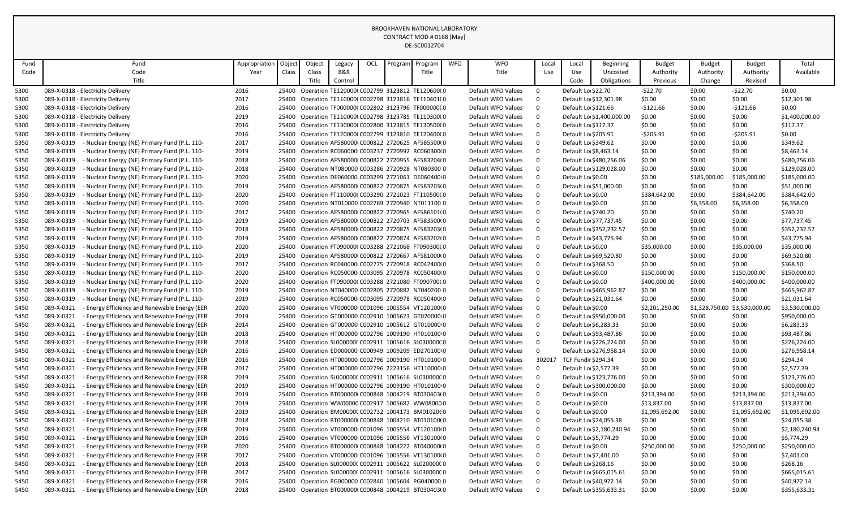| Fund | Fund                                                        | Appropriation | Object | Object | Legacy  | OCL | Program | Program                                             | <b>WFO</b> | <b>WFO</b>         | Local        | Local                      | Beginning                 | <b>Budget</b>  | <b>Budget</b>  | <b>Budget</b>  | Total          |
|------|-------------------------------------------------------------|---------------|--------|--------|---------|-----|---------|-----------------------------------------------------|------------|--------------------|--------------|----------------------------|---------------------------|----------------|----------------|----------------|----------------|
| Code | Code                                                        | Year          | Class  | Class  | B&R     |     |         | Title                                               |            | Title              | Use          | Use                        | Uncosted                  | Authority      | Authority      | Authority      | Available      |
|      | Title                                                       |               |        | Title  | Control |     |         |                                                     |            |                    |              | Code<br><b>Obligations</b> |                           | Previous       | Change         | Revised        |                |
| 5300 | 089-X-0318 - Electricity Delivery                           | 2016          | 25400  |        |         |     |         | Operation TE120000(C002799 3123812 TE120600(0       |            | Default WFO Values | $\mathbf 0$  | Default Lo \$22.70         |                           | $-522.70$      | \$0.00         | $-522.70$      | \$0.00         |
| 5300 | 089-X-0318 - Electricity Delivery                           | 2017          | 25400  |        |         |     |         | Operation TE110000(C002798 3123816 TE110401(0       |            | Default WFO Values | $\Omega$     |                            | Default Lo \$12,301.98    | \$0.00         | \$0.00         | \$0.00         | \$12,301.98    |
| 5300 | 089-X-0318 - Electricity Delivery                           | 2016          | 25400  |        |         |     |         | Operation TF000000(C002802 3123796 TF000000(0       |            | Default WFO Values | $\mathbf 0$  |                            | Default Lo \$121.66       | $-$121.66$     | \$0.00         | $-$121.66$     | \$0.00         |
| 5300 | 089-X-0318 - Electricity Delivery                           | 2019          | 25400  |        |         |     |         | Operation TE110000(C002798 3123785 TE110300(0       |            | Default WFO Values | $\Omega$     |                            | Default Lo \$1,400,000.00 | \$0.00         | \$0.00         | \$0.00         | \$1,400,000.00 |
| 5300 | 089-X-0318 - Electricity Delivery                           | 2016          | 25400  |        |         |     |         | Operation TE130000(C002800 3123815 TE130500(0       |            | Default WFO Values | $\mathbf 0$  |                            | Default Lo \$117.37       | \$0.00         | \$0.00         | \$0.00         | \$117.37       |
| 5300 | 089-X-0318 - Electricity Delivery                           | 2016          | 25400  |        |         |     |         | Operation TE120000(C002799 3123810 TE120400(0       |            | Default WFO Values | $\mathbf 0$  |                            | Default Lo \$205.91       | $-5205.91$     | \$0.00         | $-5205.91$     | \$0.00         |
| 5350 | 089-X-0319<br>- Nuclear Energy (NE) Primary Fund (P.L. 110- | 2017          | 25400  |        |         |     |         | Operation AF580000(C000822 2720625 AF585500(0       |            | Default WFO Values | $\mathbf 0$  |                            | Default Lo \$349.62       | \$0.00         | \$0.00         | \$0.00         | \$349.62       |
| 5350 | 089-X-0319<br>- Nuclear Energy (NE) Primary Fund (P.L. 110- | 2019          | 25400  |        |         |     |         | Operation RC060000 C003237 2720992 RC060300 0       |            | Default WFO Values | $\mathbf 0$  |                            | Default Lo \$8,463.14     | \$0.00         | \$0.00         | \$0.00         | \$8,463.14     |
| 5350 | 089-X-0319<br>- Nuclear Energy (NE) Primary Fund (P.L. 110- | 2018          | 25400  |        |         |     |         | Operation AF580000(C000822 2720955 AF583204(0       |            | Default WFO Values | $\mathbf 0$  |                            | Default Lo \$480,756.06   | \$0.00         | \$0.00         | \$0.00         | \$480,756.06   |
| 5350 | 089-X-0319<br>- Nuclear Energy (NE) Primary Fund (P.L. 110- | 2018          |        |        |         |     |         | 25400 Operation NT080000 C003286 2720928 NT080300 0 |            | Default WFO Values | $\mathbf 0$  |                            | Default Lo \$129,028.00   | \$0.00         | \$0.00         | \$0.00         | \$129,028.00   |
| 5350 | 089-X-0319<br>- Nuclear Energy (NE) Primary Fund (P.L. 110- | 2020          | 25400  |        |         |     |         | Operation DE060000 C003299 2721061 DE060400 0       |            | Default WFO Values | $\mathbf 0$  | Default Lo \$0.00          |                           | \$0.00         | \$185,000.00   | \$185,000.00   | \$185,000.00   |
| 5350 | 089-X-0319<br>- Nuclear Energy (NE) Primary Fund (P.L. 110- | 2019          | 25400  |        |         |     |         | Operation AF580000(C000822 2720875 AF583203(0       |            | Default WFO Values | $\mathbf 0$  |                            | Default Lo \$51,000.00    | \$0.00         | \$0.00         | \$0.00         | \$51,000.00    |
| 5350 | 089-X-0319<br>- Nuclear Energy (NE) Primary Fund (P.L. 110- | 2020          | 25400  |        |         |     |         | Operation FT110000(C003290 2721023 FT110500(0       |            | Default WFO Values | $\mathbf 0$  | Default Lo \$0.00          |                           | \$384,642.00   | \$0.00         | \$384,642.00   | \$384,642.00   |
| 5350 | 089-X-0319<br>- Nuclear Energy (NE) Primary Fund (P.L. 110- | 2020          | 25400  |        |         |     |         | Operation NT010000 C002769 2720940 NT011100 0       |            | Default WFO Values | $\Omega$     | Default Lo \$0.00          |                           | \$0.00         | \$6,358.00     | \$6,358.00     | \$6,358.00     |
| 5350 | 089-X-0319<br>- Nuclear Energy (NE) Primary Fund (P.L. 110- | 2017          | 25400  |        |         |     |         | Operation AF580000(C000822 2720965 AF586101(0       |            | Default WFO Values | $\mathbf 0$  |                            | Default Lo \$740.20       | \$0.00         | \$0.00         | \$0.00         | \$740.20       |
| 5350 | 089-X-0319<br>- Nuclear Energy (NE) Primary Fund (P.L. 110- | 2019          | 25400  |        |         |     |         | Operation AF580000(C000822 2720703 AF583500(0       |            | Default WFO Values | $\mathbf 0$  |                            | Default Lo \$77,737.45    | \$0.00         | \$0.00         | \$0.00         | \$77,737.45    |
| 5350 | 089-X-0319<br>- Nuclear Energy (NE) Primary Fund (P.L. 110- | 2018          | 25400  |        |         |     |         | Operation AF580000(C000822 2720875 AF583203(0       |            | Default WFO Values | $\Omega$     |                            | Default Lo \$352,232.57   | \$0.00         | \$0.00         | \$0.00         | \$352,232.57   |
| 5350 | 089-X-0319<br>- Nuclear Energy (NE) Primary Fund (P.L. 110- | 2019          | 25400  |        |         |     |         | Operation AF580000(C000822 2720874 AF583202(0       |            | Default WFO Values | $\mathbf 0$  |                            | Default Lo \$43,775.94    | \$0.00         | \$0.00         | \$0.00         | \$43,775.94    |
| 5350 | 089-X-0319<br>- Nuclear Energy (NE) Primary Fund (P.L. 110- | 2020          | 25400  |        |         |     |         | Operation FT090000(C003288 2721068 FT090300(0       |            | Default WFO Values | $\Omega$     | Default Lo \$0.00          |                           | \$35,000.00    | \$0.00         | \$35,000.00    | \$35,000.00    |
| 5350 | 089-X-0319<br>- Nuclear Energy (NE) Primary Fund (P.L. 110- | 2019          | 25400  |        |         |     |         | Operation AF580000(C000822 2720667 AF581000(0       |            | Default WFO Values | $\mathbf 0$  |                            | Default Lo \$69,520.80    | \$0.00         | \$0.00         | \$0.00         | \$69,520.80    |
| 5350 | 089-X-0319<br>- Nuclear Energy (NE) Primary Fund (P.L. 110- | 2017          | 25400  |        |         |     |         | Operation RC040000 C002775 2720918 RC042400 0       |            | Default WFO Values | $\mathbf 0$  |                            | Default Lo \$368.50       | \$0.00         | \$0.00         | \$0.00         | \$368.50       |
| 5350 | 089-X-0319<br>- Nuclear Energy (NE) Primary Fund (P.L. 110- | 2020          | 25400  |        |         |     |         | Operation RC050000 C003095 2720978 RC050400 0       |            | Default WFO Values | $\mathbf 0$  | Default Lo \$0.00          |                           | \$150,000.00   | \$0.00         | \$150,000.00   | \$150,000.00   |
| 5350 | 089-X-0319<br>- Nuclear Energy (NE) Primary Fund (P.L. 110- | 2020          | 25400  |        |         |     |         | Operation FT090000(C003288 2721080 FT090700(0       |            | Default WFO Values | $\Omega$     | Default Lo \$0.00          |                           | \$400,000.00   | \$0.00         | \$400,000.00   | \$400,000.00   |
| 5350 | 089-X-0319<br>- Nuclear Energy (NE) Primary Fund (P.L. 110- | 2019          | 25400  |        |         |     |         | Operation NT040000 C002805 2720882 NT040200 0       |            | Default WFO Values | $\mathbf 0$  |                            | Default Lo \$465,962.87   | \$0.00         | \$0.00         | \$0.00         | \$465,962.87   |
| 5350 | 089-X-0319<br>- Nuclear Energy (NE) Primary Fund (P.L. 110- | 2019          | 25400  |        |         |     |         | Operation RC050000 C003095 2720978 RC050400 0       |            | Default WFO Values | $\mathbf 0$  |                            | Default Lo \$21,031.64    | \$0.00         | \$0.00         | \$0.00         | \$21,031.64    |
| 5450 | 089-X-0321<br>- Energy Efficiency and Renewable Energy (EER | 2020          | 25400  |        |         |     |         | Operation VT000000 C001096 1005554 VT120100 0       |            | Default WFO Values | $\mathbf 0$  | Default Lo \$0.00          |                           | \$2,201,250.00 | \$1,328,750.00 | \$3,530,000.00 | \$3,530,000.00 |
| 5450 | 089-X-0321<br>- Energy Efficiency and Renewable Energy (EER | 2019          | 25400  |        |         |     |         | Operation GT000000 C002910 1005623 GT020000 0       |            | Default WFO Values | $\Omega$     |                            | Default Lo \$950,000.00   | \$0.00         | \$0.00         | \$0.00         | \$950,000.00   |
| 5450 | 089-X-0321<br>- Energy Efficiency and Renewable Energy (EER | 2014          | 25400  |        |         |     |         | Operation GT000000 C002910 1005612 GT010000 0       |            | Default WFO Values | $\Omega$     |                            | Default Lo \$6,283.33     | \$0.00         | \$0.00         | \$0.00         | \$6,283.33     |
| 5450 | 089-X-0321<br>- Energy Efficiency and Renewable Energy (EER | 2018          | 25400  |        |         |     |         | Operation HT000000 C002796 1009190 HT010100 0       |            | Default WFO Values | $\Omega$     |                            | Default Lo \$93,487.86    | \$0.00         | \$0.00         | \$0.00         | \$93,487.86    |
| 5450 | 089-X-0321<br>- Energy Efficiency and Renewable Energy (EER | 2018          | 25400  |        |         |     |         | Operation SL000000C C002911 1005616 SL030000C 0     |            | Default WFO Values | $\mathbf 0$  |                            | Default Lo \$226,224.00   | \$0.00         | \$0.00         | \$0.00         | \$226,224.00   |
| 5450 | 089-X-0321<br>Energy Efficiency and Renewable Energy (EER   | 2016          | 25400  |        |         |     |         | Operation ED000000 C000949 1009209 ED270100 0       |            | Default WFO Values | $\mathbf 0$  |                            | Default Lo \$276,958.14   | \$0.00         | \$0.00         | \$0.00         | \$276,958.14   |
| 5450 | 089-X-0321<br>- Energy Efficiency and Renewable Energy (EER | 2016          | 25400  |        |         |     |         | Operation HT000000 C002796 1009190 HT010100 0       |            | Default WFO Values | 302017       |                            | TCF Fundir \$294.34       | \$0.00         | \$0.00         | \$0.00         | \$294.34       |
| 5450 | 089-X-0321<br>- Energy Efficiency and Renewable Energy (EER | 2017          |        |        |         |     |         | 25400 Operation HT000000 C002796 2223156 HT110000 0 |            | Default WFO Values | $\mathbf{0}$ |                            | Default Lo \$2.577.39     | \$0.00         | \$0.00         | \$0.00         | \$2.577.39     |
| 5450 | 089-X-0321<br>- Energy Efficiency and Renewable Energy (EER | 2019          | 25400  |        |         |     |         | Operation SL000000C C002911 1005616 SL030000C 0     |            | Default WFO Values | $\mathbf 0$  |                            | Default Lo \$123,776.00   | \$0.00         | \$0.00         | \$0.00         | \$123,776.00   |
| 5450 | 089-X-0321<br>Energy Efficiency and Renewable Energy (EER   | 2019          | 25400  |        |         |     |         | Operation HT000000 C002796 1009190 HT010100 0       |            | Default WFO Values | $\mathbf 0$  |                            | Default Lo \$300,000.00   | \$0.00         | \$0.00         | \$0.00         | \$300,000.00   |
| 5450 | 089-X-0321<br>- Energy Efficiency and Renewable Energy (EER | 2019          | 25400  |        |         |     |         | Operation BT000000(C000848 1004219 BT030403(0       |            | Default WFO Values | $\mathbf 0$  | Default Lo \$0.00          |                           | \$213,394.00   | \$0.00         | \$213,394.00   | \$213,394.00   |
| 5450 | 089-X-0321<br>- Energy Efficiency and Renewable Energy (EER | 2019          |        |        |         |     |         | 25400 Operation WW00000 C002917 1005682 WW08000 0   |            | Default WFO Values | $\mathbf 0$  | Default Lo \$0.00          |                           | \$13,837.00    | \$0.00         | \$13,837.00    | \$13,837.00    |
| 5450 | 089-X-0321<br>- Energy Efficiency and Renewable Energy (EER | 2019          | 25400  |        |         |     |         | Operation BM000000 C002732 1004173 BM0102060        |            | Default WFO Values | $\mathbf 0$  | Default Lo \$0.00          |                           | \$1,095,692.00 | \$0.00         | \$1,095,692.00 | \$1,095,692.00 |
| 5450 | 089-X-0321<br>- Energy Efficiency and Renewable Energy (EER | 2018          | 25400  |        |         |     |         | Operation BT000000(C000848 1004210 BT010100(0       |            | Default WFO Values | $\mathbf 0$  |                            | Default Lo \$24,055.38    | \$0.00         | \$0.00         | \$0.00         | \$24,055.38    |
| 5450 | 089-X-0321<br>- Energy Efficiency and Renewable Energy (EER | 2019          | 25400  |        |         |     |         | Operation VT000000 C001096 1005554 VT120100 0       |            | Default WFO Values | $\mathbf 0$  |                            | Default Lo \$2,180,240.94 | \$0.00         | \$0.00         | \$0.00         | \$2,180,240.94 |
| 5450 | 089-X-0321<br>- Energy Efficiency and Renewable Energy (EER | 2016          | 25400  |        |         |     |         | Operation VT000000 C001096 1005556 VT130100 0       |            | Default WFO Values | $\Omega$     |                            | Default Lo \$5,774.29     | \$0.00         | \$0.00         | \$0.00         | \$5,774.29     |
| 5450 | 089-X-0321<br>- Energy Efficiency and Renewable Energy (EER | 2020          | 25400  |        |         |     |         | Operation BT000000(C000848 1004222 BT040000(0       |            | Default WFO Values | $\mathbf 0$  | Default Lo \$0.00          |                           | \$250,000.00   | \$0.00         | \$250,000.00   | \$250,000.00   |
| 5450 | 089-X-0321<br>- Energy Efficiency and Renewable Energy (EER | 2017          | 25400  |        |         |     |         | Operation VT000000 C001096 1005556 VT130100 0       |            | Default WFO Values | $\Omega$     |                            | Default Lo \$7,401.00     | \$0.00         | \$0.00         | \$0.00         | \$7,401.00     |
| 5450 | 089-X-0321<br>- Energy Efficiency and Renewable Energy (EER | 2018          | 25400  |        |         |     |         | Operation SL000000C C002911 1005622 SL020000C 0     |            | Default WFO Values | $\Omega$     |                            | Default Lo \$268.16       | \$0.00         | \$0.00         | \$0.00         | \$268.16       |
| 5450 | 089-X-0321<br>Energy Efficiency and Renewable Energy (EER   | 2017          | 25400  |        |         |     |         | Operation SL000000C C002911 1005616 SL030000C 0     |            | Default WFO Values | $\mathbf 0$  |                            | Default Lo \$665,015.61   | \$0.00         | \$0.00         | \$0.00         | \$665,015.61   |
| 5450 | 089-X-0321<br>- Energy Efficiency and Renewable Energy (EER | 2016          | 25400  |        |         |     |         | Operation PG000000 C002840 1005604 PG040000 0       |            | Default WFO Values | $\Omega$     |                            | Default Lo \$40,972.14    | \$0.00         | \$0.00         | \$0.00         | \$40,972.14    |
| 5450 | 089-X-0321<br>- Energy Efficiency and Renewable Energy (EER | 2018          | 25400  |        |         |     |         | Operation BT000000(C000848 1004219 BT030403(0       |            | Default WFO Values | $\Omega$     |                            | Default Lo \$355,633.31   | \$0.00         | \$0.00         | \$0.00         | \$355,633.31   |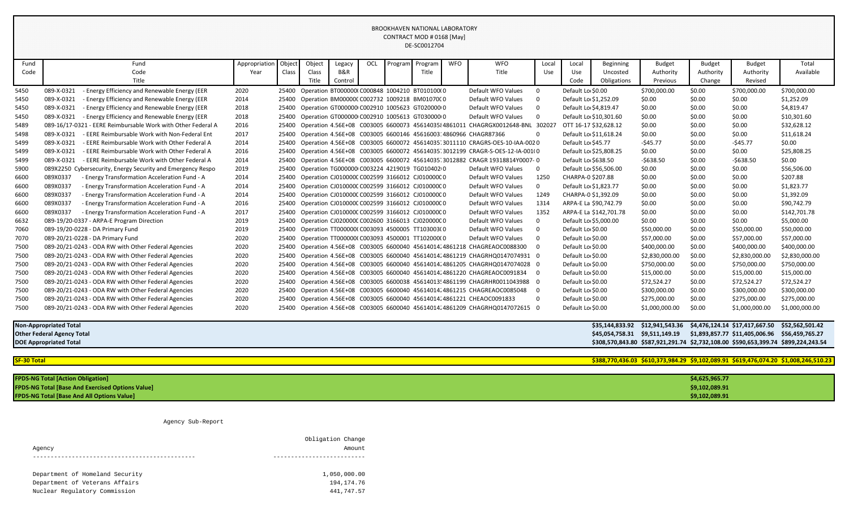| Fund | Fund                                                         | Appropriation | Object | Object | Legacy  | OCL | Program | Program                                               | <b>WFO</b> | <b>WFO</b>                                                                          | Local          | Local               | Beginning                      | <b>Budget</b>                                                                      | <b>Budget</b> | <b>Budget</b>                  | Total           |
|------|--------------------------------------------------------------|---------------|--------|--------|---------|-----|---------|-------------------------------------------------------|------------|-------------------------------------------------------------------------------------|----------------|---------------------|--------------------------------|------------------------------------------------------------------------------------|---------------|--------------------------------|-----------------|
| Code | Code                                                         | Year          | Class  | Class  | B&R     |     |         | Title                                                 |            | Title                                                                               | Use            | Use                 | Uncosted                       | Authority                                                                          | Authority     | Authority                      | Available       |
|      | Title                                                        |               |        | Title  | Control |     |         |                                                       |            |                                                                                     |                | Code                | Obligations                    | Previous                                                                           | Change        | Revised                        |                 |
| 5450 | - Energy Efficiency and Renewable Energy (EER<br>089-X-0321  | 2020          |        |        |         |     |         | 25400 Operation BT000000(C000848 1004210 BT010100(0   |            | Default WFO Values                                                                  | $\Omega$       | Default Lo \$0.00   |                                | \$700,000.00                                                                       | \$0.00        | \$700,000.00                   | \$700,000.00    |
| 5450 | - Energy Efficiency and Renewable Energy (EER<br>089-X-0321  | 2014          | 25400  |        |         |     |         | Operation BM000000 C002732 1009218 BM010700 0         |            | Default WFO Values                                                                  | $\Omega$       |                     | Default Lo \$1,252.09          | \$0.00                                                                             | \$0.00        | \$0.00                         | \$1,252.09      |
| 5450 | - Energy Efficiency and Renewable Energy (EER<br>089-X-0321  | 2018          | 25400  |        |         |     |         | Operation GT000000 C002910 1005623 GT020000 0         |            | Default WFO Values                                                                  | $\Omega$       |                     | Default Lo \$4,819.47          | \$0.00                                                                             | \$0.00        | \$0.00                         | \$4,819.47      |
| 5450 | 089-X-0321<br>- Energy Efficiency and Renewable Energy (EER  | 2018          | 25400  |        |         |     |         | Operation GT000000 C002910 1005613 GT030000 0         |            | Default WFO Values                                                                  | $\Omega$       |                     | Default Lo \$10.301.60         | \$0.00                                                                             | \$0.00        | \$0.00                         | \$10,301.60     |
| 5489 | 089-16/17-0321 - EERE Reimbursable Work with Other Federal A | 2016          |        |        |         |     |         |                                                       |            | 25400 Operation 4.56E+08 C003005 6600073 4561403584861011 CHAGRGX0012648-BNL 302027 |                |                     | OTT 16-17 \$32,628.12          | \$0.00                                                                             | \$0.00        | \$0.00                         | \$32,628.12     |
| 5498 | 089-X-0321<br>- EERE Reimbursable Work with Non-Federal Ent  | 2017          | 25400  |        |         |     |         |                                                       |            | Operation 4.56E+08 C003005 6600146 45616003.4860966 CHAGR87366                      | <sup>0</sup>   |                     | Default Lo \$11,618.24         | \$0.00                                                                             | \$0.00        | \$0.00                         | \$11,618.24     |
| 5499 | 089-X-0321<br>- EERE Reimbursable Work with Other Federal A  | 2014          | 25400  |        |         |     |         |                                                       |            | Operation 4.56E+08 C003005 6600072 45614035 3011110 CRAGRS-OES-10-IAA-0020          |                | Default Lo \$45.77  |                                | $-545.77$                                                                          | \$0.00        | $-545.77$                      | \$0.00          |
| 5499 | 089-X-0321<br>- EERE Reimbursable Work with Other Federal A  | 2016          | 25400  |        |         |     |         |                                                       |            | Operation 4.56E+08 C003005 6600072 45614035 3012199 CRAGR-S-OES-12-IA-0010          |                |                     | Default Lo \$25,808.25         | \$0.00                                                                             | \$0.00        | \$0.00                         | \$25,808.25     |
| 5499 | - EERE Reimbursable Work with Other Federal A<br>089-X-0321  | 2014          | 25400  |        |         |     |         |                                                       |            | Operation 4.56E+08 C003005 6600072 45614035 3012882 CRAGR 19318814Y0007- 0          |                | Default Lo \$638.50 |                                | $-$ \$638.50                                                                       | \$0.00        | $-5638.50$                     | \$0.00          |
| 5900 | 089X2250 Cybersecurity, Energy Security and Emergency Respo  | 2019          | 25400  |        |         |     |         | Operation TG000000 C003224 4219019 TG010402 0         |            | Default WFO Values                                                                  | 0              |                     | Default Lo \$56,506.00         | \$0.00                                                                             | \$0.00        | \$0.00                         | \$56,506.00     |
| 6600 | 089X0337<br>- Energy Transformation Acceleration Fund - A    | 2014          | 25400  |        |         |     |         | Operation CJ010000C C002599 3166012 CJ010000C 0       |            | Default WFO Values                                                                  | 1250           | CHARPA-0 \$207.88   |                                | \$0.00                                                                             | \$0.00        | \$0.00                         | \$207.88        |
| 6600 | 089X0337<br>- Energy Transformation Acceleration Fund - A    | 2014          | 25400  |        |         |     |         | Operation CJ010000C C002599 3166012 CJ010000C 0       |            | Default WFO Values                                                                  | $\mathbf{0}$   |                     | Default Lo \$1.823.77          | \$0.00                                                                             | \$0.00        | \$0.00                         | \$1,823.77      |
| 6600 | 089X0337<br>- Energy Transformation Acceleration Fund - A    | 2014          | 25400  |        |         |     |         | Operation CJ010000C C002599 3166012 CJ010000C 0       |            | Default WFO Values                                                                  | 1249           |                     | CHARPA-0 \$1.392.09            | \$0.00                                                                             | \$0.00        | \$0.00                         | \$1,392.09      |
| 6600 | 089X0337<br>- Energy Transformation Acceleration Fund - A    | 2016          | 25400  |        |         |     |         | Operation CJ010000C C002599 3166012 CJ010000C 0       |            | Default WFO Values                                                                  | 1314           |                     | ARPA-E La \$90,742.79          | \$0.00                                                                             | \$0.00        | \$0.00                         | \$90,742.79     |
| 6600 | 089X0337<br>- Energy Transformation Acceleration Fund - A    | 2017          | 25400  |        |         |     |         | Operation CJ010000C C002599 3166012 CJ010000C 0       |            | Default WFO Values                                                                  | 1352           |                     | ARPA-E La \$142,701.78         | \$0.00                                                                             | \$0.00        | \$0.00                         | \$142,701.78    |
| 6632 | 089-19/20-0337 - ARPA-E Program Direction                    | 2019          |        |        |         |     |         | 25400 Operation CJ020000C C002600 3166013 CJ020000C 0 |            | Default WFO Values                                                                  | $\Omega$       |                     | Default Lo \$5,000.00          | \$0.00                                                                             | \$0.00        | \$0.00                         | \$5,000.00      |
| 7060 | 089-19/20-0228 - DA Primary Fund                             | 2019          | 25400  |        |         |     |         | Operation TT000000(C003093 4500005 TT103003(0         |            | Default WFO Values                                                                  | $\Omega$       | Default Lo \$0.00   |                                | \$50,000.00                                                                        | \$0.00        | \$50,000.00                    | \$50,000.00     |
| 7070 | 089-20/21-0228 - DA Primary Fund                             | 2020          | 25400  |        |         |     |         | Operation TT000000(C003093 4500001 TT102000(0         |            | Default WFO Values                                                                  | $\Omega$       | Default Lo \$0.00   |                                | \$57,000.00                                                                        | \$0.00        | \$57,000.00                    | \$57,000.00     |
| 7500 | 089-20/21-0243 - ODA RW with Other Federal Agencies          | 2020          | 25400  |        |         |     |         |                                                       |            | Operation 4.56E+08 C003005 6600040 45614014 4861218 CHAGREAOC0088300                | $\Omega$       | Default Lo \$0.00   |                                | \$400,000.00                                                                       | \$0.00        | \$400,000.00                   | \$400,000.00    |
| 7500 | 089-20/21-0243 - ODA RW with Other Federal Agencies          | 2020          | 25400  |        |         |     |         |                                                       |            | Operation 4.56E+08 C003005 6600040 45614014; 4861219 CHAGRHQ0147074931 0            |                | Default Lo \$0.00   |                                | \$2,830,000.00                                                                     | \$0.00        | \$2,830,000.00                 | \$2,830,000.00  |
| 7500 | 089-20/21-0243 - ODA RW with Other Federal Agencies          | 2020          | 25400  |        |         |     |         |                                                       |            | Operation 4.56E+08 C003005 6600040 45614014.4861205 CHAGRHQ0147074028 0             |                | Default Lo \$0.00   |                                | \$750,000.00                                                                       | \$0.00        | \$750,000.00                   | \$750,000.00    |
| 7500 | 089-20/21-0243 - ODA RW with Other Federal Agencies          | 2020          | 25400  |        |         |     |         |                                                       |            | Operation 4.56E+08 C003005 6600040 45614014. 4861220 CHAGREAOC0091834               | $\overline{0}$ | Default Lo \$0.00   |                                | \$15,000.00                                                                        | \$0.00        | \$15,000.00                    | \$15,000.00     |
| 7500 | 089-20/21-0243 - ODA RW with Other Federal Agencies          | 2020          | 25400  |        |         |     |         |                                                       |            | Operation 4.56E+08 C003005 6600038 45614013! 4861199 CHAGRHR0011043988 0            |                | Default Lo \$0.00   |                                | \$72,524.27                                                                        | \$0.00        | \$72,524.27                    | \$72,524.27     |
| 7500 | 089-20/21-0243 - ODA RW with Other Federal Agencies          | 2020          | 25400  |        |         |     |         |                                                       |            | Operation 4.56E+08 C003005 6600040 45614014. 4861215 CHAGREAOC0085048               | - 0            | Default Lo \$0.00   |                                | \$300,000.00                                                                       | \$0.00        | \$300,000.00                   | \$300,000.00    |
| 7500 | 089-20/21-0243 - ODA RW with Other Federal Agencies          | 2020          | 25400  |        |         |     |         |                                                       |            | Operation 4.56E+08 C003005 6600040 45614014 4861221 CHEAOC0091833                   | $\Omega$       | Default Lo \$0.00   |                                | \$275,000.00                                                                       | \$0.00        | \$275,000.00                   | \$275,000.00    |
| 7500 | 089-20/21-0243 - ODA RW with Other Federal Agencies          | 2020          |        |        |         |     |         |                                                       |            | 25400 Operation 4.56E+08 C003005 6600040 45614014; 4861209 CHAGRHQ0147072615 0      |                | Default Lo \$0.00   |                                | \$1,000,000.00                                                                     | \$0.00        | \$1,000,000.00                 | \$1,000,000.00  |
|      |                                                              |               |        |        |         |     |         |                                                       |            |                                                                                     |                |                     |                                |                                                                                    |               |                                |                 |
|      | <b>Non-Appropriated Total</b>                                |               |        |        |         |     |         |                                                       |            |                                                                                     |                |                     | \$35,144,833.92                | \$12,941,543.36                                                                    |               | \$4,476,124.14 \$17,417,667.50 | \$52,562,501.42 |
|      | <b>Other Federal Agency Total</b>                            |               |        |        |         |     |         |                                                       |            |                                                                                     |                |                     | \$45,054,758.31 \$9,511,149.19 |                                                                                    |               | \$1,893,857.77 \$11,405,006.96 | \$56,459,765.27 |
|      | <b>DOE Appropriated Total</b>                                |               |        |        |         |     |         |                                                       |            |                                                                                     |                |                     |                                | \$308,570,843.80 \$587,921,291.74 \$2,732,108.00 \$590,653,399.74 \$899,224,243.54 |               |                                |                 |
|      |                                                              |               |        |        |         |     |         |                                                       |            |                                                                                     |                |                     |                                |                                                                                    |               |                                |                 |

**SF-30 Total \$388,770,436.03 \$610,373,984.29 \$9,102,089.91 \$619,476,074.20 \$1,008,246,510.23**

| <b>FPDS-NG Total [Action Obligation]</b>                | \$4,625,965.77 |
|---------------------------------------------------------|----------------|
| <b>FPDS-NG Total [Base And Exercised Options Value]</b> | \$9,102,089.91 |
| <b>FPDS-NG Total [Base And All Options Value]</b>       | \$9,102,089.91 |

#### Agency Sub-Report

| Agency                          | Obligation Change<br>Amount. |
|---------------------------------|------------------------------|
|                                 |                              |
| Department of Homeland Security | 1,050,000.00                 |
| Department of Veterans Affairs  | 194, 174. 76                 |
| Nuclear Regulatory Commission   | 441,747.57                   |